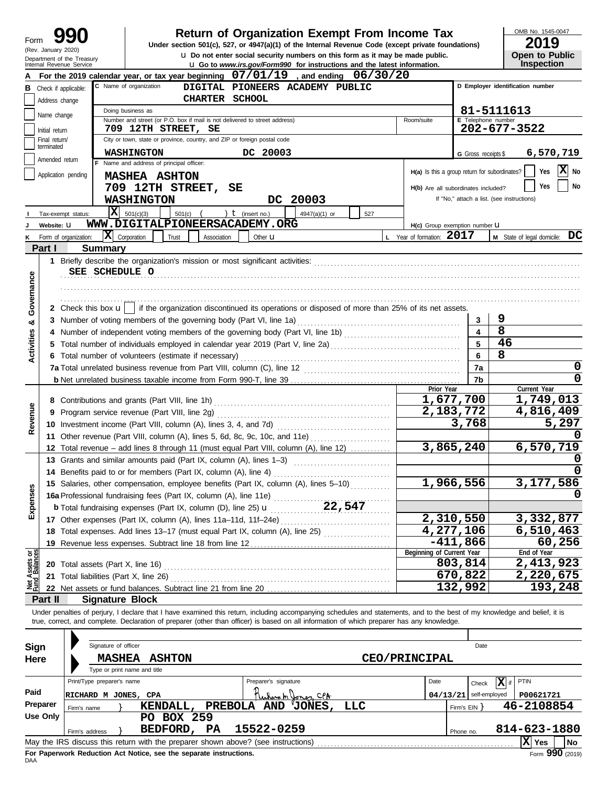| Form                       | 990 |  |
|----------------------------|-----|--|
| (Rev. January 2020)        |     |  |
| Department of the Treasury |     |  |

# **990 2000 2019 2019 2019 Depend From Income Tax 2019 Depend Find Conder Section 501(c), 527, or 4947(a)(1) of the Internal Revenue Code (except private foundations)**

u **Do not enter social security numbers on this form as it may be made public. Open to Public**

OMB No. 1545-0047

| ZU I J                |  |
|-----------------------|--|
| <b>Open to Public</b> |  |
| Inenaction            |  |

|                                |                 | eparument or the Treasury<br>Internal Revenue Service | <b>u</b> Go to www.irs.gov/Form990 for instructions and the latest information.                                                                                            |                           |                                               |                     | Inspection                                 |
|--------------------------------|-----------------|-------------------------------------------------------|----------------------------------------------------------------------------------------------------------------------------------------------------------------------------|---------------------------|-----------------------------------------------|---------------------|--------------------------------------------|
|                                |                 |                                                       | For the 2019 calendar year, or tax year beginning 07/01/19, and ending 06/30/20                                                                                            |                           |                                               |                     |                                            |
|                                |                 | <b>B</b> Check if applicable:                         | C Name of organization<br>DIGITAL PIONEERS ACADEMY PUBLIC                                                                                                                  |                           |                                               |                     | D Employer identification number           |
|                                | Address change  |                                                       | CHARTER SCHOOL                                                                                                                                                             |                           |                                               |                     |                                            |
|                                |                 |                                                       | Doing business as                                                                                                                                                          |                           |                                               |                     | 81-5111613                                 |
|                                | Name change     |                                                       | Number and street (or P.O. box if mail is not delivered to street address)                                                                                                 |                           | Room/suite                                    | E Telephone number  |                                            |
|                                | Initial return  |                                                       | 709 12TH STREET, SE                                                                                                                                                        |                           |                                               |                     | $202 - 677 - 3522$                         |
|                                | Final return/   |                                                       | City or town, state or province, country, and ZIP or foreign postal code                                                                                                   |                           |                                               |                     |                                            |
|                                | terminated      |                                                       | <b>WASHINGTON</b><br>DC 20003                                                                                                                                              |                           |                                               |                     |                                            |
|                                | Amended return  |                                                       | F Name and address of principal officer:                                                                                                                                   |                           |                                               | G Gross receipts \$ | 6,570,719                                  |
|                                |                 |                                                       |                                                                                                                                                                            |                           | H(a) Is this a group return for subordinates? |                     | X No<br>Yes                                |
|                                |                 | Application pending                                   | <b>MASHEA ASHTON</b>                                                                                                                                                       |                           |                                               |                     |                                            |
|                                |                 |                                                       | 709 12TH STREET, SE                                                                                                                                                        |                           | H(b) Are all subordinates included?           |                     | No<br>Yes                                  |
|                                |                 |                                                       | DC 20003<br><b>WASHINGTON</b>                                                                                                                                              |                           |                                               |                     | If "No," attach a list. (see instructions) |
|                                |                 | Tax-exempt status:                                    | <b>x</b><br>) $t$ (insert no.)<br>501(c)(3)<br>$501(c)$ (<br>4947(a)(1) or                                                                                                 | 527                       |                                               |                     |                                            |
|                                | Website: U      |                                                       | WWW.DIGITALPIONEERSACADEMY.ORG                                                                                                                                             |                           | H(c) Group exemption number LI                |                     |                                            |
| ĸ                              |                 |                                                       | $ \mathbf{X} $ Corporation<br>Trust<br>Association<br>Other <b>u</b>                                                                                                       |                           | L Year of formation: 2017                     |                     | M State of legal domicile: DC              |
|                                |                 | Form of organization:                                 |                                                                                                                                                                            |                           |                                               |                     |                                            |
|                                | Part I          | <b>Summary</b>                                        |                                                                                                                                                                            |                           |                                               |                     |                                            |
|                                |                 |                                                       |                                                                                                                                                                            |                           |                                               |                     |                                            |
|                                |                 |                                                       | SEE SCHEDULE O                                                                                                                                                             |                           |                                               |                     |                                            |
|                                |                 |                                                       |                                                                                                                                                                            |                           |                                               |                     |                                            |
| Governance                     |                 |                                                       |                                                                                                                                                                            |                           |                                               |                     |                                            |
|                                |                 |                                                       | 2 Check this box $\mathbf{u}$   if the organization discontinued its operations or disposed of more than 25% of its net assets.                                            |                           |                                               |                     |                                            |
|                                |                 |                                                       |                                                                                                                                                                            |                           |                                               | 3                   | 9                                          |
| න්                             |                 |                                                       |                                                                                                                                                                            |                           |                                               | 4                   | 8                                          |
| <b>Activities</b>              |                 |                                                       | 4 Number of independent voting members of the governing body (Part VI, line 1b) [11] [11] Number of independent voting members of the governing body (Part VI, line 1b)    |                           |                                               |                     |                                            |
|                                |                 |                                                       |                                                                                                                                                                            |                           |                                               | 5                   | 46                                         |
|                                |                 |                                                       | 6 Total number of volunteers (estimate if necessary)                                                                                                                       |                           |                                               | 6                   | 8                                          |
|                                |                 |                                                       |                                                                                                                                                                            |                           |                                               | 7a                  | 0                                          |
|                                |                 |                                                       |                                                                                                                                                                            |                           |                                               | 7b                  | 0                                          |
|                                |                 |                                                       |                                                                                                                                                                            |                           | Prior Year                                    | 1,677,700           | Current Year                               |
|                                |                 |                                                       |                                                                                                                                                                            |                           |                                               |                     | 1,749,013                                  |
| Revenue                        | 9               |                                                       |                                                                                                                                                                            |                           |                                               | 2,183,772           | 4,816,409                                  |
|                                |                 |                                                       |                                                                                                                                                                            |                           |                                               | 3,768               | 5,297                                      |
|                                |                 |                                                       | 11 Other revenue (Part VIII, column (A), lines 5, 6d, 8c, 9c, 10c, and 11e)                                                                                                |                           |                                               |                     |                                            |
|                                |                 |                                                       |                                                                                                                                                                            |                           |                                               | 3,865,240           | 6,570,719                                  |
|                                |                 |                                                       | 12 Total revenue - add lines 8 through 11 (must equal Part VIII, column (A), line 12)                                                                                      |                           |                                               |                     |                                            |
|                                |                 |                                                       | 13 Grants and similar amounts paid (Part IX, column (A), lines 1-3)                                                                                                        |                           |                                               |                     |                                            |
|                                |                 |                                                       | 14 Benefits paid to or for members (Part IX, column (A), line 4)                                                                                                           |                           |                                               |                     |                                            |
|                                |                 |                                                       | 15 Salaries, other compensation, employee benefits (Part IX, column (A), lines 5-10)                                                                                       |                           |                                               | 1,966,556           | 3,177,586                                  |
|                                |                 |                                                       |                                                                                                                                                                            |                           |                                               |                     |                                            |
| Expenses                       |                 |                                                       | 15 Salaries, Julie Schipensine, J.<br>16a Professional fundraising fees (Part IX, column (A), line 11e)<br>22,547                                                          |                           |                                               |                     |                                            |
|                                |                 |                                                       |                                                                                                                                                                            |                           |                                               | 2,310,550           | 3,332,877                                  |
|                                |                 |                                                       | 18 Total expenses. Add lines 13-17 (must equal Part IX, column (A), line 25) [                                                                                             |                           |                                               | 4,277,106           | 6,510,463                                  |
|                                |                 |                                                       | 19 Revenue less expenses. Subtract line 18 from line 12                                                                                                                    |                           |                                               | $-411,866$          | 60,256                                     |
|                                |                 |                                                       |                                                                                                                                                                            | Beginning of Current Year |                                               | End of Year         |                                            |
| Net Assets or<br>Fund Balances |                 |                                                       | 20 Total assets (Part X, line 16)                                                                                                                                          |                           |                                               | 803,814             | 2,413,923                                  |
|                                |                 |                                                       | 21 Total liabilities (Part X, line 26)                                                                                                                                     |                           |                                               | 670,822             | 2,220,675                                  |
|                                |                 |                                                       |                                                                                                                                                                            |                           |                                               | 132,992             |                                            |
|                                |                 |                                                       | 22 Net assets or fund balances. Subtract line 21 from line 20                                                                                                              |                           |                                               |                     | 193,248                                    |
|                                | Part II         |                                                       | <b>Signature Block</b>                                                                                                                                                     |                           |                                               |                     |                                            |
|                                |                 |                                                       | Under penalties of perjury, I declare that I have examined this return, including accompanying schedules and statements, and to the best of my knowledge and belief, it is |                           |                                               |                     |                                            |
|                                |                 |                                                       | true, correct, and complete. Declaration of preparer (other than officer) is based on all information of which preparer has any knowledge.                                 |                           |                                               |                     |                                            |
|                                |                 |                                                       |                                                                                                                                                                            |                           |                                               |                     |                                            |
| <b>Sign</b>                    |                 |                                                       | Signature of officer                                                                                                                                                       |                           |                                               | Date                |                                            |
| Here                           |                 |                                                       | <b>MASHEA</b><br><b>ASHTON</b>                                                                                                                                             |                           | <b>CEO/PRINCIPAL</b>                          |                     |                                            |
|                                |                 |                                                       | Type or print name and title                                                                                                                                               |                           |                                               |                     |                                            |
|                                |                 | Print/Type preparer's name                            | Preparer's signature                                                                                                                                                       |                           | Date                                          |                     | PTIN                                       |
|                                |                 |                                                       |                                                                                                                                                                            |                           |                                               | Check               | $\mathbf{X}$ if                            |
| Paid                           |                 |                                                       | Kularah Jones, CPA<br>RICHARD M JONES, CPA                                                                                                                                 |                           | 04/13/21                                      | self-employed       | P00621721                                  |
|                                | Preparer        | Firm's name                                           | LLC<br>PREBOLA AND 'JONES,<br>KENDALL,                                                                                                                                     |                           |                                               | Firm's $EIN$ }      | 46-2108854                                 |
|                                | <b>Use Only</b> |                                                       | PO BOX 259                                                                                                                                                                 |                           |                                               |                     |                                            |
|                                |                 | Firm's address                                        | 15522-0259<br>BEDFORD, PA                                                                                                                                                  |                           |                                               | Phone no.           | 814-623-1880                               |
|                                |                 |                                                       | May the IRS discuss this return with the preparer shown above? (see instructions)                                                                                          |                           |                                               |                     | $ \mathbf{X} $ Yes<br>No                   |

| Sign     |                | Signature of officer                          |                                                                   |                |                                                                                   |                      |      |              | Date                     |              |                             |
|----------|----------------|-----------------------------------------------|-------------------------------------------------------------------|----------------|-----------------------------------------------------------------------------------|----------------------|------|--------------|--------------------------|--------------|-----------------------------|
| Here     |                | <b>MASHEA</b><br>Type or print name and title | <b>ASHTON</b>                                                     |                |                                                                                   | <b>CEO/PRINCIPAL</b> |      |              |                          |              |                             |
|          |                | Print/Type preparer's name                    |                                                                   |                | Preparer's signature                                                              |                      | Date |              | x<br>Check               | <b>PTIN</b>  |                             |
| Paid     |                | RICHARD M JONES, CPA                          |                                                                   |                | Where m Yones, CPA                                                                |                      |      |              | $04/13/21$ self-employed | P00621721    |                             |
| Preparer | Firm's name    |                                               | KENDALL,                                                          | <b>PREBOLA</b> | AND<br>'JONES,                                                                    | LLC                  |      | Firm's $EIN$ |                          | 46-2108854   |                             |
| Use Only |                |                                               | <b>BOX 259</b><br>PO.                                             |                |                                                                                   |                      |      |              |                          |              |                             |
|          | Firm's address |                                               | BEDFORD,                                                          | <b>PA</b>      | 15522-0259                                                                        |                      |      | Phone no.    |                          | 814-623-1880 |                             |
|          |                |                                               |                                                                   |                | May the IRS discuss this return with the preparer shown above? (see instructions) |                      |      |              |                          | $ X $ Yes    | <b>No</b>                   |
|          |                |                                               | For Panerwork Reduction Act Notice, see the senarate instructions |                |                                                                                   |                      |      |              |                          |              | $F_{\text{c}}$ 000 $(2040)$ |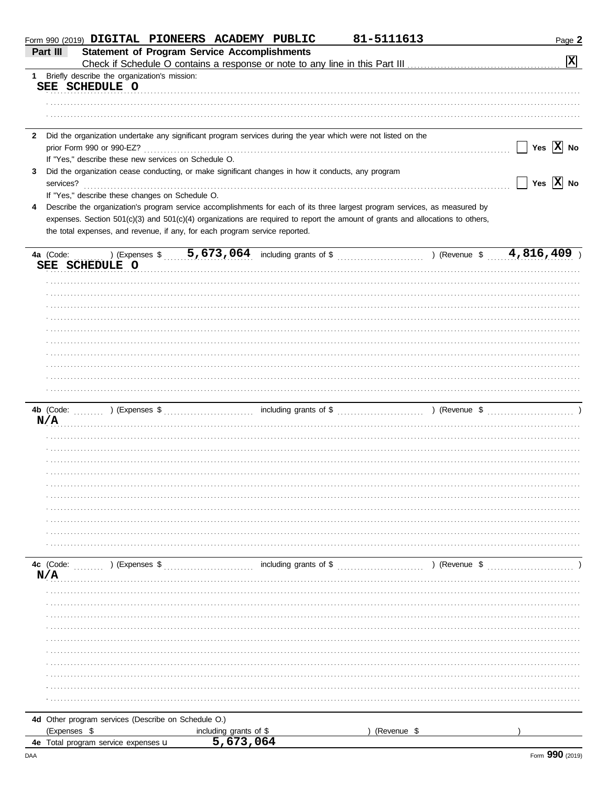|              | Form 990 (2019) <b>DIGITAL PIONEERS ACADEMY PUBLIC</b><br>81-5111613                                                           | Page 2                |
|--------------|--------------------------------------------------------------------------------------------------------------------------------|-----------------------|
|              | <b>Statement of Program Service Accomplishments</b><br>Part III                                                                |                       |
|              |                                                                                                                                | $\mathbf{x}$          |
| $1 \quad$    | Briefly describe the organization's mission:                                                                                   |                       |
|              | SEE SCHEDULE O                                                                                                                 |                       |
|              |                                                                                                                                |                       |
|              |                                                                                                                                |                       |
|              |                                                                                                                                |                       |
| $\mathbf{2}$ | Did the organization undertake any significant program services during the year which were not listed on the                   |                       |
|              | prior Form 990 or 990-EZ?                                                                                                      | Yes $\overline{X}$ No |
|              | If "Yes," describe these new services on Schedule O.                                                                           |                       |
| 3            | Did the organization cease conducting, or make significant changes in how it conducts, any program                             |                       |
|              | services?                                                                                                                      | Yes $\overline{X}$ No |
|              | If "Yes," describe these changes on Schedule O.                                                                                |                       |
|              |                                                                                                                                |                       |
| 4            | Describe the organization's program service accomplishments for each of its three largest program services, as measured by     |                       |
|              | expenses. Section 501(c)(3) and 501(c)(4) organizations are required to report the amount of grants and allocations to others, |                       |
|              | the total expenses, and revenue, if any, for each program service reported.                                                    |                       |
|              |                                                                                                                                |                       |
|              | (Expenses \$ 5,673,064 including grants of \$ ) (Revenue \$ 4,816,409<br>4a (Code:                                             |                       |
|              | SEE SCHEDULE O                                                                                                                 |                       |
|              |                                                                                                                                |                       |
|              |                                                                                                                                |                       |
|              |                                                                                                                                |                       |
|              |                                                                                                                                |                       |
|              |                                                                                                                                |                       |
|              |                                                                                                                                |                       |
|              |                                                                                                                                |                       |
|              |                                                                                                                                |                       |
|              |                                                                                                                                |                       |
|              |                                                                                                                                |                       |
|              |                                                                                                                                |                       |
|              |                                                                                                                                |                       |
|              |                                                                                                                                |                       |
|              | N/A                                                                                                                            |                       |
|              |                                                                                                                                |                       |
|              |                                                                                                                                |                       |
|              |                                                                                                                                |                       |
|              |                                                                                                                                |                       |
|              |                                                                                                                                |                       |
|              |                                                                                                                                |                       |
|              |                                                                                                                                |                       |
|              |                                                                                                                                |                       |
|              |                                                                                                                                |                       |
|              |                                                                                                                                |                       |
|              |                                                                                                                                |                       |
|              |                                                                                                                                |                       |
|              |                                                                                                                                |                       |
|              | N/A                                                                                                                            |                       |
|              |                                                                                                                                |                       |
|              |                                                                                                                                |                       |
|              |                                                                                                                                |                       |
|              |                                                                                                                                |                       |
|              |                                                                                                                                |                       |
|              |                                                                                                                                |                       |
|              |                                                                                                                                |                       |
|              |                                                                                                                                |                       |
|              |                                                                                                                                |                       |
|              |                                                                                                                                |                       |
|              |                                                                                                                                |                       |
|              |                                                                                                                                |                       |
|              | 4d Other program services (Describe on Schedule O.)                                                                            |                       |
|              | (Expenses \$<br>including grants of \$<br>(Revenue \$                                                                          |                       |
|              | 5,673,064<br>4e Total program service expenses u                                                                               |                       |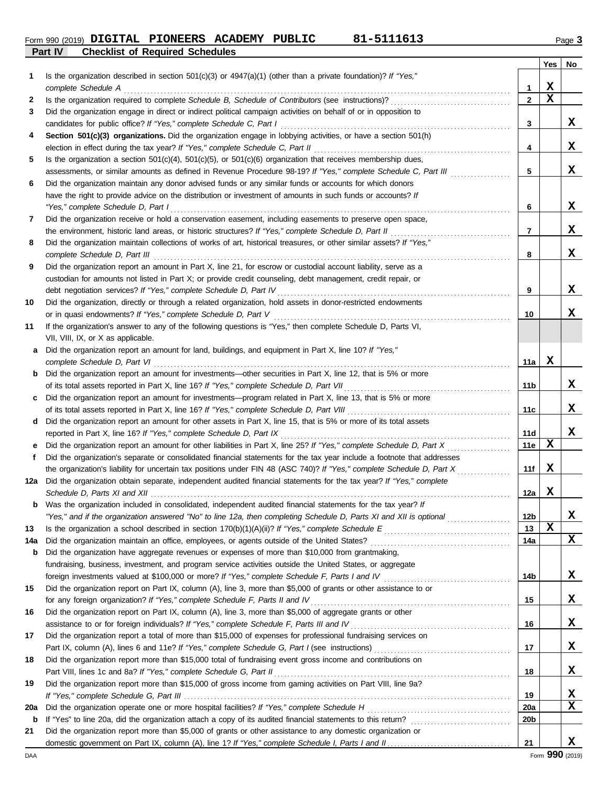**Part IV Checklist of Required Schedules Form 990 (2019) DIGITAL PIONEERS ACADEMY PUBLIC 81-5111613** Page 3

|     |                                                                                                                                                                                              |                   | Yes | No |
|-----|----------------------------------------------------------------------------------------------------------------------------------------------------------------------------------------------|-------------------|-----|----|
| 1   | Is the organization described in section $501(c)(3)$ or $4947(a)(1)$ (other than a private foundation)? If "Yes,"                                                                            |                   | X   |    |
| 2   | complete Schedule A                                                                                                                                                                          | 1<br>$\mathbf{2}$ | X   |    |
| З   | Did the organization engage in direct or indirect political campaign activities on behalf of or in opposition to                                                                             |                   |     |    |
|     | candidates for public office? If "Yes," complete Schedule C, Part I                                                                                                                          | 3                 |     | x  |
| 4   | Section 501(c)(3) organizations. Did the organization engage in lobbying activities, or have a section 501(h)                                                                                |                   |     |    |
|     | election in effect during the tax year? If "Yes," complete Schedule C, Part II                                                                                                               | 4                 |     | X  |
| 5   | Is the organization a section $501(c)(4)$ , $501(c)(5)$ , or $501(c)(6)$ organization that receives membership dues,                                                                         |                   |     |    |
|     | assessments, or similar amounts as defined in Revenue Procedure 98-19? If "Yes," complete Schedule C, Part III                                                                               | 5                 |     | x  |
| 6   | Did the organization maintain any donor advised funds or any similar funds or accounts for which donors                                                                                      |                   |     |    |
|     | have the right to provide advice on the distribution or investment of amounts in such funds or accounts? If                                                                                  |                   |     |    |
|     | "Yes," complete Schedule D, Part I                                                                                                                                                           | 6                 |     | X  |
| 7   | Did the organization receive or hold a conservation easement, including easements to preserve open space,                                                                                    |                   |     |    |
|     |                                                                                                                                                                                              | 7                 |     | X  |
| 8   | Did the organization maintain collections of works of art, historical treasures, or other similar assets? If "Yes,"                                                                          |                   |     |    |
|     | complete Schedule D, Part III                                                                                                                                                                | 8                 |     | X  |
| 9   | Did the organization report an amount in Part X, line 21, for escrow or custodial account liability, serve as a                                                                              |                   |     |    |
|     | custodian for amounts not listed in Part X; or provide credit counseling, debt management, credit repair, or                                                                                 |                   |     |    |
|     | debt negotiation services? If "Yes," complete Schedule D, Part IV                                                                                                                            | 9                 |     | х  |
| 10  | Did the organization, directly or through a related organization, hold assets in donor-restricted endowments                                                                                 |                   |     |    |
|     | or in quasi endowments? If "Yes," complete Schedule D, Part V                                                                                                                                | 10                |     | х  |
| 11  | If the organization's answer to any of the following questions is "Yes," then complete Schedule D, Parts VI,                                                                                 |                   |     |    |
|     | VII, VIII, IX, or X as applicable.                                                                                                                                                           |                   |     |    |
| a   | Did the organization report an amount for land, buildings, and equipment in Part X, line 10? If "Yes,"                                                                                       |                   |     |    |
|     | complete Schedule D, Part VI                                                                                                                                                                 | 11a               | x   |    |
| b   | Did the organization report an amount for investments—other securities in Part X, line 12, that is 5% or more                                                                                |                   |     |    |
|     | of its total assets reported in Part X, line 16? If "Yes," complete Schedule D, Part VII                                                                                                     | 11b               |     | х  |
|     | Did the organization report an amount for investments—program related in Part X, line 13, that is 5% or more                                                                                 |                   |     |    |
|     | of its total assets reported in Part X, line 16? If "Yes," complete Schedule D, Part VIII                                                                                                    | 11c               |     | х  |
| d   | Did the organization report an amount for other assets in Part X, line 15, that is 5% or more of its total assets                                                                            | 11d               |     | х  |
| е   | reported in Part X, line 16? If "Yes," complete Schedule D, Part IX<br>Did the organization report an amount for other liabilities in Part X, line 25? If "Yes," complete Schedule D, Part X | 11e               | х   |    |
| f   | Did the organization's separate or consolidated financial statements for the tax year include a footnote that addresses                                                                      |                   |     |    |
|     | the organization's liability for uncertain tax positions under FIN 48 (ASC 740)? If "Yes," complete Schedule D, Part X                                                                       | 11f               | X   |    |
| 12a | Did the organization obtain separate, independent audited financial statements for the tax year? If "Yes," complete                                                                          |                   |     |    |
|     |                                                                                                                                                                                              | 12a               | X   |    |
|     | <b>b</b> Was the organization included in consolidated, independent audited financial statements for the tax year? If                                                                        |                   |     |    |
|     | "Yes," and if the organization answered "No" to line 12a, then completing Schedule D, Parts XI and XII is optional                                                                           | 12 <sub>b</sub>   |     | X  |
| 13  |                                                                                                                                                                                              | 13                | X   |    |
| 14a |                                                                                                                                                                                              | 14a               |     | X  |
| b   | Did the organization have aggregate revenues or expenses of more than \$10,000 from grantmaking,                                                                                             |                   |     |    |
|     | fundraising, business, investment, and program service activities outside the United States, or aggregate                                                                                    |                   |     |    |
|     |                                                                                                                                                                                              | 14b               |     | X  |
| 15  | Did the organization report on Part IX, column (A), line 3, more than \$5,000 of grants or other assistance to or                                                                            |                   |     |    |
|     | for any foreign organization? If "Yes," complete Schedule F, Parts II and IV                                                                                                                 | 15                |     | X  |
| 16  | Did the organization report on Part IX, column (A), line 3, more than \$5,000 of aggregate grants or other                                                                                   |                   |     |    |
|     | assistance to or for foreign individuals? If "Yes," complete Schedule F, Parts III and IV [[[[[[[[[[[[[[[[[[[                                                                                | 16                |     | X  |
| 17  | Did the organization report a total of more than \$15,000 of expenses for professional fundraising services on                                                                               |                   |     |    |
|     |                                                                                                                                                                                              | 17                |     | X  |
| 18  | Did the organization report more than \$15,000 total of fundraising event gross income and contributions on                                                                                  |                   |     |    |
|     |                                                                                                                                                                                              | 18                |     | X  |
| 19  | Did the organization report more than \$15,000 of gross income from gaming activities on Part VIII, line 9a?                                                                                 |                   |     |    |
|     |                                                                                                                                                                                              | 19                |     | X  |
| 20a |                                                                                                                                                                                              | <b>20a</b>        |     | x  |
| b   |                                                                                                                                                                                              | 20 <sub>b</sub>   |     |    |
| 21  | Did the organization report more than \$5,000 of grants or other assistance to any domestic organization or                                                                                  | 21                |     | X  |
|     |                                                                                                                                                                                              |                   |     |    |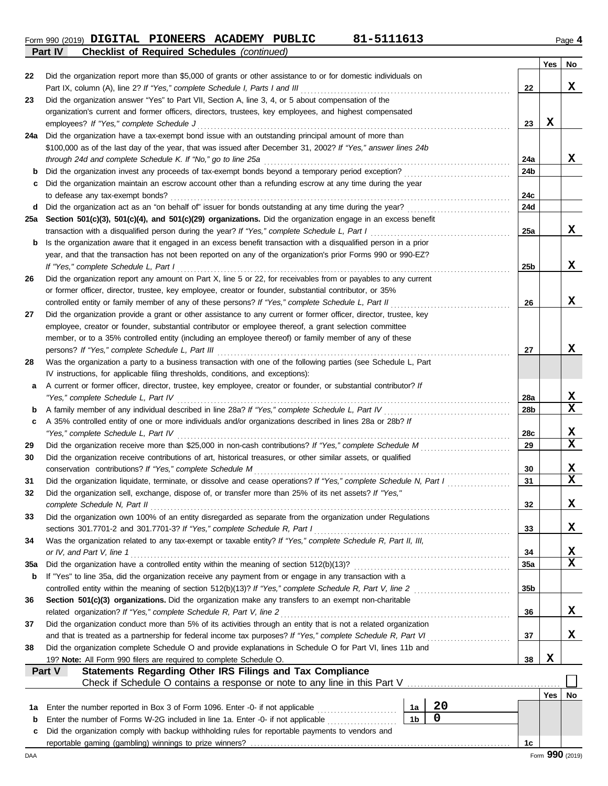**Form 990 (2019) DIGITAL PIONEERS ACADEMY PUBLIC 81-5111613** Page 4 **Part IV Checklist of Required Schedules** *(continued)*

|--|--|--|

|          |                                                                                                                                                                                                                               |                 | Yes | No               |
|----------|-------------------------------------------------------------------------------------------------------------------------------------------------------------------------------------------------------------------------------|-----------------|-----|------------------|
| 22       | Did the organization report more than \$5,000 of grants or other assistance to or for domestic individuals on                                                                                                                 |                 |     |                  |
|          | Part IX, column (A), line 2? If "Yes," complete Schedule I, Parts I and III                                                                                                                                                   | 22              |     | x                |
| 23       | Did the organization answer "Yes" to Part VII, Section A, line 3, 4, or 5 about compensation of the                                                                                                                           |                 |     |                  |
|          | organization's current and former officers, directors, trustees, key employees, and highest compensated                                                                                                                       |                 |     |                  |
|          | employees? If "Yes," complete Schedule J                                                                                                                                                                                      | 23              | X   |                  |
| 24a      | Did the organization have a tax-exempt bond issue with an outstanding principal amount of more than                                                                                                                           |                 |     |                  |
|          | \$100,000 as of the last day of the year, that was issued after December 31, 2002? If "Yes," answer lines 24b                                                                                                                 |                 |     |                  |
|          | through 24d and complete Schedule K. If "No," go to line 25a                                                                                                                                                                  | 24a             |     | x                |
| b        | Did the organization invest any proceeds of tax-exempt bonds beyond a temporary period exception?                                                                                                                             | 24b             |     |                  |
| с        | Did the organization maintain an escrow account other than a refunding escrow at any time during the year                                                                                                                     | 24c             |     |                  |
| d        | to defease any tax-exempt bonds?<br>Did the organization act as an "on behalf of" issuer for bonds outstanding at any time during the year?                                                                                   | <b>24d</b>      |     |                  |
| 25a      | Section 501(c)(3), 501(c)(4), and 501(c)(29) organizations. Did the organization engage in an excess benefit                                                                                                                  |                 |     |                  |
|          | transaction with a disqualified person during the year? If "Yes," complete Schedule L, Part I                                                                                                                                 | 25a             |     | X                |
| b        | Is the organization aware that it engaged in an excess benefit transaction with a disqualified person in a prior                                                                                                              |                 |     |                  |
|          | year, and that the transaction has not been reported on any of the organization's prior Forms 990 or 990-EZ?                                                                                                                  |                 |     |                  |
|          | If "Yes," complete Schedule L, Part I                                                                                                                                                                                         | 25 <sub>b</sub> |     | X                |
| 26       | Did the organization report any amount on Part X, line 5 or 22, for receivables from or payables to any current                                                                                                               |                 |     |                  |
|          | or former officer, director, trustee, key employee, creator or founder, substantial contributor, or 35%                                                                                                                       |                 |     |                  |
|          | controlled entity or family member of any of these persons? If "Yes," complete Schedule L, Part II                                                                                                                            | 26              |     | X                |
| 27       | Did the organization provide a grant or other assistance to any current or former officer, director, trustee, key                                                                                                             |                 |     |                  |
|          | employee, creator or founder, substantial contributor or employee thereof, a grant selection committee                                                                                                                        |                 |     |                  |
|          | member, or to a 35% controlled entity (including an employee thereof) or family member of any of these                                                                                                                        |                 |     |                  |
|          | persons? If "Yes," complete Schedule L, Part III                                                                                                                                                                              | 27              |     | х                |
| 28       | Was the organization a party to a business transaction with one of the following parties (see Schedule L, Part                                                                                                                |                 |     |                  |
|          | IV instructions, for applicable filing thresholds, conditions, and exceptions):                                                                                                                                               |                 |     |                  |
| а        | A current or former officer, director, trustee, key employee, creator or founder, or substantial contributor? If                                                                                                              |                 |     |                  |
|          | "Yes," complete Schedule L, Part IV                                                                                                                                                                                           | 28a             |     | X                |
| b        | A family member of any individual described in line 28a? If "Yes," complete Schedule L, Part IV                                                                                                                               | 28b             |     | $\mathbf x$      |
| c        | A 35% controlled entity of one or more individuals and/or organizations described in lines 28a or 28b? If                                                                                                                     |                 |     |                  |
|          | "Yes," complete Schedule L, Part IV                                                                                                                                                                                           | 28c             |     | X                |
| 29       |                                                                                                                                                                                                                               | 29              |     | $\mathbf x$      |
| 30       | Did the organization receive contributions of art, historical treasures, or other similar assets, or qualified                                                                                                                |                 |     |                  |
|          | conservation contributions? If "Yes," complete Schedule M                                                                                                                                                                     | 30<br>31        |     | X<br>$\mathbf x$ |
| 31<br>32 | Did the organization liquidate, terminate, or dissolve and cease operations? If "Yes," complete Schedule N, Part I<br>Did the organization sell, exchange, dispose of, or transfer more than 25% of its net assets? If "Yes," |                 |     |                  |
|          | complete Schedule N, Part II                                                                                                                                                                                                  | 32              |     | х                |
| 33       | Did the organization own 100% of an entity disregarded as separate from the organization under Regulations                                                                                                                    |                 |     |                  |
|          | sections 301.7701-2 and 301.7701-3? If "Yes," complete Schedule R, Part I                                                                                                                                                     | 33              |     | х                |
| 34       | Was the organization related to any tax-exempt or taxable entity? If "Yes," complete Schedule R, Part II, III,                                                                                                                |                 |     |                  |
|          | or IV, and Part V, line 1                                                                                                                                                                                                     | 34              |     | X                |
| 35a      |                                                                                                                                                                                                                               | 35a             |     | X                |
| b        | If "Yes" to line 35a, did the organization receive any payment from or engage in any transaction with a                                                                                                                       |                 |     |                  |
|          | controlled entity within the meaning of section 512(b)(13)? If "Yes," complete Schedule R, Part V, line 2                                                                                                                     | 35b             |     |                  |
| 36       | Section 501(c)(3) organizations. Did the organization make any transfers to an exempt non-charitable                                                                                                                          |                 |     |                  |
|          | related organization? If "Yes," complete Schedule R, Part V, line 2                                                                                                                                                           | 36              |     | X                |
| 37       | Did the organization conduct more than 5% of its activities through an entity that is not a related organization                                                                                                              |                 |     |                  |
|          | and that is treated as a partnership for federal income tax purposes? If "Yes," complete Schedule R, Part VI                                                                                                                  | 37              |     | x                |
| 38       | Did the organization complete Schedule O and provide explanations in Schedule O for Part VI, lines 11b and                                                                                                                    |                 |     |                  |
|          | 19? Note: All Form 990 filers are required to complete Schedule O.                                                                                                                                                            | 38              | X   |                  |
|          | <b>Statements Regarding Other IRS Filings and Tax Compliance</b><br>Part V                                                                                                                                                    |                 |     |                  |
|          |                                                                                                                                                                                                                               |                 |     |                  |
|          |                                                                                                                                                                                                                               |                 | Yes | No               |
| 1a       | 20<br>1a<br>Enter the number reported in Box 3 of Form 1096. Enter -0- if not applicable                                                                                                                                      |                 |     |                  |
| b        | 0<br>1 <sub>b</sub><br>Enter the number of Forms W-2G included in line 1a. Enter -0- if not applicable                                                                                                                        |                 |     |                  |
| c        | Did the organization comply with backup withholding rules for reportable payments to vendors and                                                                                                                              |                 |     |                  |
|          |                                                                                                                                                                                                                               | 1c              |     |                  |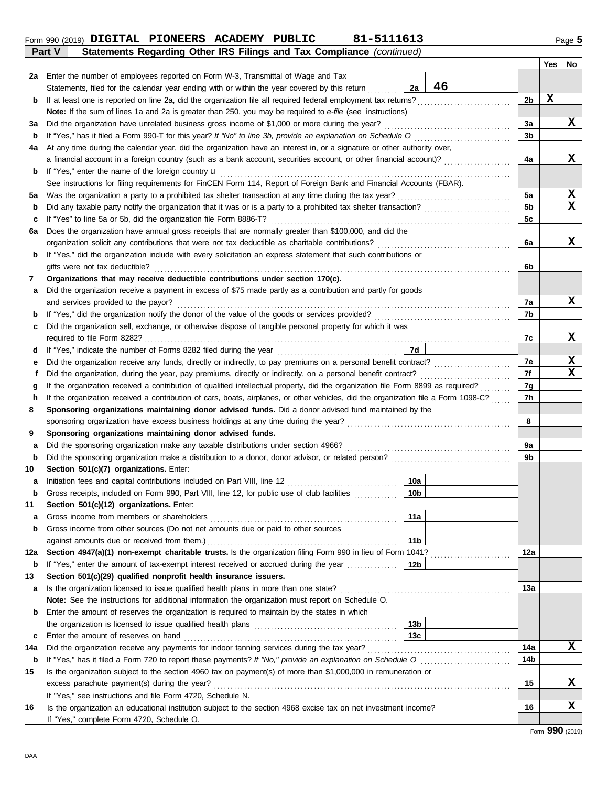DAA

| 11    | Section 501(c)(12) organizations. Enter:                                                                      |                 |     |   |
|-------|---------------------------------------------------------------------------------------------------------------|-----------------|-----|---|
| a     | Gross income from members or shareholders                                                                     | 11a             |     |   |
| b     | Gross income from other sources (Do not net amounts due or paid to other sources                              |                 |     |   |
|       | against amounts due or received from them.)                                                                   | 11 <sub>b</sub> |     |   |
| 12a l | Section 4947(a)(1) non-exempt charitable trusts. Is the organization filing Form 990 in lieu of Form 1041?    |                 | 12a |   |
| b     |                                                                                                               |                 |     |   |
| 13    | Section 501(c)(29) qualified nonprofit health insurance issuers.                                              |                 |     |   |
| a     | Is the organization licensed to issue qualified health plans in more than one state?                          |                 | 13a |   |
|       | <b>Note:</b> See the instructions for additional information the organization must report on Schedule O.      |                 |     |   |
| b     | Enter the amount of reserves the organization is required to maintain by the states in which                  |                 |     |   |
|       |                                                                                                               | 13 <sub>b</sub> |     |   |
| C     | Enter the amount of reserves on hand                                                                          | 13c             |     |   |
| 14a   | Did the organization receive any payments for indoor tanning services during the tax year?                    |                 | 14a | X |
| b     | If "Yes," has it filed a Form 720 to report these payments? If "No," provide an explanation on Schedule O     |                 | 14b |   |
| 15    | Is the organization subject to the section 4960 tax on payment(s) of more than \$1,000,000 in remuneration or |                 |     |   |
|       | excess parachute payment(s) during the year?                                                                  |                 | 15  | x |
|       | If "Yes," see instructions and file Form 4720, Schedule N.                                                    |                 |     |   |
|       |                                                                                                               |                 |     |   |

| b   | If "Yes," has it filed a Form 990-T for this year? If "No" to line 3b, provide an explanation on Schedule O                        |                 |  | 3b             |             |
|-----|------------------------------------------------------------------------------------------------------------------------------------|-----------------|--|----------------|-------------|
| 4a  | At any time during the calendar year, did the organization have an interest in, or a signature or other authority over,            |                 |  |                |             |
|     | a financial account in a foreign country (such as a bank account, securities account, or other financial account)?                 |                 |  | 4a             | X           |
| b   | If "Yes," enter the name of the foreign country <b>u</b>                                                                           |                 |  |                |             |
|     | See instructions for filing requirements for FinCEN Form 114, Report of Foreign Bank and Financial Accounts (FBAR).                |                 |  |                |             |
| 5a  | Was the organization a party to a prohibited tax shelter transaction at any time during the tax year?                              |                 |  | 5a             | X           |
| b   | Did any taxable party notify the organization that it was or is a party to a prohibited tax shelter transaction?                   |                 |  | 5 <sub>b</sub> | $\mathbf x$ |
| с   | If "Yes" to line 5a or 5b, did the organization file Form 8886-T?                                                                  |                 |  | 5c             |             |
| 6a  | Does the organization have annual gross receipts that are normally greater than \$100,000, and did the                             |                 |  |                |             |
|     | organization solicit any contributions that were not tax deductible as charitable contributions?                                   |                 |  | 6a             | X           |
| b   | If "Yes," did the organization include with every solicitation an express statement that such contributions or                     |                 |  |                |             |
|     | gifts were not tax deductible?                                                                                                     |                 |  | 6b             |             |
| 7   | Organizations that may receive deductible contributions under section 170(c).                                                      |                 |  |                |             |
| а   | Did the organization receive a payment in excess of \$75 made partly as a contribution and partly for goods                        |                 |  |                |             |
|     | and services provided to the payor?                                                                                                |                 |  | 7a             | X           |
| b   |                                                                                                                                    |                 |  | 7b             |             |
| c   | Did the organization sell, exchange, or otherwise dispose of tangible personal property for which it was                           |                 |  |                |             |
|     |                                                                                                                                    |                 |  | 7с             | X           |
| d   |                                                                                                                                    | 7d              |  |                |             |
| е   |                                                                                                                                    |                 |  | 7e             | X           |
| f   | Did the organization, during the year, pay premiums, directly or indirectly, on a personal benefit contract?                       |                 |  | 7f             | $\mathbf x$ |
| g   | If the organization received a contribution of qualified intellectual property, did the organization file Form 8899 as required?   |                 |  | 7g             |             |
| h   | If the organization received a contribution of cars, boats, airplanes, or other vehicles, did the organization file a Form 1098-C? |                 |  | 7h             |             |
| 8   | Sponsoring organizations maintaining donor advised funds. Did a donor advised fund maintained by the                               |                 |  |                |             |
|     | sponsoring organization have excess business holdings at any time during the year?                                                 |                 |  | 8              |             |
| 9   | Sponsoring organizations maintaining donor advised funds.                                                                          |                 |  |                |             |
| а   | Did the sponsoring organization make any taxable distributions under section 4966?                                                 |                 |  | 9а             |             |
| b   | Did the sponsoring organization make a distribution to a donor, donor advisor, or related person?                                  |                 |  | 9b             |             |
| 10  | Section 501(c)(7) organizations. Enter:                                                                                            |                 |  |                |             |
| а   | Initiation fees and capital contributions included on Part VIII, line 12                                                           | 10a             |  |                |             |
| b   | Gross receipts, included on Form 990, Part VIII, line 12, for public use of club facilities                                        | 10 <sub>b</sub> |  |                |             |
| 11  | Section 501(c)(12) organizations. Enter:                                                                                           |                 |  |                |             |
| а   | Gross income from members or shareholders                                                                                          | 11a             |  |                |             |
| b   | Gross income from other sources (Do not net amounts due or paid to other sources                                                   |                 |  |                |             |
|     | against amounts due or received from them.)                                                                                        | 11 <sub>b</sub> |  |                |             |
|     | 12a Section 4947(a)(1) non-exempt charitable trusts. Is the organization filing Form 990 in lieu of Form 1041?                     |                 |  | 12a            |             |
|     | <b>b</b> If "Yes," enter the amount of tax-exempt interest received or accrued during the year                                     | 12b             |  |                |             |
|     | Section 501(c)(29) qualified nonprofit health insurance issuers.                                                                   |                 |  |                |             |
| a   | Is the organization licensed to issue qualified health plans in more than one state?                                               |                 |  | 13а            |             |
|     | Note: See the instructions for additional information the organization must report on Schedule O.                                  |                 |  |                |             |
| b   | Enter the amount of reserves the organization is required to maintain by the states in which                                       |                 |  |                |             |
|     |                                                                                                                                    | 13 <sub>b</sub> |  |                |             |
| c   | Enter the amount of reserves on hand                                                                                               | 13 <sub>c</sub> |  |                |             |
| 14a | Did the organization receive any payments for indoor tanning services during the tax year?                                         |                 |  | 14a            | x           |
| b   | If "Yes," has it filed a Form 720 to report these payments? If "No," provide an explanation on Schedule O                          |                 |  | 14b            |             |
| 15  | Is the organization subject to the section 4960 tax on payment(s) of more than \$1,000,000 in remuneration or                      |                 |  | 15             | X           |
|     | excess parachute payment(s) during the year?                                                                                       |                 |  |                |             |
|     | If "Yes," see instructions and file Form 4720, Schedule N.                                                                         |                 |  |                |             |
| 16  | Is the organization an educational institution subject to the section 4968 excise tax on net investment income?                    |                 |  | 16             | X           |
|     | If "Yes," complete Form 4720, Schedule O.                                                                                          |                 |  |                |             |

#### **Part V Statements Regarding Other IRS Filings and Tax Compliance** *(continued)* **Form 990 (2019) DIGITAL PIONEERS ACADEMY PUBLIC 81-5111613** Page 5

**Note:** If the sum of lines 1a and 2a is greater than 250, you may be required to *e-file* (see instructions)

Statements, filed for the calendar year ending with or within the year covered by this return

**b** If at least one is reported on line 2a, did the organization file all required federal employment tax returns? . . . . . . . . . . . . . . . . . . . . . . . . . . . .

**3a** Did the organization have unrelated business gross income of \$1,000 or more during the year? . . . . . . . . . . . . . . . . . . . . . . . . . . . . . . . . . . . . . .

**2a** Enter the number of employees reported on Form W-3, Transmittal of Wage and Tax

**X**

**Yes No**

**X**

**2b**

**3a**

**2a**

**46**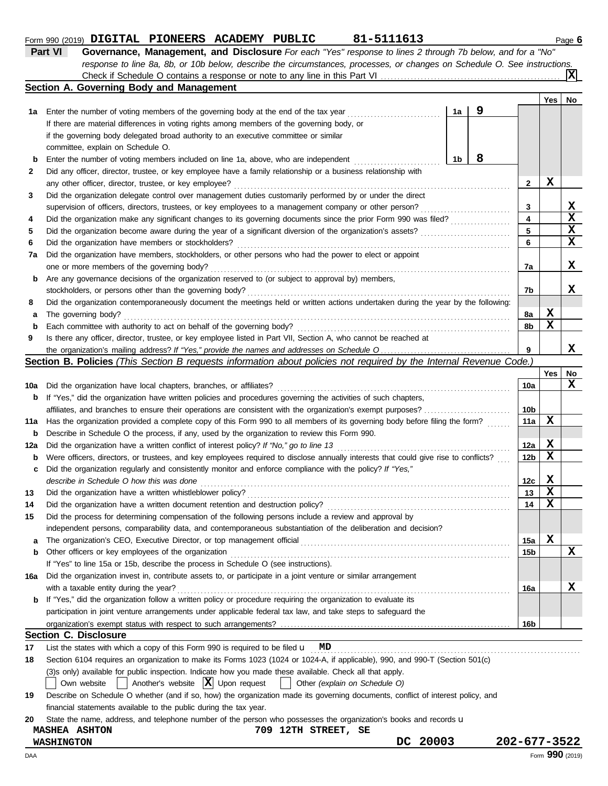| 1a Enter the number of voting members of the governing body at the end of the tax year     | 1a |
|--------------------------------------------------------------------------------------------|----|
| If there are material differences in voting rights among members of the governing body, or |    |
| if the governing body delegated broad authority to an executive committee or similar       |    |
| committee, explain on Schedule O.                                                          |    |

Check if Schedule O contains a response or note to any line in this Part VI

**Section A. Governing Body and Management**

|              | committee, explain on Schedule O.                                                                                                 |    |              |   |   |
|--------------|-----------------------------------------------------------------------------------------------------------------------------------|----|--------------|---|---|
| b            | Enter the number of voting members included on line 1a, above, who are independent                                                | 1b |              |   |   |
| $\mathbf{2}$ | Did any officer, director, trustee, or key employee have a family relationship or a business relationship with                    |    |              |   |   |
|              | any other officer, director, trustee, or key employee?                                                                            |    | $\mathbf{2}$ | x |   |
| 3            | Did the organization delegate control over management duties customarily performed by or under the direct                         |    |              |   |   |
|              | supervision of officers, directors, trustees, or key employees to a management company or other person?                           |    | 3            |   | x |
| 4            | Did the organization make any significant changes to its governing documents since the prior Form 990 was filed?                  |    | 4            |   | X |
| 5            | Did the organization become aware during the year of a significant diversion of the organization's assets?                        |    | 5.           |   | X |
| 6            | Did the organization have members or stockholders?                                                                                |    | 6            |   | X |
| 7a           | Did the organization have members, stockholders, or other persons who had the power to elect or appoint                           |    |              |   |   |
|              | one or more members of the governing body?                                                                                        |    | 7a           |   | x |
| b            | Are any governance decisions of the organization reserved to (or subject to approval by) members,                                 |    |              |   |   |
|              | stockholders, or persons other than the governing body?                                                                           |    | 7b           |   | x |
| 8            | Did the organization contemporaneously document the meetings held or written actions undertaken during the year by the following: |    |              |   |   |
| а            | The governing body?                                                                                                               |    | 8а           | х |   |
| b            | Each committee with authority to act on behalf of the governing body?                                                             |    | 8b           | х |   |
| 9            | Is there any officer, director, trustee, or key employee listed in Part VII, Section A, who cannot be reached at                  |    |              |   |   |
|              |                                                                                                                                   |    | 9            |   | х |

**Part VI Governance, Management, and Disclosure** *For each "Yes" response to lines 2 through 7b below, and for a "No"*

*response to line 8a, 8b, or 10b below, describe the circumstances, processes, or changes on Schedule O. See instructions.*

#### **Section B. Policies** *(This Section B requests information about policies not required by the Internal Revenue Code.)*

|     |                                                                                                                                     |                 | <b>Yes</b>  | No |
|-----|-------------------------------------------------------------------------------------------------------------------------------------|-----------------|-------------|----|
| 10a | Did the organization have local chapters, branches, or affiliates?                                                                  | 10a             |             | X  |
| b   | If "Yes," did the organization have written policies and procedures governing the activities of such chapters,                      |                 |             |    |
|     | affiliates, and branches to ensure their operations are consistent with the organization's exempt purposes?                         | 10 <sub>b</sub> |             |    |
| 11a | Has the organization provided a complete copy of this Form 990 to all members of its governing body before filing the form?         | 11a             | X           |    |
| b   | Describe in Schedule O the process, if any, used by the organization to review this Form 990.                                       |                 |             |    |
| 12a | Did the organization have a written conflict of interest policy? If "No," go to line 13                                             | 12a             | X           |    |
| b   | Were officers, directors, or trustees, and key employees required to disclose annually interests that could give rise to conflicts? | 12 <sub>b</sub> | $\mathbf x$ |    |
| C   | Did the organization regularly and consistently monitor and enforce compliance with the policy? If "Yes,"                           |                 |             |    |
|     | describe in Schedule O how this was done                                                                                            | 12 <sub>c</sub> | x           |    |
| 13  | Did the organization have a written whistleblower policy?                                                                           | 13              | X           |    |
| 14  | Did the organization have a written document retention and destruction policy?                                                      | 14              | $\mathbf x$ |    |
| 15  | Did the process for determining compensation of the following persons include a review and approval by                              |                 |             |    |
|     | independent persons, comparability data, and contemporaneous substantiation of the deliberation and decision?                       |                 |             |    |
| a   | The organization's CEO, Executive Director, or top management official                                                              | 15a             | X           |    |
| b   | Other officers or key employees of the organization                                                                                 | 15 <sub>b</sub> |             | X  |
|     | If "Yes" to line 15a or 15b, describe the process in Schedule O (see instructions).                                                 |                 |             |    |
| 16a | Did the organization invest in, contribute assets to, or participate in a joint venture or similar arrangement                      |                 |             |    |
|     | with a taxable entity during the year?                                                                                              | 16a             |             | X  |
| b   | If "Yes," did the organization follow a written policy or procedure requiring the organization to evaluate its                      |                 |             |    |
|     | participation in joint venture arrangements under applicable federal tax law, and take steps to safeguard the                       |                 |             |    |
|     |                                                                                                                                     | 16b             |             |    |
|     | <b>Section C. Disclosure</b>                                                                                                        |                 |             |    |
| 17  | List the states with which a copy of this Form 990 is required to be filed $\mathbf{u}$ MD                                          |                 |             |    |
| 18  | Section 6104 requires an organization to make its Forms 1023 (1024 or 1024-A, if applicable), 990, and 990-T (Section 501(c)        |                 |             |    |
|     | (3) sonly) available for public inspection. Indicate how you made these available. Check all that apply.                            |                 |             |    |
|     | Another's website $ \mathbf{X} $ Upon request<br>Own website    <br>Other (explain on Schedule O)<br><b>TELEVISION</b>              |                 |             |    |
|     |                                                                                                                                     |                 |             |    |

| 19 - | Describe on Schedule O whether (and if so, how) the organization made its governing documents, conflict of interest policy, and |
|------|---------------------------------------------------------------------------------------------------------------------------------|
|      | financial statements available to the public during the tax year.                                                               |

# **MASHEA ASHTON 709 12TH STREET, SE**

**Form 990 (2019) DIGITAL PIONEERS ACADEMY PUBLIC 81-5111613** Page 6

**X**

**Yes No**

**9**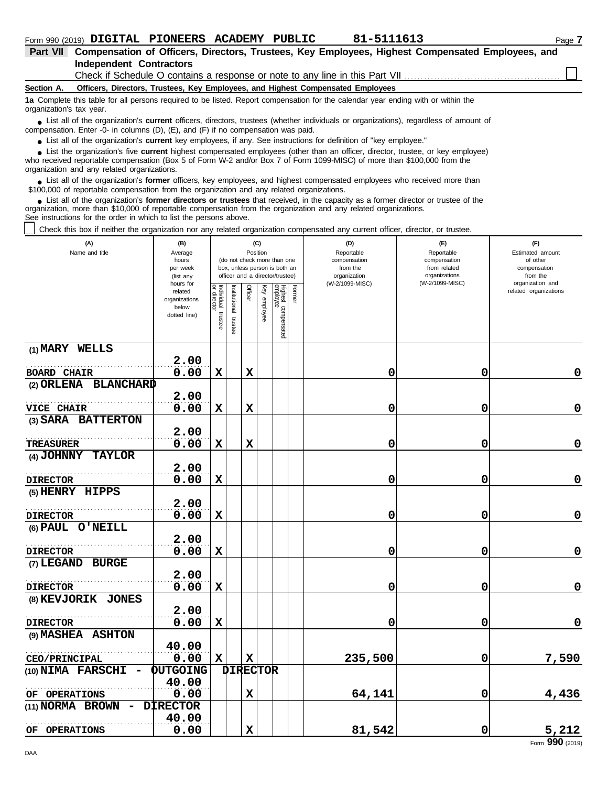| Part VII Compensation of Officers, Directors, Trustees, Key Employees, Highest Compensated Employees, and |  |
|-----------------------------------------------------------------------------------------------------------|--|
| Independent Contractors                                                                                   |  |

Check if Schedule O contains a response or note to any line in this Part VII

#### **Section A. Officers, Directors, Trustees, Key Employees, and Highest Compensated Employees**

**1a** Complete this table for all persons required to be listed. Report compensation for the calendar year ending with or within the organization's tax year.

■ List all of the organization's **current** officers, directors, trustees (whether individuals or organizations), regardless of amount of the companies of amount of compensation. Enter -0- in columns (D), (E), and (F) if no compensation was paid.

● List all of the organization's **current** key employees, if any. See instructions for definition of "key employee."

■ List the organization's five **current** highest compensated employees (other than an officer, director, trustee, or key employee)<br> **•** Preceived reportable compensation (Box 5 of Form W.2 and/or Box 7 of Form 1000 MISC)

who received reportable compensation (Box 5 of Form W-2 and/or Box 7 of Form 1099-MISC) of more than \$100,000 from the organization and any related organizations.

■ List all of the organization's **former** officers, key employees, and highest compensated employees who received more than<br> **•** 00,000 of reportable compensation from the ergonization and any related ergonizations \$100,000 of reportable compensation from the organization and any related organizations.

■ List all of the organization's **former directors or trustees** that received, in the capacity as a former director or trustee of the<br>paization, more than \$10,000 of reportable compensation from the organization and any r organization, more than \$10,000 of reportable compensation from the organization and any related organizations. See instructions for the order in which to list the persons above.

Check this box if neither the organization nor any related organization compensated any current officer, director, or trustee.

| (A)<br>Name and title                      | (B)<br>Average<br>hours<br>per week<br>(list any               | (C)<br>Position<br>(do not check more than one<br>box, unless person is both an<br>officer and a director/trustee) |                         |             |                 |                                 |               | (D)<br>Reportable<br>compensation<br>from the<br>organization | (E)<br>Reportable<br>compensation<br>from related<br>organizations | (F)<br>Estimated amount<br>of other<br>compensation<br>from the |  |
|--------------------------------------------|----------------------------------------------------------------|--------------------------------------------------------------------------------------------------------------------|-------------------------|-------------|-----------------|---------------------------------|---------------|---------------------------------------------------------------|--------------------------------------------------------------------|-----------------------------------------------------------------|--|
|                                            | hours for<br>related<br>organizations<br>below<br>dotted line) | Individual trustee<br>or director                                                                                  | nstitutional<br>trustee | Officer     | Ķey<br>employee | Highest compensated<br>employee | <b>Former</b> | (W-2/1099-MISC)                                               | (W-2/1099-MISC)                                                    | organization and<br>related organizations                       |  |
| (1) MARY WELLS                             |                                                                |                                                                                                                    |                         |             |                 |                                 |               |                                                               |                                                                    |                                                                 |  |
|                                            | 2.00<br>0.00                                                   | $\mathbf x$                                                                                                        |                         | X           |                 |                                 |               | 0                                                             | 0                                                                  | 0                                                               |  |
| <b>BOARD CHAIR</b><br>(2) ORLENA BLANCHARD |                                                                |                                                                                                                    |                         |             |                 |                                 |               |                                                               |                                                                    |                                                                 |  |
|                                            | 2.00                                                           |                                                                                                                    |                         |             |                 |                                 |               |                                                               |                                                                    |                                                                 |  |
| VICE CHAIR                                 | 0.00                                                           | $\mathbf x$                                                                                                        |                         | $\mathbf x$ |                 |                                 |               | 0                                                             | 0                                                                  | $\mathbf 0$                                                     |  |
| (3) SARA BATTERTON                         |                                                                |                                                                                                                    |                         |             |                 |                                 |               |                                                               |                                                                    |                                                                 |  |
|                                            | 2.00                                                           |                                                                                                                    |                         |             |                 |                                 |               |                                                               |                                                                    |                                                                 |  |
| <b>TREASURER</b>                           | 0.00                                                           | $\mathbf x$                                                                                                        |                         | $\mathbf x$ |                 |                                 |               | 0                                                             | 0                                                                  | $\mathbf 0$                                                     |  |
| (4) JOHNNY TAYLOR                          |                                                                |                                                                                                                    |                         |             |                 |                                 |               |                                                               |                                                                    |                                                                 |  |
|                                            | 2.00                                                           |                                                                                                                    |                         |             |                 |                                 |               |                                                               |                                                                    |                                                                 |  |
| <b>DIRECTOR</b>                            | 0.00                                                           | $\mathbf x$                                                                                                        |                         |             |                 |                                 |               | 0                                                             | 0                                                                  | $\mathbf 0$                                                     |  |
| (5) HENRY HIPPS                            |                                                                |                                                                                                                    |                         |             |                 |                                 |               |                                                               |                                                                    |                                                                 |  |
|                                            | 2.00                                                           |                                                                                                                    |                         |             |                 |                                 |               |                                                               |                                                                    |                                                                 |  |
| <b>DIRECTOR</b>                            | 0.00                                                           | $\mathbf x$                                                                                                        |                         |             |                 |                                 |               | 0                                                             | 0                                                                  | $\mathbf 0$                                                     |  |
| (6) PAUL O'NEILL                           |                                                                |                                                                                                                    |                         |             |                 |                                 |               |                                                               |                                                                    |                                                                 |  |
|                                            | 2.00<br>0.00                                                   | $\mathbf x$                                                                                                        |                         |             |                 |                                 |               | 0                                                             | 0                                                                  | $\mathbf 0$                                                     |  |
| <b>DIRECTOR</b><br>(7) LEGAND BURGE        |                                                                |                                                                                                                    |                         |             |                 |                                 |               |                                                               |                                                                    |                                                                 |  |
|                                            | 2.00                                                           |                                                                                                                    |                         |             |                 |                                 |               |                                                               |                                                                    |                                                                 |  |
| <b>DIRECTOR</b>                            | 0.00                                                           | $\mathbf x$                                                                                                        |                         |             |                 |                                 |               | 0                                                             | 0                                                                  | $\mathbf 0$                                                     |  |
| (8) KEVJORIK JONES                         |                                                                |                                                                                                                    |                         |             |                 |                                 |               |                                                               |                                                                    |                                                                 |  |
|                                            | 2.00                                                           |                                                                                                                    |                         |             |                 |                                 |               |                                                               |                                                                    |                                                                 |  |
| <b>DIRECTOR</b>                            | 0.00                                                           | $\mathbf x$                                                                                                        |                         |             |                 |                                 |               | 0                                                             | 0                                                                  | $\mathbf 0$                                                     |  |
| (9) MASHEA ASHTON                          |                                                                |                                                                                                                    |                         |             |                 |                                 |               |                                                               |                                                                    |                                                                 |  |
|                                            | 40.00                                                          |                                                                                                                    |                         |             |                 |                                 |               |                                                               |                                                                    |                                                                 |  |
| CEO/PRINCIPAL                              | 0.00                                                           | X                                                                                                                  |                         | $\mathbf x$ |                 |                                 |               | 235,500                                                       | $\mathbf 0$                                                        | 7,590                                                           |  |
| (10) NIMA FARSCHI                          | <b>QUTGOING</b>                                                |                                                                                                                    | <b>DIRECTOR</b>         |             |                 |                                 |               |                                                               |                                                                    |                                                                 |  |
|                                            | 40.00                                                          |                                                                                                                    |                         |             |                 |                                 |               |                                                               |                                                                    |                                                                 |  |
| OF OPERATIONS                              | 0.00                                                           |                                                                                                                    |                         | X           |                 |                                 |               | 64,141                                                        | 0                                                                  | 4,436                                                           |  |
| (11) NORMA BROWN                           | <b>DIRECTOR</b>                                                |                                                                                                                    |                         |             |                 |                                 |               |                                                               |                                                                    |                                                                 |  |
|                                            | 40.00                                                          |                                                                                                                    |                         |             |                 |                                 |               |                                                               |                                                                    |                                                                 |  |
| OF OPERATIONS                              | 0.00                                                           |                                                                                                                    |                         | $\mathbf x$ |                 |                                 |               | 81,542                                                        | $\mathbf 0$                                                        | 5,212<br>Form 990 (2019)                                        |  |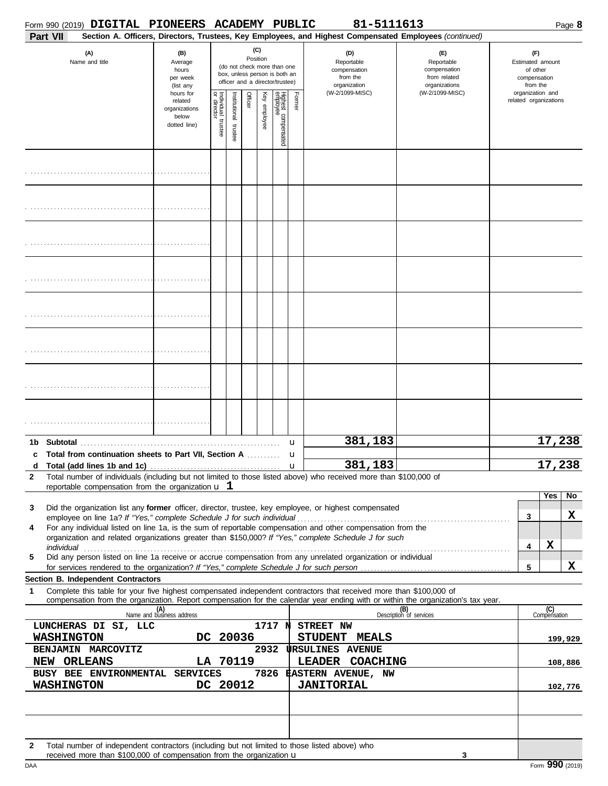|              |                                                                                                                                             |  | Form 990 (2019) DIGITAL PIONEERS ACADEMY PUBLIC                                         |                                        |                      |          |                 |                                                                    |        | 81-5111613                                                                                                                                                                                                                                                                                                                                      |                                                                                                                                                                    |                                                                       |                     | Page 8  |
|--------------|---------------------------------------------------------------------------------------------------------------------------------------------|--|-----------------------------------------------------------------------------------------|----------------------------------------|----------------------|----------|-----------------|--------------------------------------------------------------------|--------|-------------------------------------------------------------------------------------------------------------------------------------------------------------------------------------------------------------------------------------------------------------------------------------------------------------------------------------------------|--------------------------------------------------------------------------------------------------------------------------------------------------------------------|-----------------------------------------------------------------------|---------------------|---------|
|              | Part VII<br>(A)<br>Name and title                                                                                                           |  | (B)<br>Average<br>hours                                                                 |                                        |                      |          | (C)<br>Position | (do not check more than one<br>box, unless person is both an       |        | Section A. Officers, Directors, Trustees, Key Employees, and Highest Compensated Employees (continued)<br>(D)<br>Reportable<br>compensation<br>from the                                                                                                                                                                                         | (E)<br>Reportable<br>compensation<br>from related                                                                                                                  | (F)<br>Estimated amount<br>of other                                   |                     |         |
|              |                                                                                                                                             |  | per week<br>(list any<br>hours for<br>related<br>organizations<br>below<br>dotted line) | Individual 1<br>or director<br>trustee | nstitutional trustee | Officer  | Key employee    | officer and a director/trustee)<br>Highest compensated<br>employee | Former | organization<br>(W-2/1099-MISC)                                                                                                                                                                                                                                                                                                                 | organizations<br>(W-2/1099-MISC)                                                                                                                                   | compensation<br>from the<br>organization and<br>related organizations |                     |         |
|              |                                                                                                                                             |  |                                                                                         |                                        |                      |          |                 |                                                                    |        |                                                                                                                                                                                                                                                                                                                                                 |                                                                                                                                                                    |                                                                       |                     |         |
|              |                                                                                                                                             |  |                                                                                         |                                        |                      |          |                 |                                                                    |        |                                                                                                                                                                                                                                                                                                                                                 |                                                                                                                                                                    |                                                                       |                     |         |
|              |                                                                                                                                             |  |                                                                                         |                                        |                      |          |                 |                                                                    |        |                                                                                                                                                                                                                                                                                                                                                 |                                                                                                                                                                    |                                                                       |                     |         |
|              |                                                                                                                                             |  |                                                                                         |                                        |                      |          |                 |                                                                    |        |                                                                                                                                                                                                                                                                                                                                                 |                                                                                                                                                                    |                                                                       |                     |         |
|              |                                                                                                                                             |  |                                                                                         |                                        |                      |          |                 |                                                                    |        |                                                                                                                                                                                                                                                                                                                                                 |                                                                                                                                                                    |                                                                       |                     |         |
|              |                                                                                                                                             |  |                                                                                         |                                        |                      |          |                 |                                                                    |        |                                                                                                                                                                                                                                                                                                                                                 |                                                                                                                                                                    |                                                                       |                     |         |
|              |                                                                                                                                             |  |                                                                                         |                                        |                      |          |                 |                                                                    |        |                                                                                                                                                                                                                                                                                                                                                 |                                                                                                                                                                    |                                                                       |                     |         |
|              |                                                                                                                                             |  |                                                                                         |                                        |                      |          |                 |                                                                    |        |                                                                                                                                                                                                                                                                                                                                                 |                                                                                                                                                                    |                                                                       |                     |         |
|              |                                                                                                                                             |  | Total from continuation sheets to Part VII, Section A                                   |                                        |                      |          |                 |                                                                    | u<br>u | 381,183<br>381,183                                                                                                                                                                                                                                                                                                                              |                                                                                                                                                                    |                                                                       | 17,238<br>17, 238   |         |
| $\mathbf{2}$ |                                                                                                                                             |  | reportable compensation from the organization $\bf{u}$ 1                                |                                        |                      |          |                 |                                                                    |        | Total number of individuals (including but not limited to those listed above) who received more than \$100,000 of                                                                                                                                                                                                                               |                                                                                                                                                                    |                                                                       |                     |         |
| 3<br>4       |                                                                                                                                             |  |                                                                                         |                                        |                      |          |                 |                                                                    |        | Did the organization list any former officer, director, trustee, key employee, or highest compensated<br>For any individual listed on line 1a, is the sum of reportable compensation and other compensation from the<br>organization and related organizations greater than \$150,000? If "Yes," complete Schedule J for such                   |                                                                                                                                                                    | 3<br>4                                                                | Yes<br>X            | No<br>X |
| 5            |                                                                                                                                             |  |                                                                                         |                                        |                      |          |                 |                                                                    |        | individual with a construction of the construction of the construction of the construction of the construction of the construction of the construction of the construction of the construction of the construction of the cons<br>Did any person listed on line 1a receive or accrue compensation from any unrelated organization or individual |                                                                                                                                                                    | 5                                                                     |                     | X       |
| 1            | <b>Section B. Independent Contractors</b>                                                                                                   |  |                                                                                         |                                        |                      |          |                 |                                                                    |        | Complete this table for your five highest compensated independent contractors that received more than \$100,000 of                                                                                                                                                                                                                              |                                                                                                                                                                    |                                                                       |                     |         |
|              |                                                                                                                                             |  | (A)<br>Name and business address                                                        |                                        |                      |          |                 |                                                                    |        |                                                                                                                                                                                                                                                                                                                                                 | compensation from the organization. Report compensation for the calendar year ending with or within the organization's tax year.<br>(B)<br>Description of services |                                                                       | (C)<br>Compensation |         |
|              | LUNCHERAS DI SI, LLC<br><b>WASHINGTON</b>                                                                                                   |  |                                                                                         |                                        |                      | DC 20036 |                 | 1717 พ่                                                            |        | STREET NW<br>STUDENT MEALS                                                                                                                                                                                                                                                                                                                      |                                                                                                                                                                    |                                                                       |                     | 199,929 |
|              | BENJAMIN MARCOVITZ                                                                                                                          |  |                                                                                         |                                        |                      |          | 2932            |                                                                    |        | <b>URSULINES AVENUE</b><br>LEADER COACHING                                                                                                                                                                                                                                                                                                      |                                                                                                                                                                    |                                                                       |                     |         |
|              | LA 70119<br>NEW ORLEANS<br>7826 #ASTERN AVENUE, NW<br>BUSY BEE ENVIRONMENTAL SERVICES<br><b>WASHINGTON</b><br>DC 20012<br><b>JANITORIAL</b> |  |                                                                                         |                                        |                      |          |                 |                                                                    |        |                                                                                                                                                                                                                                                                                                                                                 |                                                                                                                                                                    |                                                                       | 108,886<br>102,776  |         |
|              |                                                                                                                                             |  |                                                                                         |                                        |                      |          |                 |                                                                    |        |                                                                                                                                                                                                                                                                                                                                                 |                                                                                                                                                                    |                                                                       |                     |         |
| 2            |                                                                                                                                             |  | received more than \$100,000 of compensation from the organization u                    |                                        |                      |          |                 |                                                                    |        | Total number of independent contractors (including but not limited to those listed above) who                                                                                                                                                                                                                                                   | 3                                                                                                                                                                  |                                                                       |                     |         |

DAA Form 990 (2019)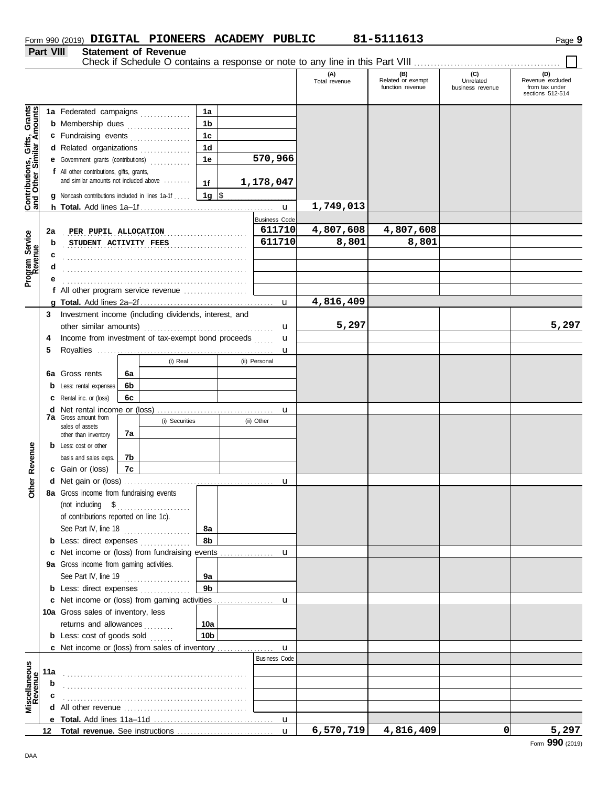|                  |                             | Form 990 (2019) DIGITAL PIONEERS ACADEMY PUBLIC |  | 81-5111613 | Page 9 |
|------------------|-----------------------------|-------------------------------------------------|--|------------|--------|
| <b>Part VIII</b> | <b>Statement of Revenue</b> |                                                 |  |            |        |

#### **Statement of Revenue**

Check if Schedule O contains a response or note to any line in this Part VIII . . . . . . . . . . . . . . . . . . . . . . . . . . . . . . . . . . . . . . . . . . . .

|                                                                  |             |                                                                                            |    |                |                 |  |                                | (A)<br>Total revenue | (B)<br>Related or exempt<br>function revenue | (C)<br>Unrelated<br>business revenue | (D)<br>Revenue excluded<br>from tax under<br>sections 512-514 |
|------------------------------------------------------------------|-------------|--------------------------------------------------------------------------------------------|----|----------------|-----------------|--|--------------------------------|----------------------|----------------------------------------------|--------------------------------------|---------------------------------------------------------------|
|                                                                  |             |                                                                                            |    |                |                 |  |                                |                      |                                              |                                      |                                                               |
| <b>Contributions, Gifts, Grants</b><br>and Other Similar Amounts |             | 1a Federated campaigns                                                                     |    |                | 1a              |  |                                |                      |                                              |                                      |                                                               |
|                                                                  |             | <b>b</b> Membership dues                                                                   |    |                | 1b              |  |                                |                      |                                              |                                      |                                                               |
|                                                                  |             | c Fundraising events                                                                       |    |                | 1c              |  |                                |                      |                                              |                                      |                                                               |
|                                                                  |             | d Related organizations                                                                    |    |                | 1 <sub>d</sub>  |  | 570,966                        |                      |                                              |                                      |                                                               |
|                                                                  |             | e Government grants (contributions)                                                        |    |                | 1e              |  |                                |                      |                                              |                                      |                                                               |
|                                                                  |             | <b>f</b> All other contributions, gifts, grants,<br>and similar amounts not included above |    |                |                 |  |                                |                      |                                              |                                      |                                                               |
|                                                                  |             |                                                                                            |    |                | 1f              |  | 1,178,047                      |                      |                                              |                                      |                                                               |
|                                                                  |             | <b>g</b> Noncash contributions included in lines 1a-1f                                     |    |                | 1g ∣\$          |  |                                | 1,749,013            |                                              |                                      |                                                               |
|                                                                  |             |                                                                                            |    |                |                 |  | $\mathbf u$                    |                      |                                              |                                      |                                                               |
|                                                                  | 2a          | PER PUPIL ALLOCATION                                                                       |    |                |                 |  | <b>Business Code</b><br>611710 | 4,807,608            | 4,807,608                                    |                                      |                                                               |
|                                                                  | b           | STUDENT ACTIVITY FEES                                                                      |    |                |                 |  | 611710                         | 8,801                | 8,801                                        |                                      |                                                               |
|                                                                  |             |                                                                                            |    |                |                 |  |                                |                      |                                              |                                      |                                                               |
| Program Service<br>Revenue                                       |             |                                                                                            |    |                |                 |  |                                |                      |                                              |                                      |                                                               |
|                                                                  |             |                                                                                            |    |                |                 |  |                                |                      |                                              |                                      |                                                               |
|                                                                  |             | f All other program service revenue $\ldots$ , $\ldots$ , $\ldots$                         |    |                |                 |  |                                |                      |                                              |                                      |                                                               |
|                                                                  |             |                                                                                            |    |                |                 |  | $\mathbf{u}$                   | 4,816,409            |                                              |                                      |                                                               |
|                                                                  | 3           | Investment income (including dividends, interest, and                                      |    |                |                 |  |                                |                      |                                              |                                      |                                                               |
|                                                                  |             |                                                                                            |    |                |                 |  | u                              | 5,297                |                                              |                                      | 5,297                                                         |
|                                                                  | 4           | Income from investment of tax-exempt bond proceeds                                         |    |                |                 |  | u                              |                      |                                              |                                      |                                                               |
|                                                                  | 5           |                                                                                            |    |                | u               |  |                                |                      |                                              |                                      |                                                               |
|                                                                  |             |                                                                                            |    | (i) Real       |                 |  | (ii) Personal                  |                      |                                              |                                      |                                                               |
|                                                                  |             | 6a Gross rents                                                                             | 6а |                |                 |  |                                |                      |                                              |                                      |                                                               |
|                                                                  |             | Less: rental expenses                                                                      | 6b |                |                 |  |                                |                      |                                              |                                      |                                                               |
|                                                                  |             | Rental inc. or (loss)                                                                      | 6c |                |                 |  |                                |                      |                                              |                                      |                                                               |
|                                                                  | d           | Net rental income or (loss)<br><b>7a</b> Gross amount from                                 |    |                |                 |  | u                              |                      |                                              |                                      |                                                               |
|                                                                  |             | sales of assets                                                                            |    | (i) Securities |                 |  | (ii) Other                     |                      |                                              |                                      |                                                               |
|                                                                  |             | other than inventory                                                                       | 7a |                |                 |  |                                |                      |                                              |                                      |                                                               |
| Revenue                                                          |             | <b>b</b> Less: cost or other                                                               |    |                |                 |  |                                |                      |                                              |                                      |                                                               |
|                                                                  |             | basis and sales exps.                                                                      | 7b |                |                 |  |                                |                      |                                              |                                      |                                                               |
|                                                                  |             | c Gain or (loss)                                                                           | 7c |                |                 |  |                                |                      |                                              |                                      |                                                               |
| Other                                                            |             |                                                                                            |    |                |                 |  | u                              |                      |                                              |                                      |                                                               |
|                                                                  |             | 8a Gross income from fundraising events<br>(not including \$                               |    |                |                 |  |                                |                      |                                              |                                      |                                                               |
|                                                                  |             | of contributions reported on line 1c).                                                     |    |                |                 |  |                                |                      |                                              |                                      |                                                               |
|                                                                  |             | See Part IV, line 18                                                                       |    |                | 8a              |  |                                |                      |                                              |                                      |                                                               |
|                                                                  |             | <b>b</b> Less: direct expenses                                                             |    |                | 8b              |  |                                |                      |                                              |                                      |                                                               |
|                                                                  | c           | Net income or (loss) from fundraising events                                               |    |                |                 |  | u                              |                      |                                              |                                      |                                                               |
|                                                                  |             | 9a Gross income from gaming activities.                                                    |    |                |                 |  |                                |                      |                                              |                                      |                                                               |
|                                                                  |             | See Part IV, line 19                                                                       |    |                | 9a              |  |                                |                      |                                              |                                      |                                                               |
|                                                                  |             | <b>b</b> Less: direct expenses <i>minimum</i>                                              |    |                | 9 <sub>b</sub>  |  |                                |                      |                                              |                                      |                                                               |
|                                                                  |             | c Net income or (loss) from gaming activities                                              |    |                |                 |  | u                              |                      |                                              |                                      |                                                               |
|                                                                  |             | 10a Gross sales of inventory, less                                                         |    |                |                 |  |                                |                      |                                              |                                      |                                                               |
|                                                                  |             | returns and allowances                                                                     |    |                | 10a             |  |                                |                      |                                              |                                      |                                                               |
|                                                                  |             | <b>b</b> Less: cost of goods sold                                                          |    |                | 10 <sub>b</sub> |  |                                |                      |                                              |                                      |                                                               |
|                                                                  |             | c Net income or (loss) from sales of inventory                                             |    |                |                 |  | $\mathbf{u}$                   |                      |                                              |                                      |                                                               |
|                                                                  |             |                                                                                            |    |                |                 |  | <b>Business Code</b>           |                      |                                              |                                      |                                                               |
|                                                                  | 11a         |                                                                                            |    |                |                 |  |                                |                      |                                              |                                      |                                                               |
|                                                                  | $\mathbf b$ |                                                                                            |    |                |                 |  |                                |                      |                                              |                                      |                                                               |
| Miscellaneous<br>Revenue                                         |             |                                                                                            |    |                |                 |  |                                |                      |                                              |                                      |                                                               |
|                                                                  |             |                                                                                            |    |                |                 |  |                                |                      |                                              |                                      |                                                               |
|                                                                  |             |                                                                                            |    |                |                 |  | $\mathbf u$                    | 6,570,719            | 4,816,409                                    | 0                                    | 5,297                                                         |
|                                                                  | 12          |                                                                                            |    |                |                 |  | $\mathbf{u}$                   |                      |                                              |                                      | nnn                                                           |

DAA

Form **990** (2019)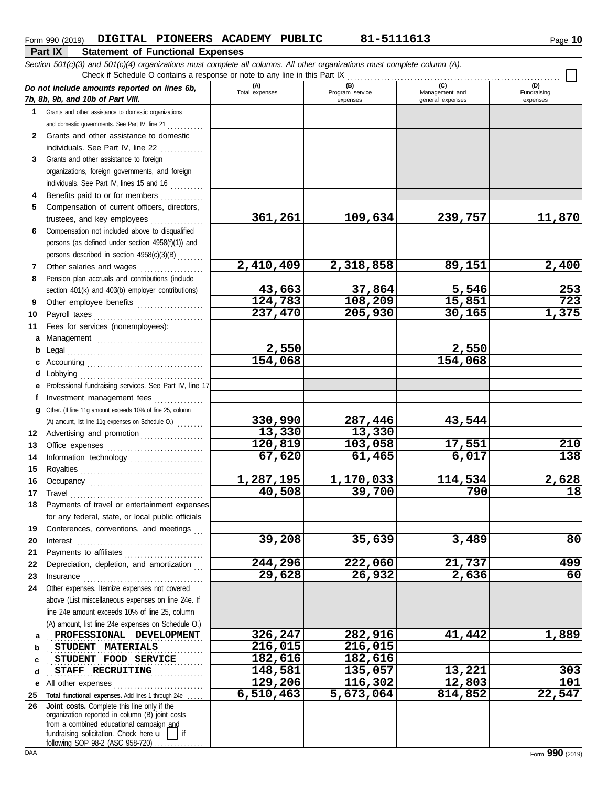|                | DIGITAL PIONEERS ACADEMY PUBLIC<br>Form 990 (2019)<br><b>Part IX</b><br><b>Statement of Functional Expenses</b>            |                       | 81-5111613                         |                                           | Page 10                        |
|----------------|----------------------------------------------------------------------------------------------------------------------------|-----------------------|------------------------------------|-------------------------------------------|--------------------------------|
|                | Section 501(c)(3) and 501(c)(4) organizations must complete all columns. All other organizations must complete column (A). |                       |                                    |                                           |                                |
|                | Check if Schedule O contains a response or note to any line in this Part IX                                                |                       |                                    |                                           |                                |
|                | Do not include amounts reported on lines 6b,<br>7b, 8b, 9b, and 10b of Part VIII.                                          | (A)<br>Total expenses | (B)<br>Program service<br>expenses | (C)<br>Management and<br>general expenses | (D)<br>Fundraising<br>expenses |
|                | 1 Grants and other assistance to domestic organizations                                                                    |                       |                                    |                                           |                                |
|                | and domestic governments. See Part IV, line 21                                                                             |                       |                                    |                                           |                                |
| $\mathbf{2}$   | Grants and other assistance to domestic<br>individuals. See Part IV, line 22                                               |                       |                                    |                                           |                                |
| 3              | Grants and other assistance to foreign                                                                                     |                       |                                    |                                           |                                |
|                | organizations, foreign governments, and foreign                                                                            |                       |                                    |                                           |                                |
|                | individuals. See Part IV, lines 15 and 16                                                                                  |                       |                                    |                                           |                                |
| 4              | Benefits paid to or for members                                                                                            |                       |                                    |                                           |                                |
| 5              | Compensation of current officers, directors,                                                                               |                       |                                    |                                           |                                |
|                | trustees, and key employees                                                                                                | 361,261               | 109,634                            | 239,757                                   | 11,870                         |
| 6              | Compensation not included above to disqualified                                                                            |                       |                                    |                                           |                                |
|                | persons (as defined under section 4958(f)(1)) and                                                                          |                       |                                    |                                           |                                |
|                | persons described in section 4958(c)(3)(B)                                                                                 |                       |                                    |                                           |                                |
| $\overline{7}$ | Other salaries and wages                                                                                                   | 2,410,409             | 2,318,858                          | 89,151                                    | 2,400                          |
| 8              | Pension plan accruals and contributions (include                                                                           |                       |                                    |                                           |                                |
|                | section 401(k) and 403(b) employer contributions)                                                                          | 43,663                | $\frac{37,864}{108,209}$           | 5,546                                     | <u>253</u>                     |
| 9              | Other employee benefits                                                                                                    | 124,783               |                                    | 15,851                                    | $\overline{723}$               |
| 10             |                                                                                                                            | 237,470               | 205,930                            | 30,165                                    | 1,375                          |
| 11             | Fees for services (nonemployees):                                                                                          |                       |                                    |                                           |                                |
|                |                                                                                                                            |                       |                                    |                                           |                                |
|                |                                                                                                                            | 2,550                 |                                    | 2,550                                     |                                |
|                |                                                                                                                            | 154,068               |                                    | 154,068                                   |                                |
|                | <b>d</b> Lobbying                                                                                                          |                       |                                    |                                           |                                |
| e              | Professional fundraising services. See Part IV, line 17                                                                    |                       |                                    |                                           |                                |
| f              | Investment management fees                                                                                                 |                       |                                    |                                           |                                |
|                | g Other. (If line 11g amount exceeds 10% of line 25, column                                                                |                       |                                    |                                           |                                |
|                | (A) amount, list line 11g expenses on Schedule O.)                                                                         | 330,990               | 287,446                            | 43,544                                    |                                |
|                | 12 Advertising and promotion                                                                                               | 13,330                | 13,330                             |                                           |                                |
| 13             |                                                                                                                            | 120,819               | 103,058                            | 17,551                                    | 210                            |
| 14             | Information technology                                                                                                     | 67,620                | 61,465                             | 6,017                                     | 138                            |
| 15             |                                                                                                                            |                       |                                    |                                           |                                |
| 16             |                                                                                                                            | 1,287,195             | 1,170,033                          | 114,534                                   | 2,628                          |
| 17             | Travel                                                                                                                     | 40,508                | 39,700                             | 790                                       | 18                             |

. . . . . . . . . . . . . . . . . . . . . . . . . . . . . . . . . . . . . . . . . . . . . . . **PROFESSIONAL DEVELOPMENT 326,247 282,916 41,442 1,889**

**39,208 35,639 3,489 80**

**244,296 222,060 21,737 499**

**129,206 116,302 12,803 101**

**6,510,463 5,673,064 814,852 22,547**

**29,628 26,932 2,636 60**

. . . . . . . . . . . . . . . . . . . . . . . . . . . . . . . . . . . . . . . . . . . . . . . **STAFF RECRUITING 148,581 135,057 13,221 303**

. . . . . . . . . . . . . . . . . . . . . . . . . . . . . . . . . . . . . . . . . . . . . . . **STUDENT MATERIALS 216,015 216,015 STUDENT FOOD SERVICE 182,616** 182,616

**26**

**19 20 21**

**23**

**a b c d**

**18** Payments of travel or entertainment expenses

for any federal, state, or local public officials Conferences, conventions, and meetings Interest . . . . . . . . . . . . . . . . . . . . . . . . . . . . . . . . . . . . . . Payments to affiliates . . . . . . . . . . . . . . . . . . . . . . . .

**22** Depreciation, depletion, and amortization . . .

Insurance . . . . . . . . . . . . . . . . . . . . . . . . . . . . . . . . . . . .

above (List miscellaneous expenses on line 24e. If line 24e amount exceeds 10% of line 25, column (A) amount, list line 24e expenses on Schedule O.)

**e** All other expenses . . . . . . . . . . . . . . . . . . . . . . . . . . . **25 Total functional expenses.** Add lines 1 through 24e . . . . .

fundraising solicitation. Check here  $\mathbf{u}$  | if organization reported in column (B) joint costs from a combined educational campaign and

**Joint costs.** Complete this line only if the

following SOP 98-2 (ASC 958-720)

**24** Other expenses. Itemize expenses not covered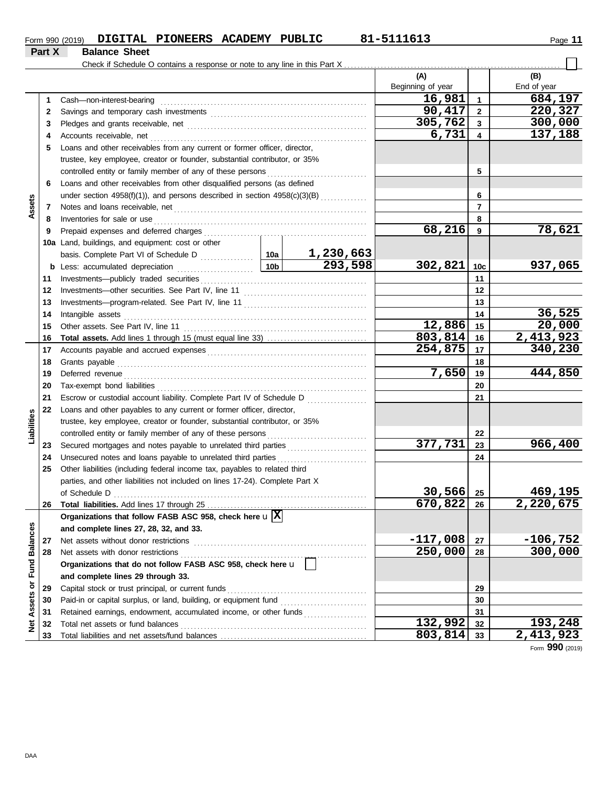| Form 990 (2019) | <b>DIGITAL</b> | <b>PIONEERS ACADEMY</b> | PUBLIC | 81-511161. | Page |
|-----------------|----------------|-------------------------|--------|------------|------|
|                 |                |                         |        |            |      |

|                         | Part X | <b>Balance Sheet</b>                                                                                                                                                                                                                                                                   |  |                             |                   |                        |                |
|-------------------------|--------|----------------------------------------------------------------------------------------------------------------------------------------------------------------------------------------------------------------------------------------------------------------------------------------|--|-----------------------------|-------------------|------------------------|----------------|
|                         |        |                                                                                                                                                                                                                                                                                        |  |                             |                   |                        |                |
|                         |        |                                                                                                                                                                                                                                                                                        |  |                             | (A)               |                        | (B)            |
|                         |        |                                                                                                                                                                                                                                                                                        |  |                             | Beginning of year |                        | End of year    |
|                         | 1      | Cash-non-interest-bearing                                                                                                                                                                                                                                                              |  |                             | 16,981            | $\mathbf{1}$           | 684,197        |
|                         | 2      |                                                                                                                                                                                                                                                                                        |  |                             | 90,417            | $\mathbf{2}$           | 220,327        |
|                         | 3      |                                                                                                                                                                                                                                                                                        |  |                             | 305,762           | 3                      | 300,000        |
|                         | 4      |                                                                                                                                                                                                                                                                                        |  |                             | 6,731             | 4                      | 137,188        |
|                         | 5      | Loans and other receivables from any current or former officer, director,                                                                                                                                                                                                              |  |                             |                   |                        |                |
|                         |        | trustee, key employee, creator or founder, substantial contributor, or 35%                                                                                                                                                                                                             |  |                             |                   |                        |                |
|                         |        |                                                                                                                                                                                                                                                                                        |  |                             |                   | 5                      |                |
|                         | 6      | Loans and other receivables from other disqualified persons (as defined                                                                                                                                                                                                                |  |                             |                   |                        |                |
|                         |        | under section 4958(f)(1)), and persons described in section 4958(c)(3)(B)                                                                                                                                                                                                              |  | 6                           |                   |                        |                |
| Assets                  | 7      |                                                                                                                                                                                                                                                                                        |  |                             | 7                 |                        |                |
|                         | 8      | Inventories for sale or use <i>construction</i> and <i>construction</i> and <i>construction</i> and <i>construction</i> and <i>construction</i> and <i>construction</i> and <i>construction</i> and <i>construction</i> and <i>construction</i> and <i>construction</i> and <i>con</i> |  |                             |                   | 8                      |                |
|                         | 9      |                                                                                                                                                                                                                                                                                        |  |                             | 68,216            | 9                      | 78,621         |
|                         |        | 10a Land, buildings, and equipment: cost or other                                                                                                                                                                                                                                      |  |                             |                   |                        |                |
|                         |        |                                                                                                                                                                                                                                                                                        |  | $\frac{1,230,663}{293,598}$ |                   |                        |                |
|                         |        |                                                                                                                                                                                                                                                                                        |  |                             | 302,821           | 10c                    | 937,065        |
|                         | 11     |                                                                                                                                                                                                                                                                                        |  |                             |                   | 11                     |                |
|                         | 12     |                                                                                                                                                                                                                                                                                        |  |                             | 12                |                        |                |
|                         | 13     |                                                                                                                                                                                                                                                                                        |  |                             | 13                |                        |                |
|                         | 14     | Intangible assets with a state of the contract of the state of the state of the state of the state of the state of the state of the state of the state of the state of the state of the state of the state of the state of the                                                         |  |                             | 14                | 36,525                 |                |
|                         | 15     |                                                                                                                                                                                                                                                                                        |  |                             | 12,886            | 15                     | 20,000         |
|                         | 16     |                                                                                                                                                                                                                                                                                        |  | 803,814                     | 16                | $\overline{2,413,923}$ |                |
|                         | 17     |                                                                                                                                                                                                                                                                                        |  | 254,875                     | 17                | 340, 230               |                |
|                         | 18     |                                                                                                                                                                                                                                                                                        |  |                             | 18                |                        |                |
|                         | 19     |                                                                                                                                                                                                                                                                                        |  | 7,650                       | 19                | 444,850                |                |
|                         | 20     |                                                                                                                                                                                                                                                                                        |  |                             |                   | 20                     |                |
|                         | 21     | Escrow or custodial account liability. Complete Part IV of Schedule D                                                                                                                                                                                                                  |  |                             |                   | 21                     |                |
|                         | 22     | Loans and other payables to any current or former officer, director,                                                                                                                                                                                                                   |  |                             |                   |                        |                |
|                         |        | trustee, key employee, creator or founder, substantial contributor, or 35%                                                                                                                                                                                                             |  |                             |                   |                        |                |
| Liabilities             |        |                                                                                                                                                                                                                                                                                        |  |                             | 377,731           | 22                     |                |
|                         | 23     | Secured mortgages and notes payable to unrelated third parties [[[[[[[[[[[[[[[[[[[[[[[[[[[[[]]]]]]]]                                                                                                                                                                                   |  |                             |                   | 23                     | 966,400        |
|                         | 24     | Unsecured notes and loans payable to unrelated third parties                                                                                                                                                                                                                           |  |                             |                   | 24                     |                |
|                         | 25     | Other liabilities (including federal income tax, payables to related third                                                                                                                                                                                                             |  |                             |                   |                        |                |
|                         |        | parties, and other liabilities not included on lines 17-24). Complete Part X<br>of Schedule D                                                                                                                                                                                          |  |                             | 30,566            | 25                     | <u>469,195</u> |
|                         | 26     |                                                                                                                                                                                                                                                                                        |  |                             | 670,822           | 26                     | 2,220,675      |
|                         |        | Organizations that follow FASB ASC 958, check here $\mathbf{u} \mathbf{X} $                                                                                                                                                                                                            |  |                             |                   |                        |                |
|                         |        | and complete lines 27, 28, 32, and 33.                                                                                                                                                                                                                                                 |  |                             |                   |                        |                |
|                         | 27     | Net assets without donor restrictions                                                                                                                                                                                                                                                  |  |                             | $-117,008$        | 27                     | $-106,752$     |
|                         | 28     | Net assets with donor restrictions                                                                                                                                                                                                                                                     |  |                             | 250,000           | 28                     | 300,000        |
|                         |        | Organizations that do not follow FASB ASC 958, check here u                                                                                                                                                                                                                            |  |                             |                   |                        |                |
|                         |        | and complete lines 29 through 33.                                                                                                                                                                                                                                                      |  |                             |                   |                        |                |
|                         | 29     | Capital stock or trust principal, or current funds                                                                                                                                                                                                                                     |  |                             | 29                |                        |                |
|                         | 30     |                                                                                                                                                                                                                                                                                        |  |                             |                   | 30                     |                |
| Assets or Fund Balances | 31     | Retained earnings, endowment, accumulated income, or other funds                                                                                                                                                                                                                       |  |                             |                   | 31                     |                |
| <b>Met</b>              | 32     | Total net assets or fund balances                                                                                                                                                                                                                                                      |  |                             | 132,992           | 32                     | <u>193,248</u> |
|                         | 33     |                                                                                                                                                                                                                                                                                        |  |                             | 803,814           | 33                     | 2,413,923      |

Form **990** (2019)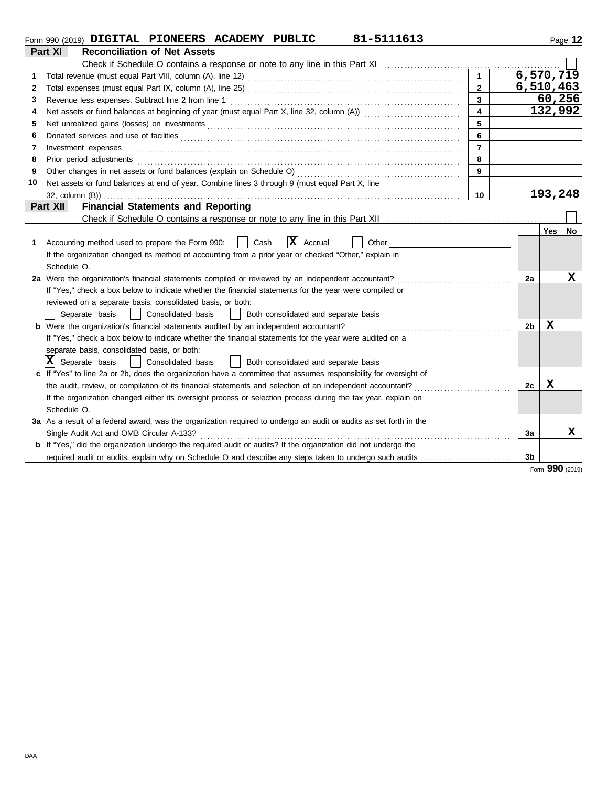|                                                       | 81-5111613<br>Form 990 (2019) DIGITAL PIONEERS ACADEMY PUBLIC                                                         |                         |                |         | Page 12 |  |  |  |  |  |
|-------------------------------------------------------|-----------------------------------------------------------------------------------------------------------------------|-------------------------|----------------|---------|---------|--|--|--|--|--|
|                                                       | Part XI<br><b>Reconciliation of Net Assets</b>                                                                        |                         |                |         |         |  |  |  |  |  |
|                                                       |                                                                                                                       |                         |                |         |         |  |  |  |  |  |
| 1                                                     |                                                                                                                       |                         | 6,570,719      |         |         |  |  |  |  |  |
| 2                                                     |                                                                                                                       | $\mathbf{2}$            | 6,510,463      |         |         |  |  |  |  |  |
| 3                                                     |                                                                                                                       | $\overline{\mathbf{3}}$ |                | 60,256  |         |  |  |  |  |  |
| 4                                                     |                                                                                                                       | $\overline{\mathbf{4}}$ |                | 132,992 |         |  |  |  |  |  |
| 5                                                     | 5                                                                                                                     |                         |                |         |         |  |  |  |  |  |
| 6                                                     |                                                                                                                       | 6                       |                |         |         |  |  |  |  |  |
| 7                                                     | Investment expenses                                                                                                   | $\overline{7}$          |                |         |         |  |  |  |  |  |
| 8                                                     | Prior period adjustments                                                                                              | 8                       |                |         |         |  |  |  |  |  |
| 9                                                     | Other changes in net assets or fund balances (explain on Schedule O)                                                  | 9                       |                |         |         |  |  |  |  |  |
| 10                                                    | Net assets or fund balances at end of year. Combine lines 3 through 9 (must equal Part X, line                        |                         |                |         |         |  |  |  |  |  |
|                                                       | $32$ , column $(B)$ )                                                                                                 | 10                      |                | 193,248 |         |  |  |  |  |  |
| <b>Financial Statements and Reporting</b><br>Part XII |                                                                                                                       |                         |                |         |         |  |  |  |  |  |
|                                                       |                                                                                                                       |                         |                |         |         |  |  |  |  |  |
|                                                       |                                                                                                                       |                         |                | Yes     | No      |  |  |  |  |  |
| 1                                                     | $ {\bf x} $<br>Accounting method used to prepare the Form 990:<br>Accrual<br>Cash<br>Other                            |                         |                |         |         |  |  |  |  |  |
|                                                       | If the organization changed its method of accounting from a prior year or checked "Other," explain in                 |                         |                |         |         |  |  |  |  |  |
|                                                       | Schedule O.                                                                                                           |                         |                |         |         |  |  |  |  |  |
|                                                       | 2a Were the organization's financial statements compiled or reviewed by an independent accountant?                    |                         | 2a             |         | x       |  |  |  |  |  |
|                                                       | If "Yes," check a box below to indicate whether the financial statements for the year were compiled or                |                         |                |         |         |  |  |  |  |  |
|                                                       | reviewed on a separate basis, consolidated basis, or both:                                                            |                         |                |         |         |  |  |  |  |  |
|                                                       | Separate basis<br>  Consolidated basis<br>  Both consolidated and separate basis                                      |                         |                |         |         |  |  |  |  |  |
|                                                       | <b>b</b> Were the organization's financial statements audited by an independent accountant?                           |                         | 2b             | x       |         |  |  |  |  |  |
|                                                       | If "Yes," check a box below to indicate whether the financial statements for the year were audited on a               |                         |                |         |         |  |  |  |  |  |
|                                                       | separate basis, consolidated basis, or both:                                                                          |                         |                |         |         |  |  |  |  |  |
|                                                       | $ \mathbf{X} $ Separate basis<br>Consolidated basis<br>  Both consolidated and separate basis<br>$\Box$               |                         |                |         |         |  |  |  |  |  |
|                                                       | c If "Yes" to line 2a or 2b, does the organization have a committee that assumes responsibility for oversight of      |                         |                |         |         |  |  |  |  |  |
|                                                       | the audit, review, or compilation of its financial statements and selection of an independent accountant?             |                         | 2c             | X       |         |  |  |  |  |  |
|                                                       | If the organization changed either its oversight process or selection process during the tax year, explain on         |                         |                |         |         |  |  |  |  |  |
|                                                       | Schedule O.                                                                                                           |                         |                |         |         |  |  |  |  |  |
|                                                       | 3a As a result of a federal award, was the organization required to undergo an audit or audits as set forth in the    |                         |                |         |         |  |  |  |  |  |
|                                                       | Single Audit Act and OMB Circular A-133?                                                                              |                         | За             |         | x       |  |  |  |  |  |
|                                                       | <b>b</b> If "Yes," did the organization undergo the required audit or audits? If the organization did not undergo the |                         |                |         |         |  |  |  |  |  |
|                                                       | required audit or audits, explain why on Schedule O and describe any steps taken to undergo such audits               |                         | 3 <sub>b</sub> |         |         |  |  |  |  |  |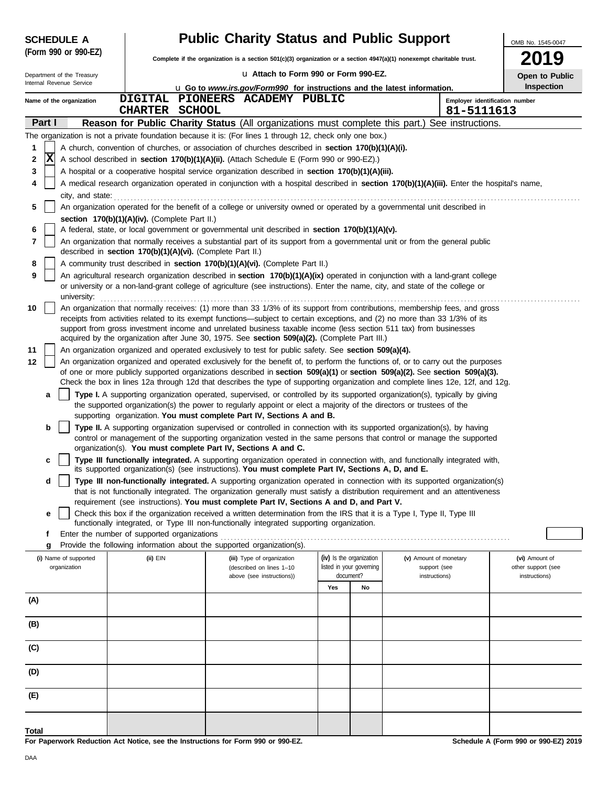|        | <b>SCHEDULE A</b>                                                                                                                             |                                                            | <b>Public Charity Status and Public Support</b> |                                                                                                           |     |                                                      |                                                                                                                                                                                                                                                                        |                                      |  |  |  |  |  |
|--------|-----------------------------------------------------------------------------------------------------------------------------------------------|------------------------------------------------------------|-------------------------------------------------|-----------------------------------------------------------------------------------------------------------|-----|------------------------------------------------------|------------------------------------------------------------------------------------------------------------------------------------------------------------------------------------------------------------------------------------------------------------------------|--------------------------------------|--|--|--|--|--|
|        | (Form 990 or 990-EZ)                                                                                                                          |                                                            |                                                 |                                                                                                           |     |                                                      | Complete if the organization is a section 501(c)(3) organization or a section 4947(a)(1) nonexempt charitable trust.                                                                                                                                                   |                                      |  |  |  |  |  |
|        | Department of the Treasury                                                                                                                    |                                                            |                                                 | La Attach to Form 990 or Form 990-EZ.                                                                     |     |                                                      |                                                                                                                                                                                                                                                                        | Open to Public                       |  |  |  |  |  |
|        | Internal Revenue Service                                                                                                                      |                                                            |                                                 | <b>u</b> Go to www.irs.gov/Form990 for instructions and the latest information.                           |     |                                                      |                                                                                                                                                                                                                                                                        | Inspection                           |  |  |  |  |  |
|        | Name of the organization                                                                                                                      |                                                            |                                                 | DIGITAL PIONEERS ACADEMY PUBLIC                                                                           |     |                                                      | Employer identification number                                                                                                                                                                                                                                         |                                      |  |  |  |  |  |
|        |                                                                                                                                               | <b>CHARTER SCHOOL</b>                                      |                                                 |                                                                                                           |     |                                                      | 81-5111613                                                                                                                                                                                                                                                             |                                      |  |  |  |  |  |
|        | Part I                                                                                                                                        |                                                            |                                                 |                                                                                                           |     |                                                      | Reason for Public Charity Status (All organizations must complete this part.) See instructions.                                                                                                                                                                        |                                      |  |  |  |  |  |
|        |                                                                                                                                               |                                                            |                                                 | The organization is not a private foundation because it is: (For lines 1 through 12, check only one box.) |     |                                                      |                                                                                                                                                                                                                                                                        |                                      |  |  |  |  |  |
| 1      | X                                                                                                                                             |                                                            |                                                 | A church, convention of churches, or association of churches described in <b>section 170(b)(1)(A)(i).</b> |     |                                                      |                                                                                                                                                                                                                                                                        |                                      |  |  |  |  |  |
| 2      |                                                                                                                                               |                                                            |                                                 | A school described in section 170(b)(1)(A)(ii). (Attach Schedule E (Form 990 or 990-EZ).)                 |     |                                                      |                                                                                                                                                                                                                                                                        |                                      |  |  |  |  |  |
| 3<br>4 |                                                                                                                                               |                                                            |                                                 | A hospital or a cooperative hospital service organization described in section 170(b)(1)(A)(iii).         |     |                                                      | A medical research organization operated in conjunction with a hospital described in section 170(b)(1)(A)(iii). Enter the hospital's name,                                                                                                                             |                                      |  |  |  |  |  |
|        |                                                                                                                                               |                                                            |                                                 |                                                                                                           |     |                                                      |                                                                                                                                                                                                                                                                        |                                      |  |  |  |  |  |
| 5      | city, and state:<br>An organization operated for the benefit of a college or university owned or operated by a governmental unit described in |                                                            |                                                 |                                                                                                           |     |                                                      |                                                                                                                                                                                                                                                                        |                                      |  |  |  |  |  |
|        |                                                                                                                                               | section 170(b)(1)(A)(iv). (Complete Part II.)              |                                                 |                                                                                                           |     |                                                      |                                                                                                                                                                                                                                                                        |                                      |  |  |  |  |  |
| 6      |                                                                                                                                               |                                                            |                                                 | A federal, state, or local government or governmental unit described in section 170(b)(1)(A)(v).          |     |                                                      |                                                                                                                                                                                                                                                                        |                                      |  |  |  |  |  |
| 7      |                                                                                                                                               |                                                            |                                                 |                                                                                                           |     |                                                      | An organization that normally receives a substantial part of its support from a governmental unit or from the general public                                                                                                                                           |                                      |  |  |  |  |  |
|        |                                                                                                                                               | described in section 170(b)(1)(A)(vi). (Complete Part II.) |                                                 |                                                                                                           |     |                                                      |                                                                                                                                                                                                                                                                        |                                      |  |  |  |  |  |
| 8      |                                                                                                                                               |                                                            |                                                 | A community trust described in section 170(b)(1)(A)(vi). (Complete Part II.)                              |     |                                                      |                                                                                                                                                                                                                                                                        |                                      |  |  |  |  |  |
| 9      |                                                                                                                                               |                                                            |                                                 |                                                                                                           |     |                                                      | An agricultural research organization described in <b>section 170(b)(1)(A)(ix)</b> operated in conjunction with a land-grant college<br>or university or a non-land-grant college of agriculture (see instructions). Enter the name, city, and state of the college or |                                      |  |  |  |  |  |
|        | university:                                                                                                                                   |                                                            |                                                 |                                                                                                           |     |                                                      |                                                                                                                                                                                                                                                                        |                                      |  |  |  |  |  |
| 10     |                                                                                                                                               |                                                            |                                                 |                                                                                                           |     |                                                      | An organization that normally receives: (1) more than 33 1/3% of its support from contributions, membership fees, and gross<br>receipts from activities related to its exempt functions—subject to certain exceptions, and (2) no more than 33 1/3% of its             |                                      |  |  |  |  |  |
|        |                                                                                                                                               |                                                            |                                                 |                                                                                                           |     |                                                      | support from gross investment income and unrelated business taxable income (less section 511 tax) from businesses                                                                                                                                                      |                                      |  |  |  |  |  |
|        |                                                                                                                                               |                                                            |                                                 | acquired by the organization after June 30, 1975. See section 509(a)(2). (Complete Part III.)             |     |                                                      |                                                                                                                                                                                                                                                                        |                                      |  |  |  |  |  |
| 11     |                                                                                                                                               |                                                            |                                                 | An organization organized and operated exclusively to test for public safety. See section 509(a)(4).      |     |                                                      |                                                                                                                                                                                                                                                                        |                                      |  |  |  |  |  |
| 12     |                                                                                                                                               |                                                            |                                                 |                                                                                                           |     |                                                      | An organization organized and operated exclusively for the benefit of, to perform the functions of, or to carry out the purposes<br>of one or more publicly supported organizations described in section 509(a)(1) or section 509(a)(2). See section 509(a)(3).        |                                      |  |  |  |  |  |
|        |                                                                                                                                               |                                                            |                                                 |                                                                                                           |     |                                                      | Check the box in lines 12a through 12d that describes the type of supporting organization and complete lines 12e, 12f, and 12g.                                                                                                                                        |                                      |  |  |  |  |  |
|        | a                                                                                                                                             |                                                            |                                                 |                                                                                                           |     |                                                      | Type I. A supporting organization operated, supervised, or controlled by its supported organization(s), typically by giving                                                                                                                                            |                                      |  |  |  |  |  |
|        |                                                                                                                                               |                                                            |                                                 |                                                                                                           |     |                                                      | the supported organization(s) the power to regularly appoint or elect a majority of the directors or trustees of the                                                                                                                                                   |                                      |  |  |  |  |  |
|        |                                                                                                                                               |                                                            |                                                 | supporting organization. You must complete Part IV, Sections A and B.                                     |     |                                                      |                                                                                                                                                                                                                                                                        |                                      |  |  |  |  |  |
|        | b                                                                                                                                             |                                                            |                                                 |                                                                                                           |     |                                                      | Type II. A supporting organization supervised or controlled in connection with its supported organization(s), by having<br>control or management of the supporting organization vested in the same persons that control or manage the supported                        |                                      |  |  |  |  |  |
|        |                                                                                                                                               |                                                            |                                                 | organization(s). You must complete Part IV, Sections A and C.                                             |     |                                                      |                                                                                                                                                                                                                                                                        |                                      |  |  |  |  |  |
|        | c                                                                                                                                             |                                                            |                                                 |                                                                                                           |     |                                                      | Type III functionally integrated. A supporting organization operated in connection with, and functionally integrated with,                                                                                                                                             |                                      |  |  |  |  |  |
|        |                                                                                                                                               |                                                            |                                                 | its supported organization(s) (see instructions). You must complete Part IV, Sections A, D, and E.        |     |                                                      |                                                                                                                                                                                                                                                                        |                                      |  |  |  |  |  |
|        | d                                                                                                                                             |                                                            |                                                 |                                                                                                           |     |                                                      | Type III non-functionally integrated. A supporting organization operated in connection with its supported organization(s)<br>that is not functionally integrated. The organization generally must satisfy a distribution requirement and an attentiveness              |                                      |  |  |  |  |  |
|        |                                                                                                                                               |                                                            |                                                 | requirement (see instructions). You must complete Part IV, Sections A and D, and Part V.                  |     |                                                      |                                                                                                                                                                                                                                                                        |                                      |  |  |  |  |  |
|        | е                                                                                                                                             |                                                            |                                                 |                                                                                                           |     |                                                      | Check this box if the organization received a written determination from the IRS that it is a Type I, Type II, Type III                                                                                                                                                |                                      |  |  |  |  |  |
|        |                                                                                                                                               |                                                            |                                                 | functionally integrated, or Type III non-functionally integrated supporting organization.                 |     |                                                      |                                                                                                                                                                                                                                                                        |                                      |  |  |  |  |  |
|        | f                                                                                                                                             | Enter the number of supported organizations                |                                                 |                                                                                                           |     |                                                      |                                                                                                                                                                                                                                                                        |                                      |  |  |  |  |  |
|        | g                                                                                                                                             |                                                            |                                                 | Provide the following information about the supported organization(s).                                    |     |                                                      |                                                                                                                                                                                                                                                                        |                                      |  |  |  |  |  |
|        | (i) Name of supported<br>organization                                                                                                         | (ii) EIN                                                   |                                                 | (iii) Type of organization<br>(described on lines 1-10                                                    |     | (iv) Is the organization<br>listed in your governing | (v) Amount of monetary<br>support (see                                                                                                                                                                                                                                 | (vi) Amount of<br>other support (see |  |  |  |  |  |
|        |                                                                                                                                               |                                                            |                                                 | above (see instructions))                                                                                 |     | document?                                            | instructions)                                                                                                                                                                                                                                                          | instructions)                        |  |  |  |  |  |
|        |                                                                                                                                               |                                                            |                                                 |                                                                                                           | Yes | No                                                   |                                                                                                                                                                                                                                                                        |                                      |  |  |  |  |  |
| (A)    |                                                                                                                                               |                                                            |                                                 |                                                                                                           |     |                                                      |                                                                                                                                                                                                                                                                        |                                      |  |  |  |  |  |
|        |                                                                                                                                               |                                                            |                                                 |                                                                                                           |     |                                                      |                                                                                                                                                                                                                                                                        |                                      |  |  |  |  |  |
| (B)    |                                                                                                                                               |                                                            |                                                 |                                                                                                           |     |                                                      |                                                                                                                                                                                                                                                                        |                                      |  |  |  |  |  |
| (C)    |                                                                                                                                               |                                                            |                                                 |                                                                                                           |     |                                                      |                                                                                                                                                                                                                                                                        |                                      |  |  |  |  |  |
|        |                                                                                                                                               |                                                            |                                                 |                                                                                                           |     |                                                      |                                                                                                                                                                                                                                                                        |                                      |  |  |  |  |  |
| (D)    |                                                                                                                                               |                                                            |                                                 |                                                                                                           |     |                                                      |                                                                                                                                                                                                                                                                        |                                      |  |  |  |  |  |
|        |                                                                                                                                               |                                                            |                                                 |                                                                                                           |     |                                                      |                                                                                                                                                                                                                                                                        |                                      |  |  |  |  |  |
| (E)    |                                                                                                                                               |                                                            |                                                 |                                                                                                           |     |                                                      |                                                                                                                                                                                                                                                                        |                                      |  |  |  |  |  |
|        |                                                                                                                                               |                                                            |                                                 |                                                                                                           |     |                                                      |                                                                                                                                                                                                                                                                        |                                      |  |  |  |  |  |
|        |                                                                                                                                               |                                                            |                                                 |                                                                                                           |     |                                                      |                                                                                                                                                                                                                                                                        |                                      |  |  |  |  |  |
| Total  |                                                                                                                                               |                                                            |                                                 | For Department Poduction, Act Notice, can the Instructions for Form 000 or 000 FZ                         |     |                                                      |                                                                                                                                                                                                                                                                        | Schodule A (Form 000 or 000 EZ) 2010 |  |  |  |  |  |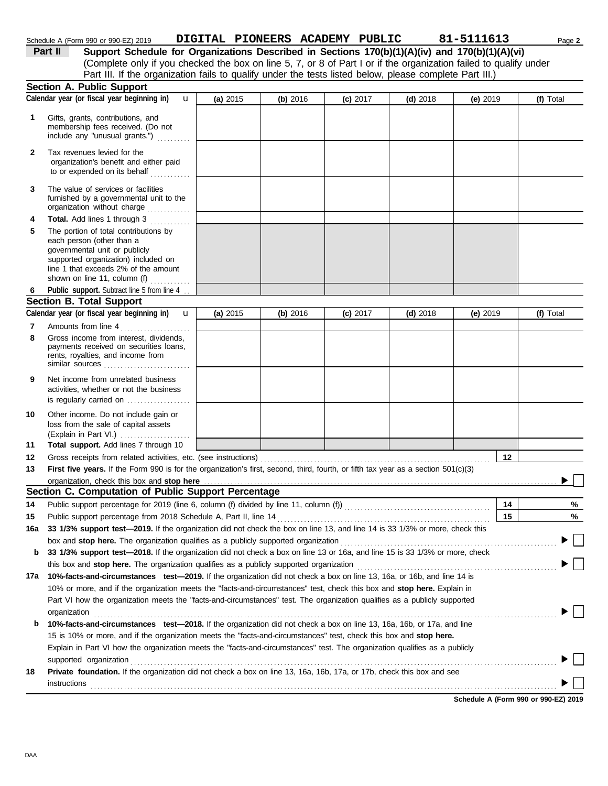| Schedule A (Form 990 or 990-EZ) 2019 | DIGITAL PIONEERS ACADEMY PUBLIC |  | 81-5111613                                                                                                                                                                                                                                                                  | Page 2 |
|--------------------------------------|---------------------------------|--|-----------------------------------------------------------------------------------------------------------------------------------------------------------------------------------------------------------------------------------------------------------------------------|--------|
| <b>Deal II</b>                       |                                 |  | $\alpha$ . The set $\alpha$ is the set $\alpha$ such that the set of the set of the set $\alpha$ is a set $\alpha$ is a set $\alpha$ is a set $\alpha$ is a set of $\alpha$ is a set of $\alpha$ is a set of $\alpha$ is a set of $\alpha$ is a set of $\alpha$ is a set of |        |

(Complete only if you checked the box on line 5, 7, or 8 of Part I or if the organization failed to qualify under **Part II Support Schedule for Organizations Described in Sections 170(b)(1)(A)(iv) and 170(b)(1)(A)(vi)** Part III. If the organization fails to qualify under the tests listed below, please complete Part III.)

|        | <b>Section A. Public Support</b>                                                                                                                                                                                                                             |            |          |            |            |            |           |  |  |
|--------|--------------------------------------------------------------------------------------------------------------------------------------------------------------------------------------------------------------------------------------------------------------|------------|----------|------------|------------|------------|-----------|--|--|
|        | Calendar year (or fiscal year beginning in)<br>$\mathbf{u}$                                                                                                                                                                                                  | (a) $2015$ | (b) 2016 | (c) 2017   | $(d)$ 2018 | (e) 2019   | (f) Total |  |  |
| 1      | Gifts, grants, contributions, and<br>membership fees received. (Do not<br>include any "unusual grants.")                                                                                                                                                     |            |          |            |            |            |           |  |  |
| 2      | Tax revenues levied for the<br>organization's benefit and either paid<br>to or expended on its behalf<br>. . <b>.</b>                                                                                                                                        |            |          |            |            |            |           |  |  |
| 3      | The value of services or facilities<br>furnished by a governmental unit to the<br>organization without charge                                                                                                                                                |            |          |            |            |            |           |  |  |
| 4<br>5 | Total. Add lines 1 through 3<br>.<br>The portion of total contributions by<br>each person (other than a<br>governmental unit or publicly<br>supported organization) included on<br>line 1 that exceeds 2% of the amount<br>shown on line 11, column (f)<br>. |            |          |            |            |            |           |  |  |
| 6      | Public support. Subtract line 5 from line 4                                                                                                                                                                                                                  |            |          |            |            |            |           |  |  |
|        | <b>Section B. Total Support</b>                                                                                                                                                                                                                              |            |          |            |            |            |           |  |  |
|        | Calendar year (or fiscal year beginning in)<br>$\mathbf{u}$                                                                                                                                                                                                  | (a) $2015$ | (b) 2016 | $(c)$ 2017 | $(d)$ 2018 | (e) $2019$ | (f) Total |  |  |
| 7<br>8 | Amounts from line 4<br>Gross income from interest, dividends,<br>payments received on securities loans,<br>rents, royalties, and income from<br>similar sources                                                                                              |            |          |            |            |            |           |  |  |
| 9      | Net income from unrelated business<br>activities, whether or not the business<br>is regularly carried on                                                                                                                                                     |            |          |            |            |            |           |  |  |
| 10     | Other income. Do not include gain or<br>loss from the sale of capital assets<br>(Explain in Part VI.)                                                                                                                                                        |            |          |            |            |            |           |  |  |
| 11     | Total support. Add lines 7 through 10                                                                                                                                                                                                                        |            |          |            |            |            |           |  |  |
| 12     | Gross receipts from related activities, etc. (see instructions)                                                                                                                                                                                              |            |          |            |            | 12         |           |  |  |
| 13     | First five years. If the Form 990 is for the organization's first, second, third, fourth, or fifth tax year as a section 501(c)(3)                                                                                                                           |            |          |            |            |            |           |  |  |
|        | organization, check this box and stop here                                                                                                                                                                                                                   |            |          |            |            |            |           |  |  |
|        | Section C. Computation of Public Support Percentage                                                                                                                                                                                                          |            |          |            |            |            |           |  |  |
| 14     | Public support percentage for 2019 (line 6, column (f) divided by line 11, column (f)) [[[[[[[[[[[[[[[[[[[[[[                                                                                                                                                |            |          |            |            | 14         | %         |  |  |
| 15     | Public support percentage from 2018 Schedule A, Part II, line 14                                                                                                                                                                                             |            |          |            |            | 15         | %         |  |  |
|        | 16a 33 1/3% support test-2019. If the organization did not check the box on line 13, and line 14 is 33 1/3% or more, check this                                                                                                                              |            |          |            |            |            |           |  |  |
|        | box and stop here. The organization qualifies as a publicly supported organization                                                                                                                                                                           |            |          |            |            |            |           |  |  |
| b      | 33 1/3% support test-2018. If the organization did not check a box on line 13 or 16a, and line 15 is 33 1/3% or more, check<br>this box and stop here. The organization qualifies as a publicly supported organization                                       |            |          |            |            |            |           |  |  |
|        | 17a 10%-facts-and-circumstances test-2019. If the organization did not check a box on line 13, 16a, or 16b, and line 14 is                                                                                                                                   |            |          |            |            |            |           |  |  |
|        | 10% or more, and if the organization meets the "facts-and-circumstances" test, check this box and stop here. Explain in                                                                                                                                      |            |          |            |            |            |           |  |  |
|        | Part VI how the organization meets the "facts-and-circumstances" test. The organization qualifies as a publicly supported                                                                                                                                    |            |          |            |            |            |           |  |  |
|        |                                                                                                                                                                                                                                                              |            |          |            |            |            |           |  |  |
| b      | organization<br><u>expanization</u><br>10%-facts-and-circumstances test-2018. If the organization did not check a box on line 13, 16a, 16b, or 17a, and line                                                                                                 |            |          |            |            |            |           |  |  |
|        | 15 is 10% or more, and if the organization meets the "facts-and-circumstances" test, check this box and stop here.                                                                                                                                           |            |          |            |            |            |           |  |  |
|        | Explain in Part VI how the organization meets the "facts-and-circumstances" test. The organization qualifies as a publicly                                                                                                                                   |            |          |            |            |            |           |  |  |
|        | supported organization                                                                                                                                                                                                                                       |            |          |            |            |            |           |  |  |
| 18     | Private foundation. If the organization did not check a box on line 13, 16a, 16b, 17a, or 17b, check this box and see                                                                                                                                        |            |          |            |            |            |           |  |  |
|        | instructions                                                                                                                                                                                                                                                 |            |          |            |            |            |           |  |  |
|        |                                                                                                                                                                                                                                                              |            |          |            |            |            |           |  |  |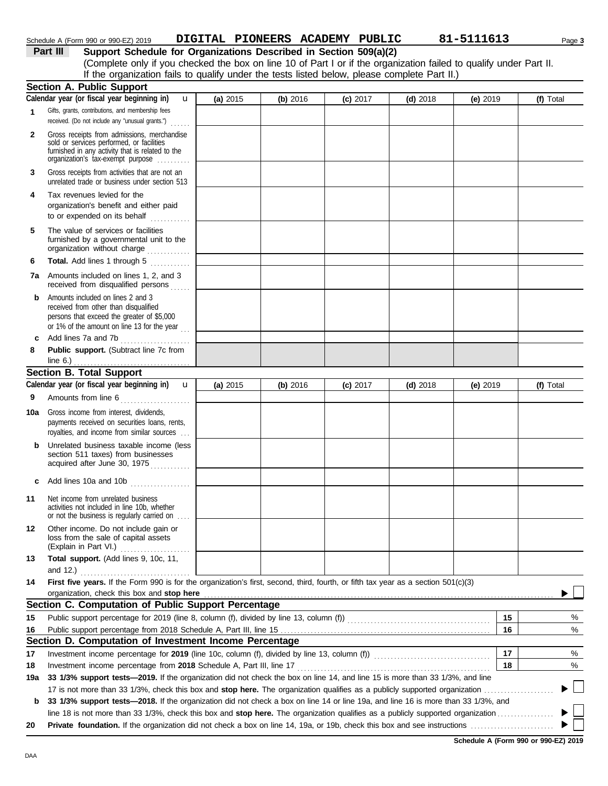| Schedule A (Form 990 or 990-EZ) 2019 | DIGITAL PIONEERS ACADEMY PUBLIC |  | 81-5111613 | Page 3 |
|--------------------------------------|---------------------------------|--|------------|--------|
|                                      |                                 |  |            |        |

**Part III Support Schedule for Organizations Described in Section 509(a)(2)** (Complete only if you checked the box on line 10 of Part I or if the organization failed to qualify under Part II. If the organization fails to qualify under the tests listed below, please complete Part II.)

|              | <b>Section A. Public Support</b>                                                                                                                                                       |            |          |            |            |          |    |           |
|--------------|----------------------------------------------------------------------------------------------------------------------------------------------------------------------------------------|------------|----------|------------|------------|----------|----|-----------|
|              | Calendar year (or fiscal year beginning in)<br>u                                                                                                                                       | (a) 2015   | (b) 2016 | (c) 2017   | $(d)$ 2018 | (e) 2019 |    | (f) Total |
| 1            | Gifts, grants, contributions, and membership fees<br>received. (Do not include any "unusual grants.")                                                                                  |            |          |            |            |          |    |           |
| $\mathbf{2}$ | .<br>Gross receipts from admissions, merchandise<br>sold or services performed, or facilities<br>furnished in any activity that is related to the<br>organization's tax-exempt purpose |            |          |            |            |          |    |           |
| 3            | Gross receipts from activities that are not an<br>unrelated trade or business under section 513                                                                                        |            |          |            |            |          |    |           |
| 4            | Tax revenues levied for the<br>organization's benefit and either paid<br>to or expended on its behalf                                                                                  |            |          |            |            |          |    |           |
| 5            | The value of services or facilities<br>furnished by a governmental unit to the<br>organization without charge                                                                          |            |          |            |            |          |    |           |
| 6            | Total. Add lines 1 through 5                                                                                                                                                           |            |          |            |            |          |    |           |
|              | <b>7a</b> Amounts included on lines 1, 2, and 3<br>received from disqualified persons                                                                                                  |            |          |            |            |          |    |           |
| b            | Amounts included on lines 2 and 3<br>received from other than disqualified<br>persons that exceed the greater of \$5,000<br>or 1% of the amount on line 13 for the year                |            |          |            |            |          |    |           |
| c            | Add lines 7a and 7b<br>.                                                                                                                                                               |            |          |            |            |          |    |           |
| 8            | Public support. (Subtract line 7c from                                                                                                                                                 |            |          |            |            |          |    |           |
|              | line $6.$ )<br>. <u>.</u> .                                                                                                                                                            |            |          |            |            |          |    |           |
|              | <b>Section B. Total Support</b><br>Calendar year (or fiscal year beginning in)                                                                                                         |            |          |            |            |          |    |           |
|              | $\mathbf{u}$                                                                                                                                                                           | (a) $2015$ | (b) 2016 | $(c)$ 2017 | $(d)$ 2018 | (e) 2019 |    | (f) Total |
| 9            | Amounts from line 6                                                                                                                                                                    |            |          |            |            |          |    |           |
| 10a          | Gross income from interest, dividends,<br>payments received on securities loans, rents,<br>royalties, and income from similar sources                                                  |            |          |            |            |          |    |           |
| b            | Unrelated business taxable income (less<br>section 511 taxes) from businesses<br>acquired after June 30, 1975                                                                          |            |          |            |            |          |    |           |
| c            | Add lines 10a and 10b                                                                                                                                                                  |            |          |            |            |          |    |           |
| 11           | Net income from unrelated business<br>activities not included in line 10b, whether<br>or not the business is regularly carried on                                                      |            |          |            |            |          |    |           |
| $12 \,$      | Other income. Do not include gain or<br>loss from the sale of capital assets<br>(Explain in Part VI.)                                                                                  |            |          |            |            |          |    |           |
| 13           | Total support. (Add lines 9, 10c, 11,                                                                                                                                                  |            |          |            |            |          |    |           |
|              | and 12.)                                                                                                                                                                               |            |          |            |            |          |    |           |
| 14           | First five years. If the Form 990 is for the organization's first, second, third, fourth, or fifth tax year as a section 501(c)(3)                                                     |            |          |            |            |          |    |           |
|              | organization, check this box and stop here                                                                                                                                             |            |          |            |            |          |    |           |
|              | Section C. Computation of Public Support Percentage                                                                                                                                    |            |          |            |            |          |    |           |
| 15           |                                                                                                                                                                                        |            |          |            |            |          | 15 | %         |
| 16           |                                                                                                                                                                                        |            |          |            |            |          | 16 | %         |
|              | Section D. Computation of Investment Income Percentage                                                                                                                                 |            |          |            |            |          |    |           |
| 17           | Investment income percentage for 2019 (line 10c, column (f), divided by line 13, column (f)) [[[[[[[[[[[[[[[[                                                                          |            |          |            |            |          | 17 | %         |
| 18           | Investment income percentage from 2018 Schedule A, Part III, line 17                                                                                                                   |            |          |            |            |          | 18 | %         |
| 19a          | 33 1/3% support tests—2019. If the organization did not check the box on line 14, and line 15 is more than 33 1/3%, and line                                                           |            |          |            |            |          |    |           |
|              | 17 is not more than 33 1/3%, check this box and stop here. The organization qualifies as a publicly supported organization                                                             |            |          |            |            |          |    |           |
| b            | 33 1/3% support tests-2018. If the organization did not check a box on line 14 or line 19a, and line 16 is more than 33 1/3%, and                                                      |            |          |            |            |          |    |           |
|              |                                                                                                                                                                                        |            |          |            |            |          |    |           |
| 20           |                                                                                                                                                                                        |            |          |            |            |          |    |           |

**Schedule A (Form 990 or 990-EZ) 2019**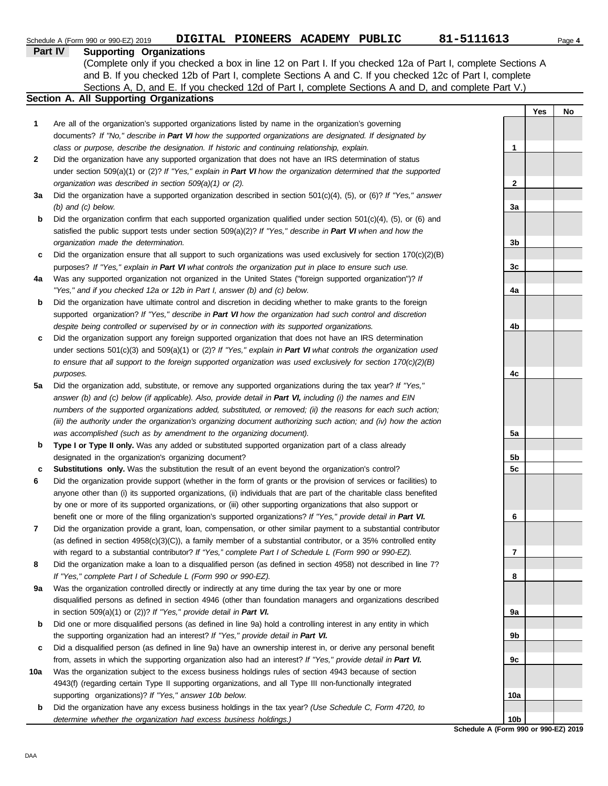|     | 81-5111613<br>DIGITAL PIONEERS ACADEMY PUBLIC<br>Schedule A (Form 990 or 990-EZ) 2019                                    |                 |     | Page 4 |
|-----|--------------------------------------------------------------------------------------------------------------------------|-----------------|-----|--------|
|     | Part IV<br><b>Supporting Organizations</b>                                                                               |                 |     |        |
|     | (Complete only if you checked a box in line 12 on Part I. If you checked 12a of Part I, complete Sections A              |                 |     |        |
|     | and B. If you checked 12b of Part I, complete Sections A and C. If you checked 12c of Part I, complete                   |                 |     |        |
|     | Sections A, D, and E. If you checked 12d of Part I, complete Sections A and D, and complete Part V.)                     |                 |     |        |
|     | Section A. All Supporting Organizations                                                                                  |                 |     |        |
|     |                                                                                                                          |                 | Yes | No     |
| 1   | Are all of the organization's supported organizations listed by name in the organization's governing                     |                 |     |        |
|     | documents? If "No," describe in Part VI how the supported organizations are designated. If designated by                 |                 |     |        |
|     | class or purpose, describe the designation. If historic and continuing relationship, explain.                            | 1               |     |        |
| 2   | Did the organization have any supported organization that does not have an IRS determination of status                   |                 |     |        |
|     | under section 509(a)(1) or (2)? If "Yes," explain in Part VI how the organization determined that the supported          |                 |     |        |
|     | organization was described in section 509(a)(1) or (2).                                                                  | $\mathbf{2}$    |     |        |
| За  | Did the organization have a supported organization described in section $501(c)(4)$ , (5), or (6)? If "Yes," answer      |                 |     |        |
|     | $(b)$ and $(c)$ below.                                                                                                   | 3a              |     |        |
| b   | Did the organization confirm that each supported organization qualified under section $501(c)(4)$ , $(5)$ , or $(6)$ and |                 |     |        |
|     | satisfied the public support tests under section 509(a)(2)? If "Yes," describe in Part VI when and how the               |                 |     |        |
|     | organization made the determination.                                                                                     | 3 <sub>b</sub>  |     |        |
| c   | Did the organization ensure that all support to such organizations was used exclusively for section $170(c)(2)(B)$       |                 |     |        |
|     | purposes? If "Yes," explain in Part VI what controls the organization put in place to ensure such use.                   | 3c              |     |        |
| 4a  | Was any supported organization not organized in the United States ("foreign supported organization")? If                 |                 |     |        |
|     | "Yes," and if you checked 12a or 12b in Part I, answer (b) and (c) below.                                                | 4a              |     |        |
| b   | Did the organization have ultimate control and discretion in deciding whether to make grants to the foreign              |                 |     |        |
|     | supported organization? If "Yes," describe in Part VI how the organization had such control and discretion               |                 |     |        |
|     | despite being controlled or supervised by or in connection with its supported organizations.                             | 4b              |     |        |
| c   | Did the organization support any foreign supported organization that does not have an IRS determination                  |                 |     |        |
|     | under sections $501(c)(3)$ and $509(a)(1)$ or (2)? If "Yes," explain in Part VI what controls the organization used      |                 |     |        |
|     | to ensure that all support to the foreign supported organization was used exclusively for section $170(c)(2)(B)$         |                 |     |        |
|     | purposes.                                                                                                                | 4с              |     |        |
| 5a  | Did the organization add, substitute, or remove any supported organizations during the tax year? If "Yes,"               |                 |     |        |
|     | answer (b) and (c) below (if applicable). Also, provide detail in Part VI, including (i) the names and EIN               |                 |     |        |
|     | numbers of the supported organizations added, substituted, or removed; (ii) the reasons for each such action;            |                 |     |        |
|     | (iii) the authority under the organization's organizing document authorizing such action; and (iv) how the action        |                 |     |        |
|     | was accomplished (such as by amendment to the organizing document).                                                      | 5а              |     |        |
| b   | Type I or Type II only. Was any added or substituted supported organization part of a class already                      |                 |     |        |
|     | designated in the organization's organizing document?                                                                    | 5b              |     |        |
| c   | Substitutions only. Was the substitution the result of an event beyond the organization's control?                       | 5c              |     |        |
|     | Did the organization provide support (whether in the form of grants or the provision of services or facilities) to       |                 |     |        |
|     | anyone other than (i) its supported organizations, (ii) individuals that are part of the charitable class benefited      |                 |     |        |
|     | by one or more of its supported organizations, or (iii) other supporting organizations that also support or              |                 |     |        |
|     | benefit one or more of the filing organization's supported organizations? If "Yes," provide detail in Part VI.           | 6               |     |        |
| 7   | Did the organization provide a grant, loan, compensation, or other similar payment to a substantial contributor          |                 |     |        |
|     | (as defined in section $4958(c)(3)(C)$ ), a family member of a substantial contributor, or a 35% controlled entity       |                 |     |        |
|     | with regard to a substantial contributor? If "Yes," complete Part I of Schedule L (Form 990 or 990-EZ).                  | 7               |     |        |
| 8   | Did the organization make a loan to a disqualified person (as defined in section 4958) not described in line 7?          |                 |     |        |
|     | If "Yes," complete Part I of Schedule L (Form 990 or 990-EZ).                                                            | 8               |     |        |
| 9a  | Was the organization controlled directly or indirectly at any time during the tax year by one or more                    |                 |     |        |
|     | disqualified persons as defined in section 4946 (other than foundation managers and organizations described              |                 |     |        |
|     | in section $509(a)(1)$ or (2))? If "Yes," provide detail in Part VI.                                                     | 9а              |     |        |
| b   | Did one or more disqualified persons (as defined in line 9a) hold a controlling interest in any entity in which          |                 |     |        |
|     | the supporting organization had an interest? If "Yes," provide detail in Part VI.                                        | 9b              |     |        |
| c   | Did a disqualified person (as defined in line 9a) have an ownership interest in, or derive any personal benefit          |                 |     |        |
|     | from, assets in which the supporting organization also had an interest? If "Yes," provide detail in Part VI.             | 9с              |     |        |
| 10a | Was the organization subject to the excess business holdings rules of section 4943 because of section                    |                 |     |        |
|     | 4943(f) (regarding certain Type II supporting organizations, and all Type III non-functionally integrated                |                 |     |        |
|     | supporting organizations)? If "Yes," answer 10b below.                                                                   | 10a             |     |        |
| b   | Did the organization have any excess business holdings in the tax year? (Use Schedule C, Form 4720, to                   |                 |     |        |
|     | determine whether the organization had excess business holdings.)                                                        | 10 <sub>b</sub> |     |        |

**Schedule A (Form 990 or 990-EZ) 2019**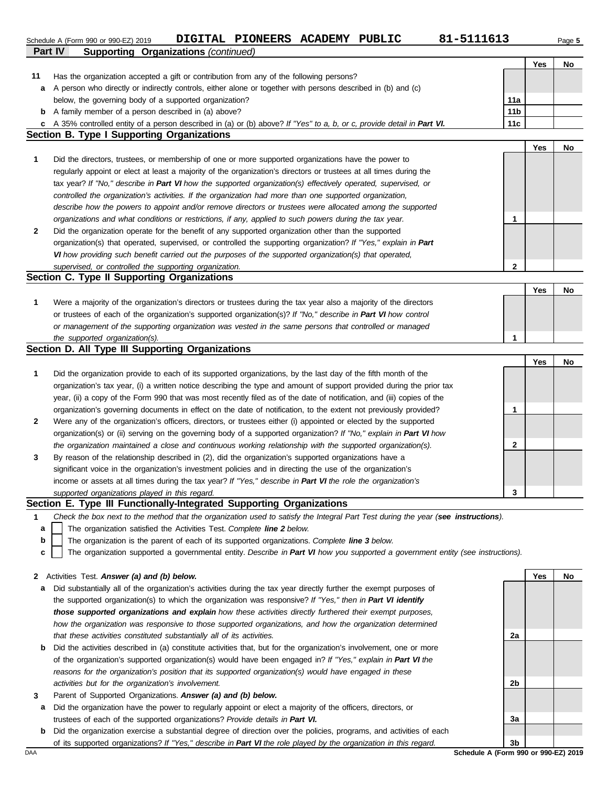|                | 81-5111613<br>DIGITAL PIONEERS ACADEMY PUBLIC<br>Schedule A (Form 990 or 990-EZ) 2019                                             |                 |     | Page 5 |
|----------------|-----------------------------------------------------------------------------------------------------------------------------------|-----------------|-----|--------|
| <b>Part IV</b> | <b>Supporting Organizations (continued)</b>                                                                                       |                 |     |        |
|                |                                                                                                                                   |                 | Yes | No     |
| 11             | Has the organization accepted a gift or contribution from any of the following persons?                                           |                 |     |        |
| а              | A person who directly or indirectly controls, either alone or together with persons described in (b) and (c)                      |                 |     |        |
|                | below, the governing body of a supported organization?                                                                            | 11a             |     |        |
| b              | A family member of a person described in (a) above?                                                                               | 11 <sub>b</sub> |     |        |
| c              | A 35% controlled entity of a person described in (a) or (b) above? If "Yes" to a, b, or c, provide detail in Part VI.             | 11c             |     |        |
|                | Section B. Type I Supporting Organizations                                                                                        |                 |     |        |
|                |                                                                                                                                   |                 | Yes | No     |
| 1              | Did the directors, trustees, or membership of one or more supported organizations have the power to                               |                 |     |        |
|                | regularly appoint or elect at least a majority of the organization's directors or trustees at all times during the                |                 |     |        |
|                | tax year? If "No," describe in Part VI how the supported organization(s) effectively operated, supervised, or                     |                 |     |        |
|                | controlled the organization's activities. If the organization had more than one supported organization,                           |                 |     |        |
|                | describe how the powers to appoint and/or remove directors or trustees were allocated among the supported                         |                 |     |        |
|                | organizations and what conditions or restrictions, if any, applied to such powers during the tax year.                            | 1               |     |        |
| 2              | Did the organization operate for the benefit of any supported organization other than the supported                               |                 |     |        |
|                | organization(s) that operated, supervised, or controlled the supporting organization? If "Yes," explain in Part                   |                 |     |        |
|                | VI how providing such benefit carried out the purposes of the supported organization(s) that operated,                            |                 |     |        |
|                | supervised, or controlled the supporting organization.                                                                            | 2               |     |        |
|                | Section C. Type II Supporting Organizations                                                                                       |                 |     |        |
|                |                                                                                                                                   |                 | Yes | No     |
| 1              | Were a majority of the organization's directors or trustees during the tax year also a majority of the directors                  |                 |     |        |
|                | or trustees of each of the organization's supported organization(s)? If "No," describe in Part VI how control                     |                 |     |        |
|                | or management of the supporting organization was vested in the same persons that controlled or managed                            |                 |     |        |
|                | the supported organization(s).                                                                                                    | 1               |     |        |
|                | Section D. All Type III Supporting Organizations                                                                                  |                 |     |        |
|                |                                                                                                                                   |                 | Yes | No     |
| 1              | Did the organization provide to each of its supported organizations, by the last day of the fifth month of the                    |                 |     |        |
|                |                                                                                                                                   |                 |     |        |
|                | organization's tax year, (i) a written notice describing the type and amount of support provided during the prior tax             |                 |     |        |
|                | year, (ii) a copy of the Form 990 that was most recently filed as of the date of notification, and (iii) copies of the            |                 |     |        |
|                | organization's governing documents in effect on the date of notification, to the extent not previously provided?                  | 1               |     |        |
| 2              | Were any of the organization's officers, directors, or trustees either (i) appointed or elected by the supported                  |                 |     |        |
|                | organization(s) or (ii) serving on the governing body of a supported organization? If "No," explain in Part VI how                |                 |     |        |
|                | the organization maintained a close and continuous working relationship with the supported organization(s).                       | 2               |     |        |
| 3              | By reason of the relationship described in (2), did the organization's supported organizations have a                             |                 |     |        |
|                | significant voice in the organization's investment policies and in directing the use of the organization's                        |                 |     |        |
|                | income or assets at all times during the tax year? If "Yes," describe in Part VI the role the organization's                      |                 |     |        |
|                | supported organizations played in this regard.                                                                                    | 3               |     |        |
|                | Section E. Type III Functionally-Integrated Supporting Organizations                                                              |                 |     |        |
| 1              | Check the box next to the method that the organization used to satisfy the Integral Part Test during the year (see instructions). |                 |     |        |
| a              | The organization satisfied the Activities Test. Complete line 2 below.                                                            |                 |     |        |
| b              | The organization is the parent of each of its supported organizations. Complete line 3 below.                                     |                 |     |        |
| c              | The organization supported a governmental entity. Describe in Part VI how you supported a government entity (see instructions).   |                 |     |        |
|                |                                                                                                                                   |                 |     |        |
| 2              | Activities Test. Answer (a) and (b) below.                                                                                        |                 | Yes | No     |
| а              | Did substantially all of the organization's activities during the tax year directly further the exempt purposes of                |                 |     |        |
|                | the supported organization(s) to which the organization was responsive? If "Yes," then in Part VI identify                        |                 |     |        |
|                | those supported organizations and explain how these activities directly furthered their exempt purposes,                          |                 |     |        |
|                | how the organization was responsive to those supported organizations, and how the organization determined                         |                 |     |        |
|                | that these activities constituted substantially all of its activities.                                                            | 2a              |     |        |
| b              | Did the activities described in (a) constitute activities that, but for the organization's involvement, one or more               |                 |     |        |
|                | of the organization's supported organization(s) would have been engaged in? If "Yes," explain in Part VI the                      |                 |     |        |
|                | reasons for the organization's position that its supported organization(s) would have engaged in these                            |                 |     |        |

**3** Parent of Supported Organizations. *Answer (a) and (b) below.*

*activities but for the organization's involvement.*

- **a** Did the organization have the power to regularly appoint or elect a majority of the officers, directors, or trustees of each of the supported organizations? *Provide details in Part VI.*
- **b** Did the organization exercise a substantial degree of direction over the policies, programs, and activities of each of its supported organizations? *If "Yes," describe in Part VI the role played by the organization in this regard.*

DAA **Schedule A (Form 990 or 990-EZ) 2019 3b**

**2b**

**3a**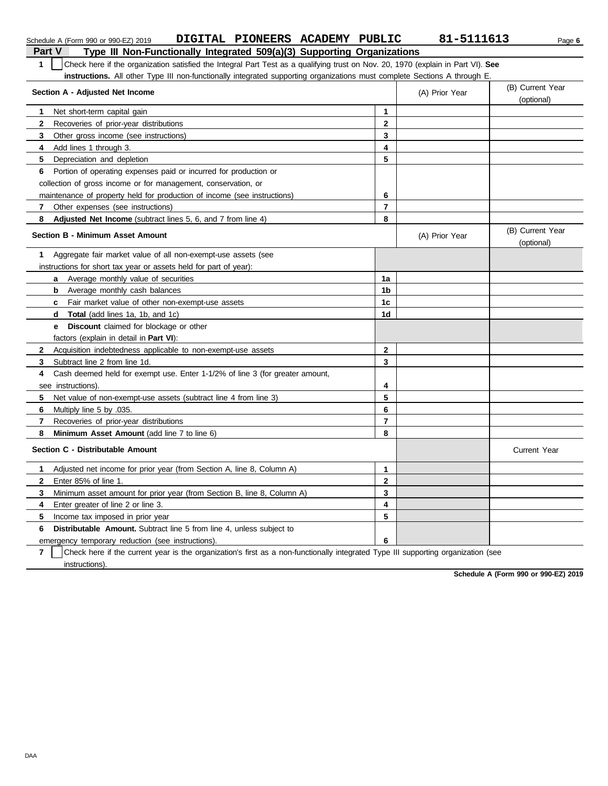| DIGITAL PIONEERS ACADEMY PUBLIC<br>Schedule A (Form 990 or 990-EZ) 2019                                                               |                | 81-5111613     | Page 6                         |
|---------------------------------------------------------------------------------------------------------------------------------------|----------------|----------------|--------------------------------|
| <b>Part V</b><br>Type III Non-Functionally Integrated 509(a)(3) Supporting Organizations                                              |                |                |                                |
| 1<br>Check here if the organization satisfied the Integral Part Test as a qualifying trust on Nov. 20, 1970 (explain in Part VI). See |                |                |                                |
| instructions. All other Type III non-functionally integrated supporting organizations must complete Sections A through E.             |                |                |                                |
| Section A - Adjusted Net Income                                                                                                       |                | (A) Prior Year | (B) Current Year<br>(optional) |
| Net short-term capital gain<br>1                                                                                                      | $\mathbf{1}$   |                |                                |
| 2<br>Recoveries of prior-year distributions                                                                                           | $\mathbf{2}$   |                |                                |
| 3<br>Other gross income (see instructions)                                                                                            | 3              |                |                                |
| 4<br>Add lines 1 through 3.                                                                                                           | 4              |                |                                |
| 5<br>Depreciation and depletion                                                                                                       | 5              |                |                                |
| Portion of operating expenses paid or incurred for production or<br>6                                                                 |                |                |                                |
| collection of gross income or for management, conservation, or                                                                        |                |                |                                |
| maintenance of property held for production of income (see instructions)                                                              | 6              |                |                                |
| Other expenses (see instructions)<br>7                                                                                                | $\overline{7}$ |                |                                |
| 8<br>Adjusted Net Income (subtract lines 5, 6, and 7 from line 4)                                                                     | 8              |                |                                |
| <b>Section B - Minimum Asset Amount</b>                                                                                               |                | (A) Prior Year | (B) Current Year<br>(optional) |
| Aggregate fair market value of all non-exempt-use assets (see<br>1                                                                    |                |                |                                |
| instructions for short tax year or assets held for part of year):                                                                     |                |                |                                |
| Average monthly value of securities<br>a                                                                                              | 1a             |                |                                |
| Average monthly cash balances<br>b                                                                                                    | 1b             |                |                                |
| Fair market value of other non-exempt-use assets<br>c                                                                                 | 1 <sub>c</sub> |                |                                |
| <b>Total</b> (add lines 1a, 1b, and 1c)<br>d                                                                                          | 1 <sub>d</sub> |                |                                |
| <b>Discount</b> claimed for blockage or other<br>е                                                                                    |                |                |                                |
| factors (explain in detail in <b>Part VI)</b> :                                                                                       |                |                |                                |
| Acquisition indebtedness applicable to non-exempt-use assets<br>$\mathbf{2}$                                                          | $\overline{2}$ |                |                                |
| 3<br>Subtract line 2 from line 1d.                                                                                                    | 3              |                |                                |
| Cash deemed held for exempt use. Enter 1-1/2% of line 3 (for greater amount,<br>4                                                     |                |                |                                |
| see instructions).                                                                                                                    | 4              |                |                                |
| 5<br>Net value of non-exempt-use assets (subtract line 4 from line 3)                                                                 | 5              |                |                                |
| 6<br>Multiply line 5 by .035.                                                                                                         | 6              |                |                                |
| 7<br>Recoveries of prior-year distributions                                                                                           | $\overline{7}$ |                |                                |
| 8<br>Minimum Asset Amount (add line 7 to line 6)                                                                                      | 8              |                |                                |
| Section C - Distributable Amount                                                                                                      |                |                | <b>Current Year</b>            |
| Adjusted net income for prior year (from Section A, line 8, Column A)<br>1                                                            | $\mathbf{1}$   |                |                                |
| $\mathbf{2}$<br>Enter 85% of line 1.                                                                                                  | $\mathbf{2}$   |                |                                |
| 3<br>Minimum asset amount for prior year (from Section B, line 8, Column A)                                                           | 3              |                |                                |
| 4<br>Enter greater of line 2 or line 3.                                                                                               | 4              |                |                                |
| 5<br>Income tax imposed in prior year                                                                                                 | 5              |                |                                |
| <b>Distributable Amount.</b> Subtract line 5 from line 4, unless subject to<br>6                                                      |                |                |                                |
| emergency temporary reduction (see instructions).                                                                                     | 6              |                |                                |
|                                                                                                                                       |                |                |                                |

**7** | Check here if the current year is the organization's first as a non-functionally integrated Type III supporting organization (see instructions).

**Schedule A (Form 990 or 990-EZ) 2019**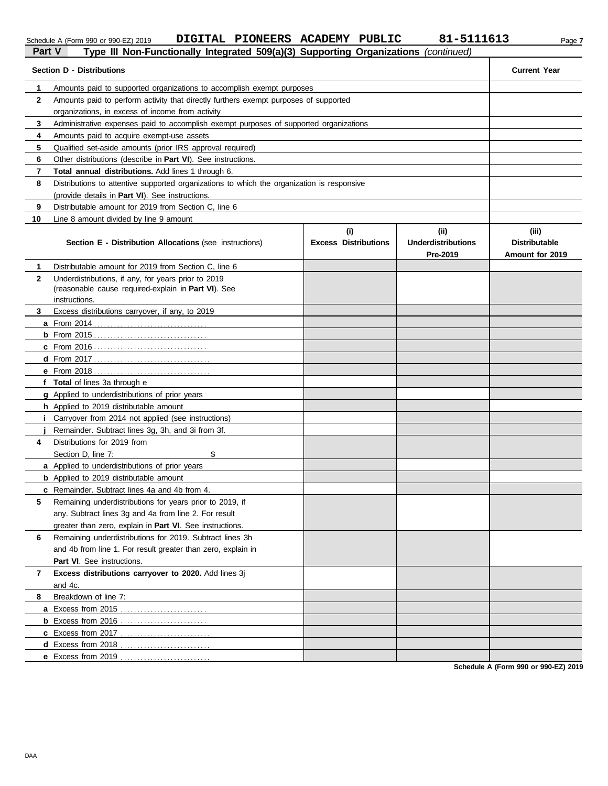|               | DIGITAL PIONEERS ACADEMY PUBLIC<br>Schedule A (Form 990 or 990-EZ) 2019                                                   |                                    | 81-5111613                                    | Page 7                                           |
|---------------|---------------------------------------------------------------------------------------------------------------------------|------------------------------------|-----------------------------------------------|--------------------------------------------------|
| <b>Part V</b> | Type III Non-Functionally Integrated 509(a)(3) Supporting Organizations                                                   |                                    | (continued)                                   |                                                  |
|               | <b>Section D - Distributions</b>                                                                                          |                                    |                                               | <b>Current Year</b>                              |
| 1             | Amounts paid to supported organizations to accomplish exempt purposes                                                     |                                    |                                               |                                                  |
| $\mathbf{2}$  | Amounts paid to perform activity that directly furthers exempt purposes of supported                                      |                                    |                                               |                                                  |
|               | organizations, in excess of income from activity                                                                          |                                    |                                               |                                                  |
| 3             | Administrative expenses paid to accomplish exempt purposes of supported organizations                                     |                                    |                                               |                                                  |
| 4             | Amounts paid to acquire exempt-use assets                                                                                 |                                    |                                               |                                                  |
| 5<br>6        | Qualified set-aside amounts (prior IRS approval required)<br>Other distributions (describe in Part VI). See instructions. |                                    |                                               |                                                  |
| 7             | <b>Total annual distributions.</b> Add lines 1 through 6.                                                                 |                                    |                                               |                                                  |
| 8             | Distributions to attentive supported organizations to which the organization is responsive                                |                                    |                                               |                                                  |
|               | (provide details in Part VI). See instructions.                                                                           |                                    |                                               |                                                  |
| 9             | Distributable amount for 2019 from Section C, line 6                                                                      |                                    |                                               |                                                  |
| 10            | Line 8 amount divided by line 9 amount                                                                                    |                                    |                                               |                                                  |
|               | <b>Section E - Distribution Allocations (see instructions)</b>                                                            | (i)<br><b>Excess Distributions</b> | (ii)<br><b>Underdistributions</b><br>Pre-2019 | (iii)<br><b>Distributable</b><br>Amount for 2019 |
| 1             | Distributable amount for 2019 from Section C, line 6                                                                      |                                    |                                               |                                                  |
| $\mathbf{2}$  | Underdistributions, if any, for years prior to 2019                                                                       |                                    |                                               |                                                  |
|               | (reasonable cause required-explain in Part VI). See                                                                       |                                    |                                               |                                                  |
|               | instructions.                                                                                                             |                                    |                                               |                                                  |
| 3             | Excess distributions carryover, if any, to 2019                                                                           |                                    |                                               |                                                  |
|               |                                                                                                                           |                                    |                                               |                                                  |
|               |                                                                                                                           |                                    |                                               |                                                  |
|               |                                                                                                                           |                                    |                                               |                                                  |
|               |                                                                                                                           |                                    |                                               |                                                  |
|               |                                                                                                                           |                                    |                                               |                                                  |
|               | f Total of lines 3a through e                                                                                             |                                    |                                               |                                                  |
|               | g Applied to underdistributions of prior years<br>h Applied to 2019 distributable amount                                  |                                    |                                               |                                                  |
| Ť.            | Carryover from 2014 not applied (see instructions)                                                                        |                                    |                                               |                                                  |
|               | Remainder. Subtract lines 3g, 3h, and 3i from 3f.                                                                         |                                    |                                               |                                                  |
| 4             | Distributions for 2019 from                                                                                               |                                    |                                               |                                                  |
|               | Section D, line 7:<br>\$                                                                                                  |                                    |                                               |                                                  |
|               | a Applied to underdistributions of prior years                                                                            |                                    |                                               |                                                  |
|               | <b>b</b> Applied to 2019 distributable amount                                                                             |                                    |                                               |                                                  |
|               | c Remainder. Subtract lines 4a and 4b from 4.                                                                             |                                    |                                               |                                                  |
| 5             | Remaining underdistributions for years prior to 2019, if                                                                  |                                    |                                               |                                                  |
|               | any. Subtract lines 3g and 4a from line 2. For result                                                                     |                                    |                                               |                                                  |
|               | greater than zero, explain in Part VI. See instructions.                                                                  |                                    |                                               |                                                  |
| 6             | Remaining underdistributions for 2019. Subtract lines 3h                                                                  |                                    |                                               |                                                  |
|               | and 4b from line 1. For result greater than zero, explain in                                                              |                                    |                                               |                                                  |
|               | Part VI. See instructions.                                                                                                |                                    |                                               |                                                  |
| 7             | Excess distributions carryover to 2020. Add lines 3j                                                                      |                                    |                                               |                                                  |
|               | and 4c.                                                                                                                   |                                    |                                               |                                                  |
| 8             | Breakdown of line 7:                                                                                                      |                                    |                                               |                                                  |
|               | a Excess from 2015                                                                                                        |                                    |                                               |                                                  |

**Schedule A (Form 990 or 990-EZ) 2019**

**b** Excess from 2016 . . . . . . . . . . . . . . . . . . . . . . . . . . **c** Excess from 2017 . . . . . . . . . . . . . . . . . . . . . . . . . . . **d** Excess from 2018 . . . . . . . . . . . . . . . . . . . . . . . . . . . **e** Excess from 2019 . . . . . . . . . . . . . . . . . . . . . . . . . . .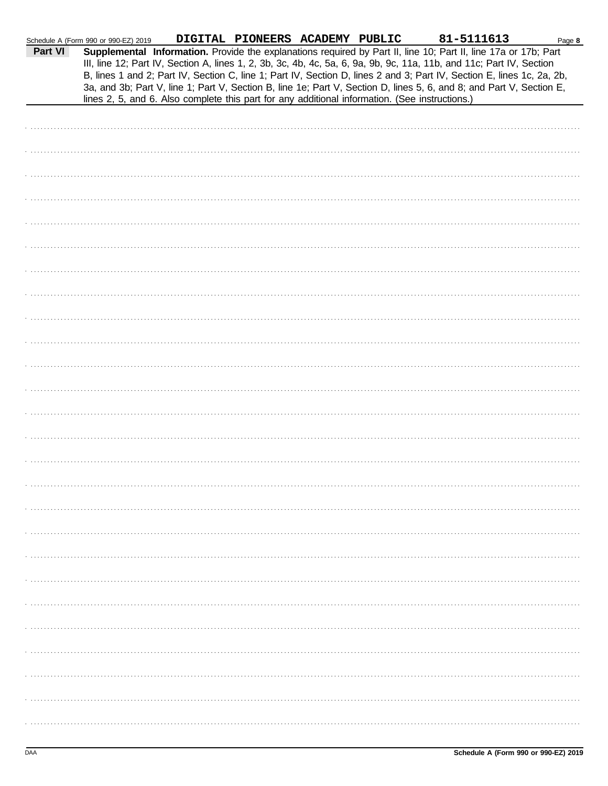|         | Schedule A (Form 990 or 990-EZ) 2019 | DIGITAL PIONEERS ACADEMY PUBLIC |                                                                                                | 81-5111613                                                                                                                                                                                                                                                                                                                                                                                                                                                                                | Page 8 |
|---------|--------------------------------------|---------------------------------|------------------------------------------------------------------------------------------------|-------------------------------------------------------------------------------------------------------------------------------------------------------------------------------------------------------------------------------------------------------------------------------------------------------------------------------------------------------------------------------------------------------------------------------------------------------------------------------------------|--------|
| Part VI |                                      |                                 | lines 2, 5, and 6. Also complete this part for any additional information. (See instructions.) | Supplemental Information. Provide the explanations required by Part II, line 10; Part II, line 17a or 17b; Part<br>III, line 12; Part IV, Section A, lines 1, 2, 3b, 3c, 4b, 4c, 5a, 6, 9a, 9b, 9c, 11a, 11b, and 11c; Part IV, Section<br>B, lines 1 and 2; Part IV, Section C, line 1; Part IV, Section D, lines 2 and 3; Part IV, Section E, lines 1c, 2a, 2b,<br>3a, and 3b; Part V, line 1; Part V, Section B, line 1e; Part V, Section D, lines 5, 6, and 8; and Part V, Section E, |        |
|         |                                      |                                 |                                                                                                |                                                                                                                                                                                                                                                                                                                                                                                                                                                                                           |        |
|         |                                      |                                 |                                                                                                |                                                                                                                                                                                                                                                                                                                                                                                                                                                                                           |        |
|         |                                      |                                 |                                                                                                |                                                                                                                                                                                                                                                                                                                                                                                                                                                                                           |        |
|         |                                      |                                 |                                                                                                |                                                                                                                                                                                                                                                                                                                                                                                                                                                                                           |        |
|         |                                      |                                 |                                                                                                |                                                                                                                                                                                                                                                                                                                                                                                                                                                                                           |        |
|         |                                      |                                 |                                                                                                |                                                                                                                                                                                                                                                                                                                                                                                                                                                                                           |        |
|         |                                      |                                 |                                                                                                |                                                                                                                                                                                                                                                                                                                                                                                                                                                                                           |        |
|         |                                      |                                 |                                                                                                |                                                                                                                                                                                                                                                                                                                                                                                                                                                                                           |        |
|         |                                      |                                 |                                                                                                |                                                                                                                                                                                                                                                                                                                                                                                                                                                                                           |        |
|         |                                      |                                 |                                                                                                |                                                                                                                                                                                                                                                                                                                                                                                                                                                                                           |        |
|         |                                      |                                 |                                                                                                |                                                                                                                                                                                                                                                                                                                                                                                                                                                                                           |        |
|         |                                      |                                 |                                                                                                |                                                                                                                                                                                                                                                                                                                                                                                                                                                                                           |        |
|         |                                      |                                 |                                                                                                |                                                                                                                                                                                                                                                                                                                                                                                                                                                                                           |        |
|         |                                      |                                 |                                                                                                |                                                                                                                                                                                                                                                                                                                                                                                                                                                                                           |        |
|         |                                      |                                 |                                                                                                |                                                                                                                                                                                                                                                                                                                                                                                                                                                                                           |        |
|         |                                      |                                 |                                                                                                |                                                                                                                                                                                                                                                                                                                                                                                                                                                                                           |        |
|         |                                      |                                 |                                                                                                |                                                                                                                                                                                                                                                                                                                                                                                                                                                                                           |        |
|         |                                      |                                 |                                                                                                |                                                                                                                                                                                                                                                                                                                                                                                                                                                                                           |        |
|         |                                      |                                 |                                                                                                |                                                                                                                                                                                                                                                                                                                                                                                                                                                                                           |        |
|         |                                      |                                 |                                                                                                |                                                                                                                                                                                                                                                                                                                                                                                                                                                                                           |        |
|         |                                      |                                 |                                                                                                |                                                                                                                                                                                                                                                                                                                                                                                                                                                                                           |        |
|         |                                      |                                 |                                                                                                |                                                                                                                                                                                                                                                                                                                                                                                                                                                                                           |        |
|         |                                      |                                 |                                                                                                |                                                                                                                                                                                                                                                                                                                                                                                                                                                                                           |        |
|         |                                      |                                 |                                                                                                |                                                                                                                                                                                                                                                                                                                                                                                                                                                                                           |        |
|         |                                      |                                 |                                                                                                |                                                                                                                                                                                                                                                                                                                                                                                                                                                                                           |        |
|         |                                      |                                 |                                                                                                |                                                                                                                                                                                                                                                                                                                                                                                                                                                                                           |        |
|         |                                      |                                 |                                                                                                |                                                                                                                                                                                                                                                                                                                                                                                                                                                                                           |        |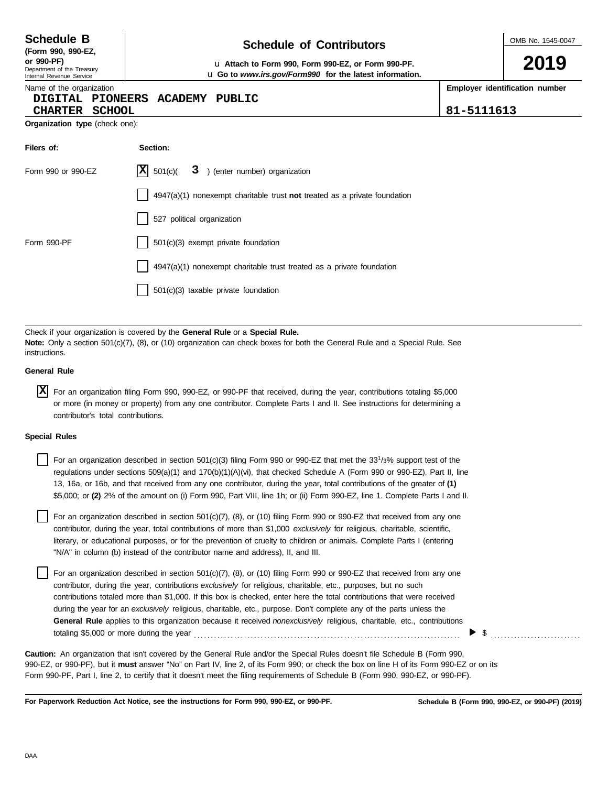**DAA** 

during the year for an *exclusively* religious, charitable, etc., purpose. Don't complete any of the parts unless the **General Rule** applies to this organization because it received *nonexclusively* religious, charitable, etc., contributions totaling \$5,000 or more during the year . . . . . . . . . . . . . . . . . . . . . . . . . . . . . . . . . . . . . . . . . . . . . . . . . . . . . . . . . . . . . . . . . . . . . . . . . . . . . . . .

contributor, during the year, contributions *exclusively* for religious, charitable, etc., purposes, but no such contributions totaled more than \$1,000. If this box is checked, enter here the total contributions that were received

literary, or educational purposes, or for the prevention of cruelty to children or animals. Complete Parts I (entering

For an organization described in section 501(c)(7), (8), or (10) filing Form 990 or 990-EZ that received from any one contributor, during the year, total contributions of more than \$1,000 *exclusively* for religious, charitable, scientific,

\$5,000; or **(2)** 2% of the amount on (i) Form 990, Part VIII, line 1h; or (ii) Form 990-EZ, line 1. Complete Parts I and II.

For an organization described in section 501(c)(3) filing Form 990 or 990-EZ that met the 33<sup>1</sup>/3% support test of the regulations under sections 509(a)(1) and 170(b)(1)(A)(vi), that checked Schedule A (Form 990 or 990-EZ), Part II, line 13, 16a, or 16b, and that received from any one contributor, during the year, total contributions of the greater of **(1)**

For an organization described in section 501(c)(7), (8), or (10) filing Form 990 or 990-EZ that received from any one

990-EZ, or 990-PF), but it **must** answer "No" on Part IV, line 2, of its Form 990; or check the box on line H of its Form 990-EZ or on its Form 990-PF, Part I, line 2, to certify that it doesn't meet the filing requirements of Schedule B (Form 990, 990-EZ, or 990-PF). **Caution:** An organization that isn't covered by the General Rule and/or the Special Rules doesn't file Schedule B (Form 990,

**For Paperwork Reduction Act Notice, see the instructions for Form 990, 990-EZ, or 990-PF.**

"N/A" in column (b) instead of the contributor name and address), II, and III.

4947(a)(1) nonexempt charitable trust treated as a private foundation

### **DIGITAL PIONEERS ACADEMY PUBLIC**

| <b>CHARTER</b>                        | <b>SCHOOL</b> |
|---------------------------------------|---------------|
| <b>Organization type</b> (check one): |               |

| Filers of:         | Section:                                                                  |
|--------------------|---------------------------------------------------------------------------|
| Form 990 or 990-EZ | $ \mathbf{X} $ 501(c)( $3$ ) (enter number) organization                  |
|                    | 4947(a)(1) nonexempt charitable trust not treated as a private foundation |
|                    | 527 political organization                                                |
| Form 990-PF        | 501(c)(3) exempt private foundation                                       |

Check if your organization is covered by the **General Rule** or a **Special Rule.**

501(c)(3) taxable private foundation

**Note:** Only a section 501(c)(7), (8), or (10) organization can check boxes for both the General Rule and a Special Rule. See

For an organization filing Form 990, 990-EZ, or 990-PF that received, during the year, contributions totaling \$5,000 **X**or more (in money or property) from any one contributor. Complete Parts I and II. See instructions for determining a

## **Schedule of Contributors Schedule B**

**Employer identification number**

\$ . . . . . . . . . . . . . . . . . . . . . . . . . . .

**Schedule B (Form 990, 990-EZ, or 990-PF) (2019)**

**or 990-PF)** u **Attach to Form 990, Form 990-EZ, or Form 990-PF.** u **Go to** *www.irs.gov/Form990* **for the latest information.**

Name of the organization

|  | (Form 990, 990-EZ, |  |
|--|--------------------|--|
|  |                    |  |

Department of the Treasury Internal Revenue Service

**General Rule**

instructions.

**Special Rules**

contributor's total contributions.

**2019**

**CHARTER SCHOOL 81-5111613**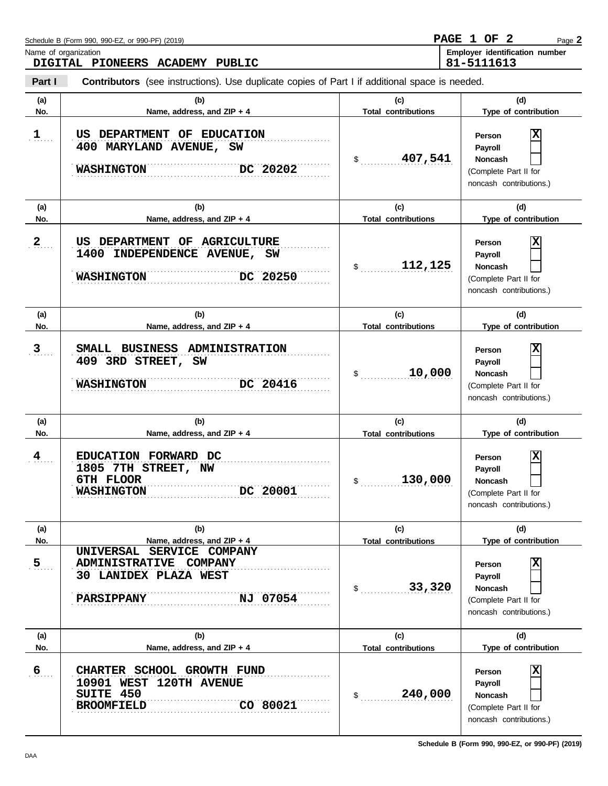| Name of organization | DIGITAL PIONEERS ACADEMY PUBLIC                                                                                                             |                                                | Employer identification number<br>81-5111613                                                                |
|----------------------|---------------------------------------------------------------------------------------------------------------------------------------------|------------------------------------------------|-------------------------------------------------------------------------------------------------------------|
| Part I               | <b>Contributors</b> (see instructions). Use duplicate copies of Part I if additional space is needed.                                       |                                                |                                                                                                             |
| (a)<br>No.           | (b)<br>Name, address, and ZIP + 4                                                                                                           | (c)<br><b>Total contributions</b>              | (d)<br>Type of contribution                                                                                 |
| $\mathbf{1}$         | US DEPARTMENT OF EDUCATION<br>400 MARYLAND AVENUE, SW<br>DC 20202<br><b>WASHINGTON</b>                                                      | 407,541<br>\$                                  | X<br>Person<br>Payroll<br>Noncash<br>(Complete Part II for<br>noncash contributions.)                       |
| (a)<br>No.           | (b)<br>Name, address, and ZIP + 4                                                                                                           | (c)<br><b>Total contributions</b>              | (d)<br>Type of contribution                                                                                 |
| 2                    | US DEPARTMENT OF AGRICULTURE<br>1400 INDEPENDENCE AVENUE, SW<br>DC 20250<br><b>WASHINGTON</b>                                               | 112,125<br>$\frac{1}{2}$                       | X<br>Person<br>Payroll<br>Noncash<br>(Complete Part II for<br>noncash contributions.)                       |
| (a)<br>No.           | (b)<br>Name, address, and ZIP + 4                                                                                                           | (c)<br><b>Total contributions</b>              | (d)<br>Type of contribution                                                                                 |
| 3 <sub>1</sub>       | SMALL BUSINESS ADMINISTRATION<br>409 3RD STREET, SW<br>DC 20416<br><b>WASHINGTON</b>                                                        | 10,000<br>$\frac{1}{2}$                        | X<br>Person<br>Payroll<br>Noncash<br>(Complete Part II for<br>noncash contributions.)                       |
| (a)<br>No.           | (b)<br>Name, address, and ZIP + 4                                                                                                           | (c)<br><b>Total contributions</b>              | (d)<br>Type of contribution                                                                                 |
| $\frac{4}{1}$        | EDUCATION FORWARD DC<br>1805 7TH STREET, NW<br>6TH FLOOR<br>DC 20001<br><b>WASHINGTON</b>                                                   | 130,000<br>\$                                  | ΙX<br>Person<br>Payroll<br><b>Noncash</b><br>(Complete Part II for<br>noncash contributions.)               |
| (a)<br>No.           | (b)                                                                                                                                         | (c)                                            | (d)<br>Type of contribution                                                                                 |
| $\overline{5}$       | Name, address, and ZIP + 4<br>UNIVERSAL SERVICE COMPANY<br>ADMINISTRATIVE COMPANY<br>30 LANIDEX PLAZA WEST<br>NJ 07054<br><b>PARSIPPANY</b> | <b>Total contributions</b><br>33,320<br>$\sim$ | ΙX<br>Person<br>Payroll<br>Noncash<br>(Complete Part II for<br>noncash contributions.)                      |
| (a)<br>No.           | (b)<br>Name, address, and ZIP + 4                                                                                                           | (c)<br><b>Total contributions</b>              | (d)<br>Type of contribution                                                                                 |
| $6 \overline{6}$     | CHARTER SCHOOL GROWTH FUND<br>10901 WEST 120TH AVENUE<br>SUITE 450<br>CO 80021<br><b>BROOMFIELD</b>                                         | 240,000<br>\$                                  | $\overline{\mathbf{x}}$<br>Person<br>Payroll<br>Noncash<br>(Complete Part II for<br>noncash contributions.) |

Page **2**

**PAGE 1 OF 2**

Schedule B (Form 990, 990-EZ, or 990-PF) (2019)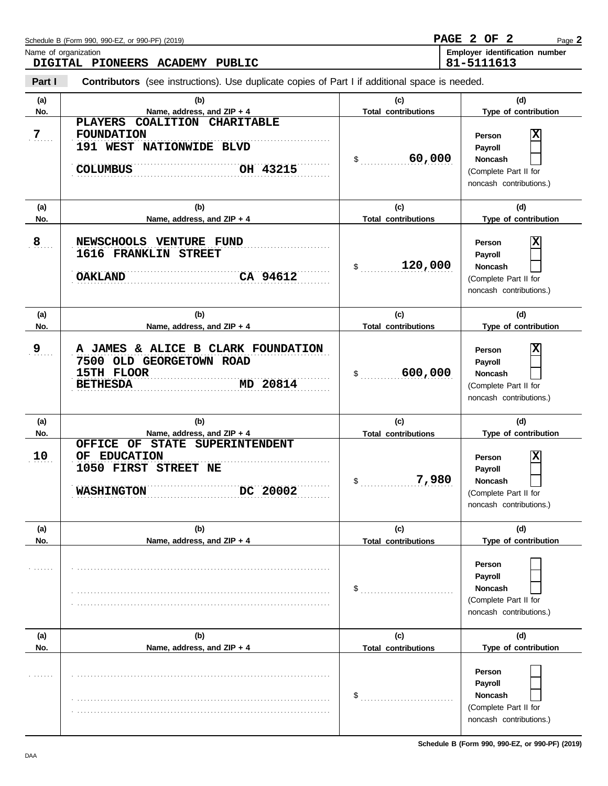|                | Schedule B (Form 990, 990-EZ, or 990-PF) (2019)<br>Name of organization<br>DIGITAL PIONEERS ACADEMY PUBLIC                                             | <b>PAGE</b>                       | $\mathbf{2}$<br>2 OF<br>Page 2<br>Employer identification number<br>81-5111613                                     |
|----------------|--------------------------------------------------------------------------------------------------------------------------------------------------------|-----------------------------------|--------------------------------------------------------------------------------------------------------------------|
| Part I         | <b>Contributors</b> (see instructions). Use duplicate copies of Part I if additional space is needed.                                                  |                                   |                                                                                                                    |
| (a)<br>No.     | (b)<br>Name, address, and ZIP + 4                                                                                                                      | (c)<br><b>Total contributions</b> | (d)<br>Type of contribution                                                                                        |
| 7 <sub>1</sub> | COALITION CHARITABLE<br><b>PLAYERS</b><br><b>FOUNDATION</b><br>191 WEST NATIONWIDE BLVD<br>OH 43215<br><b>COLUMBUS</b>                                 | 60,000<br>\$                      | $\overline{\mathbf{x}}$<br>Person<br>Payroll<br><b>Noncash</b><br>(Complete Part II for<br>noncash contributions.) |
| (a)<br>No.     | (b)<br>Name, address, and ZIP + 4                                                                                                                      | (c)<br><b>Total contributions</b> | (d)<br>Type of contribution                                                                                        |
| 8              | NEWSCHOOLS VENTURE FUND<br>1616 FRANKLIN STREET<br>CA 94612<br><b>OAKLAND</b>                                                                          | 120,000<br>\$                     | $\overline{\mathbf{x}}$<br>Person<br>Payroll<br><b>Noncash</b><br>(Complete Part II for<br>noncash contributions.) |
| (a)<br>No.     | (b)<br>Name, address, and ZIP + 4                                                                                                                      | (c)<br><b>Total contributions</b> | (d)<br>Type of contribution                                                                                        |
| 9              | A JAMES & ALICE B CLARK FOUNDATION<br>7500 OLD GEORGETOWN ROAD<br>15TH FLOOR<br>MD 20814<br><b>BETHESDA</b>                                            | 600,000<br>\$                     | $\overline{\mathbf{x}}$<br>Person<br>Payroll<br><b>Noncash</b><br>(Complete Part II for<br>noncash contributions.) |
| (a)<br>No.     | (b)<br>Name, address, and ZIP + 4                                                                                                                      | (c)<br><b>Total contributions</b> | (d)<br>Type of contribution                                                                                        |
| 10             | <b>OFFICE</b><br>OF<br><b>STATE</b><br><b>SUPERINTENDENT</b><br><b>EDUCATION</b><br>OF<br><b>1050 FIRST STREET NE</b><br>DC 20002<br><b>WASHINGTON</b> | 7,980<br>\$                       | $\overline{\mathbf{x}}$<br>Person<br>Payroll<br>Noncash<br>(Complete Part II for<br>noncash contributions.)        |
| (a)<br>No.     | (b)<br>Name, address, and ZIP + 4                                                                                                                      | (c)<br><b>Total contributions</b> | (d)<br>Type of contribution                                                                                        |
|                |                                                                                                                                                        | \$                                | Person<br>Payroll<br>Noncash<br>(Complete Part II for<br>noncash contributions.)                                   |
| (a)<br>No.     | (b)<br>Name, address, and ZIP + 4                                                                                                                      | (c)<br><b>Total contributions</b> | (d)<br>Type of contribution                                                                                        |
|                |                                                                                                                                                        | \$                                | Person<br>Payroll<br>Noncash<br>(Complete Part II for<br>noncash contributions.)                                   |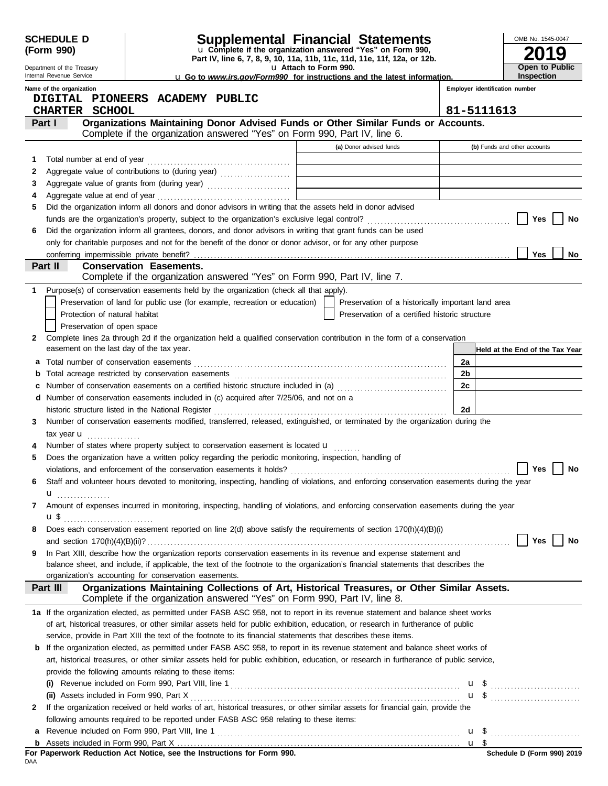|        | <b>SCHEDULE D</b><br>(Form 990)                        |                                                                                       | <b>Supplemental Financial Statements</b><br>u Complete if the organization answered "Yes" on Form 990,<br>Part IV, line 6, 7, 8, 9, 10, 11a, 11b, 11c, 11d, 11e, 11f, 12a, or 12b. |          | OMB No. 1545-0047               |
|--------|--------------------------------------------------------|---------------------------------------------------------------------------------------|------------------------------------------------------------------------------------------------------------------------------------------------------------------------------------|----------|---------------------------------|
|        | Department of the Treasury<br>Internal Revenue Service |                                                                                       | u Attach to Form 990.<br><b>u</b> Go to www.irs.gov/Form990 for instructions and the latest information.                                                                           |          | Open to Public<br>Inspection    |
|        | Name of the organization                               |                                                                                       |                                                                                                                                                                                    |          | Employer identification number  |
|        | <b>CHARTER SCHOOL</b>                                  | DIGITAL PIONEERS ACADEMY PUBLIC                                                       |                                                                                                                                                                                    |          | 81-5111613                      |
|        | Part I                                                 |                                                                                       | Organizations Maintaining Donor Advised Funds or Other Similar Funds or Accounts.                                                                                                  |          |                                 |
|        |                                                        |                                                                                       | Complete if the organization answered "Yes" on Form 990, Part IV, line 6.                                                                                                          |          |                                 |
|        |                                                        |                                                                                       | (a) Donor advised funds                                                                                                                                                            |          | (b) Funds and other accounts    |
| 1      |                                                        |                                                                                       | the control of the control of the control of the control of the control of                                                                                                         |          |                                 |
| 2      |                                                        | Aggregate value of contributions to (during year)                                     | the control of the control of the control of the control of the control of the control of                                                                                          |          |                                 |
| 3      |                                                        |                                                                                       |                                                                                                                                                                                    |          |                                 |
| 4<br>5 |                                                        |                                                                                       | Did the organization inform all donors and donor advisors in writing that the assets held in donor advised                                                                         |          |                                 |
|        |                                                        |                                                                                       | funds are the organization's property, subject to the organization's exclusive legal control? [[[[[[[[[[[[[[[[                                                                     |          | Yes<br>No                       |
| 6      |                                                        |                                                                                       | Did the organization inform all grantees, donors, and donor advisors in writing that grant funds can be used                                                                       |          |                                 |
|        |                                                        |                                                                                       | only for charitable purposes and not for the benefit of the donor or donor advisor, or for any other purpose                                                                       |          |                                 |
|        | conferring impermissible private benefit?              |                                                                                       |                                                                                                                                                                                    |          | Yes<br>No                       |
|        | Part II                                                | <b>Conservation Easements.</b>                                                        | Complete if the organization answered "Yes" on Form 990, Part IV, line 7.                                                                                                          |          |                                 |
| 1      |                                                        | Purpose(s) of conservation easements held by the organization (check all that apply). |                                                                                                                                                                                    |          |                                 |
|        |                                                        | Preservation of land for public use (for example, recreation or education)            | Preservation of a historically important land area                                                                                                                                 |          |                                 |
|        | Protection of natural habitat                          |                                                                                       | Preservation of a certified historic structure                                                                                                                                     |          |                                 |
|        | Preservation of open space                             |                                                                                       |                                                                                                                                                                                    |          |                                 |
| 2      |                                                        |                                                                                       | Complete lines 2a through 2d if the organization held a qualified conservation contribution in the form of a conservation                                                          |          |                                 |
|        | easement on the last day of the tax year.              |                                                                                       |                                                                                                                                                                                    |          | Held at the End of the Tax Year |
| а      |                                                        |                                                                                       |                                                                                                                                                                                    | 2a       |                                 |
| b      |                                                        |                                                                                       |                                                                                                                                                                                    | 2b<br>2c |                                 |
| c<br>d |                                                        | Number of conservation easements included in (c) acquired after 7/25/06, and not on a | Number of conservation easements on a certified historic structure included in (a) [11] Number of conservation easements on a certified historic structure included in (a)         |          |                                 |
|        |                                                        | historic structure listed in the National Register                                    |                                                                                                                                                                                    | 2d       |                                 |
| 3      |                                                        |                                                                                       | Number of conservation easements modified, transferred, released, extinguished, or terminated by the organization during the                                                       |          |                                 |
|        | tax year $\mathbf{u}$                                  |                                                                                       |                                                                                                                                                                                    |          |                                 |
|        |                                                        | Number of states where property subject to conservation easement is located u         |                                                                                                                                                                                    |          |                                 |
| 5      |                                                        |                                                                                       | Does the organization have a written policy regarding the periodic monitoring, inspection, handling of                                                                             |          |                                 |
|        |                                                        | violations, and enforcement of the conservation easements it holds?                   |                                                                                                                                                                                    |          | Yes<br>No                       |
| 6      |                                                        |                                                                                       | Staff and volunteer hours devoted to monitoring, inspecting, handling of violations, and enforcing conservation easements during the year                                          |          |                                 |
| 7      | <b>u</b>                                               |                                                                                       | Amount of expenses incurred in monitoring, inspecting, handling of violations, and enforcing conservation easements during the year                                                |          |                                 |
|        | <b>u</b> \$                                            |                                                                                       |                                                                                                                                                                                    |          |                                 |
| 8      |                                                        |                                                                                       | Does each conservation easement reported on line 2(d) above satisfy the requirements of section 170(h)(4)(B)(i)                                                                    |          |                                 |
|        |                                                        |                                                                                       |                                                                                                                                                                                    |          | Yes<br>No                       |
| 9      |                                                        |                                                                                       | In Part XIII, describe how the organization reports conservation easements in its revenue and expense statement and                                                                |          |                                 |
|        |                                                        | organization's accounting for conservation easements.                                 | balance sheet, and include, if applicable, the text of the footnote to the organization's financial statements that describes the                                                  |          |                                 |
|        | Part III                                               |                                                                                       | Organizations Maintaining Collections of Art, Historical Treasures, or Other Similar Assets.                                                                                       |          |                                 |
|        |                                                        |                                                                                       | Complete if the organization answered "Yes" on Form 990, Part IV, line 8.                                                                                                          |          |                                 |
|        |                                                        |                                                                                       | 1a If the organization elected, as permitted under FASB ASC 958, not to report in its revenue statement and balance sheet works                                                    |          |                                 |
|        |                                                        |                                                                                       | of art, historical treasures, or other similar assets held for public exhibition, education, or research in furtherance of public                                                  |          |                                 |
|        |                                                        |                                                                                       | service, provide in Part XIII the text of the footnote to its financial statements that describes these items.                                                                     |          |                                 |
|        |                                                        |                                                                                       | <b>b</b> If the organization elected, as permitted under FASB ASC 958, to report in its revenue statement and balance sheet works of                                               |          |                                 |
|        |                                                        | provide the following amounts relating to these items:                                | art, historical treasures, or other similar assets held for public exhibition, education, or research in furtherance of public service,                                            |          |                                 |
|        | (i)                                                    |                                                                                       |                                                                                                                                                                                    |          |                                 |
|        |                                                        |                                                                                       |                                                                                                                                                                                    |          | $\mathbf{u}$ \$                 |
| 2      |                                                        |                                                                                       | If the organization received or held works of art, historical treasures, or other similar assets for financial gain, provide the                                                   |          |                                 |
|        |                                                        | following amounts required to be reported under FASB ASC 958 relating to these items: |                                                                                                                                                                                    |          |                                 |
| a      |                                                        |                                                                                       |                                                                                                                                                                                    |          |                                 |
| b      |                                                        |                                                                                       |                                                                                                                                                                                    |          | Schedule D (Form 990) 2019      |
| DAA    |                                                        | For Paperwork Reduction Act Notice, see the Instructions for Form 990.                |                                                                                                                                                                                    |          |                                 |

|     |  |  |  | For Paperwork Reduction Act Notice, see the Instructions for Form 990. |  |  |
|-----|--|--|--|------------------------------------------------------------------------|--|--|
| DAA |  |  |  |                                                                        |  |  |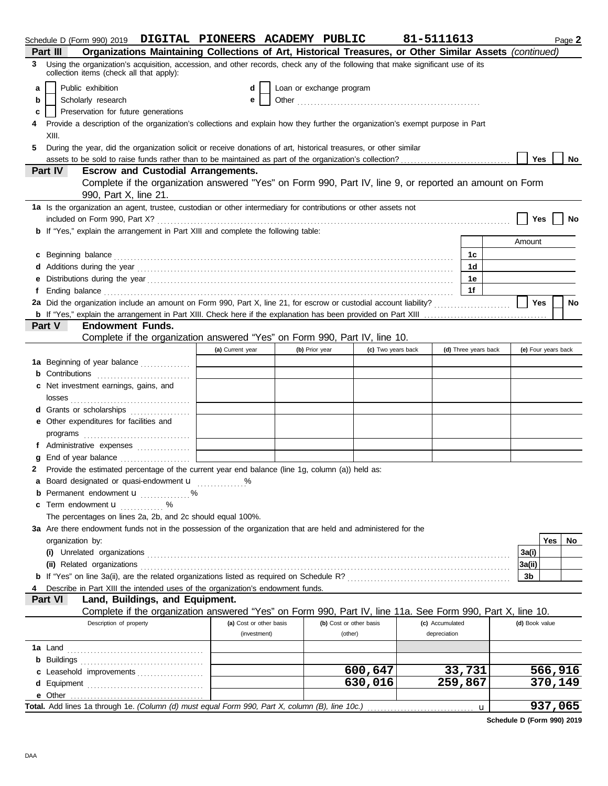| Organizations Maintaining Collections of Art, Historical Treasures, or Other Similar Assets (continued)<br>Part III<br>Using the organization's acquisition, accession, and other records, check any of the following that make significant use of its<br>3<br>collection items (check all that apply):<br>Public exhibition<br>Loan or exchange program<br>d<br>a<br>Scholarly research<br>b<br>е<br>Preservation for future generations<br>с<br>Provide a description of the organization's collections and explain how they further the organization's exempt purpose in Part<br>XIII.<br>During the year, did the organization solicit or receive donations of art, historical treasures, or other similar<br>5.<br><b>Yes</b><br>No<br><b>Escrow and Custodial Arrangements.</b><br><b>Part IV</b><br>Complete if the organization answered "Yes" on Form 990, Part IV, line 9, or reported an amount on Form<br>990, Part X, line 21.<br>1a Is the organization an agent, trustee, custodian or other intermediary for contributions or other assets not<br>Yes<br>No<br><b>b</b> If "Yes," explain the arrangement in Part XIII and complete the following table:<br>Amount<br>c Beginning balance<br>1c<br>1 <sub>d</sub><br>Additions during the year contains and according to the year contained and year and year and year and year and year and year and year and year and year and year and year and year and year and year and year and year and yea<br>1e<br>1f<br>Ending balance <i>communically contained</i> and all the contained and contained and contained and contained and contained and contained and contained and contained and contained and contained and contained and contained and co<br>2a Did the organization include an amount on Form 990, Part X, line 21, for escrow or custodial account liability?<br>Yes<br>No<br>Part V<br><b>Endowment Funds.</b><br>Complete if the organization answered "Yes" on Form 990, Part IV, line 10.<br>(a) Current year<br>(b) Prior year<br>(c) Two years back<br>(d) Three years back<br>(e) Four years back<br><b>1a</b> Beginning of year balance<br><b>b</b> Contributions<br>Net investment earnings, gains, and<br>d Grants or scholarships<br>Other expenditures for facilities and<br>programs<br>End of year balance<br>Provide the estimated percentage of the current year end balance (line 1g, column (a)) held as:<br>2<br>a Board designated or quasi-endowment u<br>Permanent endowment <b>u</b> %<br>b<br>Term endowment <b>u</b><br>. %<br>The percentages on lines 2a, 2b, and 2c should equal 100%.<br>3a Are there endowment funds not in the possession of the organization that are held and administered for the<br>Yes<br>No.<br>organization by:<br>(i) Unrelated organizations<br>3a(i)<br>(ii) Related organizations<br>3a(ii)<br>b If "Yes" on line 3a(ii), are the related organizations listed as required on Schedule R?<br>3b<br>Describe in Part XIII the intended uses of the organization's endowment funds.<br>Land, Buildings, and Equipment.<br>Part VI<br>Complete if the organization answered "Yes" on Form 990, Part IV, line 11a. See Form 990, Part X, line 10.<br>Description of property<br>(a) Cost or other basis<br>(b) Cost or other basis<br>(c) Accumulated<br>(d) Book value<br>depreciation<br>(investment)<br>(other)<br>1a Land<br><b>b</b> Buildings<br>600,647<br>33,731<br>566,916<br>c Leasehold improvements<br>630,016<br>370,149<br>259,867<br>e Other<br>937,065<br>Total. Add lines 1a through 1e. (Column (d) must equal Form 990, Part X, column (B), line 10c.)<br>u | Schedule D (Form 990) 2019 DIGITAL PIONEERS ACADEMY PUBLIC |  |  | 81-5111613 |  |  | Page 2 |
|---------------------------------------------------------------------------------------------------------------------------------------------------------------------------------------------------------------------------------------------------------------------------------------------------------------------------------------------------------------------------------------------------------------------------------------------------------------------------------------------------------------------------------------------------------------------------------------------------------------------------------------------------------------------------------------------------------------------------------------------------------------------------------------------------------------------------------------------------------------------------------------------------------------------------------------------------------------------------------------------------------------------------------------------------------------------------------------------------------------------------------------------------------------------------------------------------------------------------------------------------------------------------------------------------------------------------------------------------------------------------------------------------------------------------------------------------------------------------------------------------------------------------------------------------------------------------------------------------------------------------------------------------------------------------------------------------------------------------------------------------------------------------------------------------------------------------------------------------------------------------------------------------------------------------------------------------------------------------------------------------------------------------------------------------------------------------------------------------------------------------------------------------------------------------------------------------------------------------------------------------------------------------------------------------------------------------------------------------------------------------------------------------------------------------------------------------------------------------------------------------------------------------------------------------------------------------------------------------------------------------------------------------------------------------------------------------------------------------------------------------------------------------------------------------------------------------------------------------------------------------------------------------------------------------------------------------------------------------------------------------------------------------------------------------------------------------------------------------------------------------------------------------------------------------------------------------------------------------------------------------------------------------------------------------------------------------------------------------------------------------------------------------------------------------------------------------------------------------------------------------------------------------------------------------------------------------------------------------------------------|------------------------------------------------------------|--|--|------------|--|--|--------|
|                                                                                                                                                                                                                                                                                                                                                                                                                                                                                                                                                                                                                                                                                                                                                                                                                                                                                                                                                                                                                                                                                                                                                                                                                                                                                                                                                                                                                                                                                                                                                                                                                                                                                                                                                                                                                                                                                                                                                                                                                                                                                                                                                                                                                                                                                                                                                                                                                                                                                                                                                                                                                                                                                                                                                                                                                                                                                                                                                                                                                                                                                                                                                                                                                                                                                                                                                                                                                                                                                                                                                                                                                     |                                                            |  |  |            |  |  |        |
|                                                                                                                                                                                                                                                                                                                                                                                                                                                                                                                                                                                                                                                                                                                                                                                                                                                                                                                                                                                                                                                                                                                                                                                                                                                                                                                                                                                                                                                                                                                                                                                                                                                                                                                                                                                                                                                                                                                                                                                                                                                                                                                                                                                                                                                                                                                                                                                                                                                                                                                                                                                                                                                                                                                                                                                                                                                                                                                                                                                                                                                                                                                                                                                                                                                                                                                                                                                                                                                                                                                                                                                                                     |                                                            |  |  |            |  |  |        |
|                                                                                                                                                                                                                                                                                                                                                                                                                                                                                                                                                                                                                                                                                                                                                                                                                                                                                                                                                                                                                                                                                                                                                                                                                                                                                                                                                                                                                                                                                                                                                                                                                                                                                                                                                                                                                                                                                                                                                                                                                                                                                                                                                                                                                                                                                                                                                                                                                                                                                                                                                                                                                                                                                                                                                                                                                                                                                                                                                                                                                                                                                                                                                                                                                                                                                                                                                                                                                                                                                                                                                                                                                     |                                                            |  |  |            |  |  |        |
|                                                                                                                                                                                                                                                                                                                                                                                                                                                                                                                                                                                                                                                                                                                                                                                                                                                                                                                                                                                                                                                                                                                                                                                                                                                                                                                                                                                                                                                                                                                                                                                                                                                                                                                                                                                                                                                                                                                                                                                                                                                                                                                                                                                                                                                                                                                                                                                                                                                                                                                                                                                                                                                                                                                                                                                                                                                                                                                                                                                                                                                                                                                                                                                                                                                                                                                                                                                                                                                                                                                                                                                                                     |                                                            |  |  |            |  |  |        |
|                                                                                                                                                                                                                                                                                                                                                                                                                                                                                                                                                                                                                                                                                                                                                                                                                                                                                                                                                                                                                                                                                                                                                                                                                                                                                                                                                                                                                                                                                                                                                                                                                                                                                                                                                                                                                                                                                                                                                                                                                                                                                                                                                                                                                                                                                                                                                                                                                                                                                                                                                                                                                                                                                                                                                                                                                                                                                                                                                                                                                                                                                                                                                                                                                                                                                                                                                                                                                                                                                                                                                                                                                     |                                                            |  |  |            |  |  |        |
|                                                                                                                                                                                                                                                                                                                                                                                                                                                                                                                                                                                                                                                                                                                                                                                                                                                                                                                                                                                                                                                                                                                                                                                                                                                                                                                                                                                                                                                                                                                                                                                                                                                                                                                                                                                                                                                                                                                                                                                                                                                                                                                                                                                                                                                                                                                                                                                                                                                                                                                                                                                                                                                                                                                                                                                                                                                                                                                                                                                                                                                                                                                                                                                                                                                                                                                                                                                                                                                                                                                                                                                                                     |                                                            |  |  |            |  |  |        |
|                                                                                                                                                                                                                                                                                                                                                                                                                                                                                                                                                                                                                                                                                                                                                                                                                                                                                                                                                                                                                                                                                                                                                                                                                                                                                                                                                                                                                                                                                                                                                                                                                                                                                                                                                                                                                                                                                                                                                                                                                                                                                                                                                                                                                                                                                                                                                                                                                                                                                                                                                                                                                                                                                                                                                                                                                                                                                                                                                                                                                                                                                                                                                                                                                                                                                                                                                                                                                                                                                                                                                                                                                     |                                                            |  |  |            |  |  |        |
|                                                                                                                                                                                                                                                                                                                                                                                                                                                                                                                                                                                                                                                                                                                                                                                                                                                                                                                                                                                                                                                                                                                                                                                                                                                                                                                                                                                                                                                                                                                                                                                                                                                                                                                                                                                                                                                                                                                                                                                                                                                                                                                                                                                                                                                                                                                                                                                                                                                                                                                                                                                                                                                                                                                                                                                                                                                                                                                                                                                                                                                                                                                                                                                                                                                                                                                                                                                                                                                                                                                                                                                                                     |                                                            |  |  |            |  |  |        |
|                                                                                                                                                                                                                                                                                                                                                                                                                                                                                                                                                                                                                                                                                                                                                                                                                                                                                                                                                                                                                                                                                                                                                                                                                                                                                                                                                                                                                                                                                                                                                                                                                                                                                                                                                                                                                                                                                                                                                                                                                                                                                                                                                                                                                                                                                                                                                                                                                                                                                                                                                                                                                                                                                                                                                                                                                                                                                                                                                                                                                                                                                                                                                                                                                                                                                                                                                                                                                                                                                                                                                                                                                     |                                                            |  |  |            |  |  |        |
|                                                                                                                                                                                                                                                                                                                                                                                                                                                                                                                                                                                                                                                                                                                                                                                                                                                                                                                                                                                                                                                                                                                                                                                                                                                                                                                                                                                                                                                                                                                                                                                                                                                                                                                                                                                                                                                                                                                                                                                                                                                                                                                                                                                                                                                                                                                                                                                                                                                                                                                                                                                                                                                                                                                                                                                                                                                                                                                                                                                                                                                                                                                                                                                                                                                                                                                                                                                                                                                                                                                                                                                                                     |                                                            |  |  |            |  |  |        |
|                                                                                                                                                                                                                                                                                                                                                                                                                                                                                                                                                                                                                                                                                                                                                                                                                                                                                                                                                                                                                                                                                                                                                                                                                                                                                                                                                                                                                                                                                                                                                                                                                                                                                                                                                                                                                                                                                                                                                                                                                                                                                                                                                                                                                                                                                                                                                                                                                                                                                                                                                                                                                                                                                                                                                                                                                                                                                                                                                                                                                                                                                                                                                                                                                                                                                                                                                                                                                                                                                                                                                                                                                     |                                                            |  |  |            |  |  |        |
|                                                                                                                                                                                                                                                                                                                                                                                                                                                                                                                                                                                                                                                                                                                                                                                                                                                                                                                                                                                                                                                                                                                                                                                                                                                                                                                                                                                                                                                                                                                                                                                                                                                                                                                                                                                                                                                                                                                                                                                                                                                                                                                                                                                                                                                                                                                                                                                                                                                                                                                                                                                                                                                                                                                                                                                                                                                                                                                                                                                                                                                                                                                                                                                                                                                                                                                                                                                                                                                                                                                                                                                                                     |                                                            |  |  |            |  |  |        |
|                                                                                                                                                                                                                                                                                                                                                                                                                                                                                                                                                                                                                                                                                                                                                                                                                                                                                                                                                                                                                                                                                                                                                                                                                                                                                                                                                                                                                                                                                                                                                                                                                                                                                                                                                                                                                                                                                                                                                                                                                                                                                                                                                                                                                                                                                                                                                                                                                                                                                                                                                                                                                                                                                                                                                                                                                                                                                                                                                                                                                                                                                                                                                                                                                                                                                                                                                                                                                                                                                                                                                                                                                     |                                                            |  |  |            |  |  |        |
|                                                                                                                                                                                                                                                                                                                                                                                                                                                                                                                                                                                                                                                                                                                                                                                                                                                                                                                                                                                                                                                                                                                                                                                                                                                                                                                                                                                                                                                                                                                                                                                                                                                                                                                                                                                                                                                                                                                                                                                                                                                                                                                                                                                                                                                                                                                                                                                                                                                                                                                                                                                                                                                                                                                                                                                                                                                                                                                                                                                                                                                                                                                                                                                                                                                                                                                                                                                                                                                                                                                                                                                                                     |                                                            |  |  |            |  |  |        |
|                                                                                                                                                                                                                                                                                                                                                                                                                                                                                                                                                                                                                                                                                                                                                                                                                                                                                                                                                                                                                                                                                                                                                                                                                                                                                                                                                                                                                                                                                                                                                                                                                                                                                                                                                                                                                                                                                                                                                                                                                                                                                                                                                                                                                                                                                                                                                                                                                                                                                                                                                                                                                                                                                                                                                                                                                                                                                                                                                                                                                                                                                                                                                                                                                                                                                                                                                                                                                                                                                                                                                                                                                     |                                                            |  |  |            |  |  |        |
|                                                                                                                                                                                                                                                                                                                                                                                                                                                                                                                                                                                                                                                                                                                                                                                                                                                                                                                                                                                                                                                                                                                                                                                                                                                                                                                                                                                                                                                                                                                                                                                                                                                                                                                                                                                                                                                                                                                                                                                                                                                                                                                                                                                                                                                                                                                                                                                                                                                                                                                                                                                                                                                                                                                                                                                                                                                                                                                                                                                                                                                                                                                                                                                                                                                                                                                                                                                                                                                                                                                                                                                                                     |                                                            |  |  |            |  |  |        |
|                                                                                                                                                                                                                                                                                                                                                                                                                                                                                                                                                                                                                                                                                                                                                                                                                                                                                                                                                                                                                                                                                                                                                                                                                                                                                                                                                                                                                                                                                                                                                                                                                                                                                                                                                                                                                                                                                                                                                                                                                                                                                                                                                                                                                                                                                                                                                                                                                                                                                                                                                                                                                                                                                                                                                                                                                                                                                                                                                                                                                                                                                                                                                                                                                                                                                                                                                                                                                                                                                                                                                                                                                     |                                                            |  |  |            |  |  |        |
|                                                                                                                                                                                                                                                                                                                                                                                                                                                                                                                                                                                                                                                                                                                                                                                                                                                                                                                                                                                                                                                                                                                                                                                                                                                                                                                                                                                                                                                                                                                                                                                                                                                                                                                                                                                                                                                                                                                                                                                                                                                                                                                                                                                                                                                                                                                                                                                                                                                                                                                                                                                                                                                                                                                                                                                                                                                                                                                                                                                                                                                                                                                                                                                                                                                                                                                                                                                                                                                                                                                                                                                                                     |                                                            |  |  |            |  |  |        |
|                                                                                                                                                                                                                                                                                                                                                                                                                                                                                                                                                                                                                                                                                                                                                                                                                                                                                                                                                                                                                                                                                                                                                                                                                                                                                                                                                                                                                                                                                                                                                                                                                                                                                                                                                                                                                                                                                                                                                                                                                                                                                                                                                                                                                                                                                                                                                                                                                                                                                                                                                                                                                                                                                                                                                                                                                                                                                                                                                                                                                                                                                                                                                                                                                                                                                                                                                                                                                                                                                                                                                                                                                     |                                                            |  |  |            |  |  |        |
|                                                                                                                                                                                                                                                                                                                                                                                                                                                                                                                                                                                                                                                                                                                                                                                                                                                                                                                                                                                                                                                                                                                                                                                                                                                                                                                                                                                                                                                                                                                                                                                                                                                                                                                                                                                                                                                                                                                                                                                                                                                                                                                                                                                                                                                                                                                                                                                                                                                                                                                                                                                                                                                                                                                                                                                                                                                                                                                                                                                                                                                                                                                                                                                                                                                                                                                                                                                                                                                                                                                                                                                                                     |                                                            |  |  |            |  |  |        |
|                                                                                                                                                                                                                                                                                                                                                                                                                                                                                                                                                                                                                                                                                                                                                                                                                                                                                                                                                                                                                                                                                                                                                                                                                                                                                                                                                                                                                                                                                                                                                                                                                                                                                                                                                                                                                                                                                                                                                                                                                                                                                                                                                                                                                                                                                                                                                                                                                                                                                                                                                                                                                                                                                                                                                                                                                                                                                                                                                                                                                                                                                                                                                                                                                                                                                                                                                                                                                                                                                                                                                                                                                     |                                                            |  |  |            |  |  |        |
|                                                                                                                                                                                                                                                                                                                                                                                                                                                                                                                                                                                                                                                                                                                                                                                                                                                                                                                                                                                                                                                                                                                                                                                                                                                                                                                                                                                                                                                                                                                                                                                                                                                                                                                                                                                                                                                                                                                                                                                                                                                                                                                                                                                                                                                                                                                                                                                                                                                                                                                                                                                                                                                                                                                                                                                                                                                                                                                                                                                                                                                                                                                                                                                                                                                                                                                                                                                                                                                                                                                                                                                                                     |                                                            |  |  |            |  |  |        |
|                                                                                                                                                                                                                                                                                                                                                                                                                                                                                                                                                                                                                                                                                                                                                                                                                                                                                                                                                                                                                                                                                                                                                                                                                                                                                                                                                                                                                                                                                                                                                                                                                                                                                                                                                                                                                                                                                                                                                                                                                                                                                                                                                                                                                                                                                                                                                                                                                                                                                                                                                                                                                                                                                                                                                                                                                                                                                                                                                                                                                                                                                                                                                                                                                                                                                                                                                                                                                                                                                                                                                                                                                     |                                                            |  |  |            |  |  |        |
|                                                                                                                                                                                                                                                                                                                                                                                                                                                                                                                                                                                                                                                                                                                                                                                                                                                                                                                                                                                                                                                                                                                                                                                                                                                                                                                                                                                                                                                                                                                                                                                                                                                                                                                                                                                                                                                                                                                                                                                                                                                                                                                                                                                                                                                                                                                                                                                                                                                                                                                                                                                                                                                                                                                                                                                                                                                                                                                                                                                                                                                                                                                                                                                                                                                                                                                                                                                                                                                                                                                                                                                                                     |                                                            |  |  |            |  |  |        |
|                                                                                                                                                                                                                                                                                                                                                                                                                                                                                                                                                                                                                                                                                                                                                                                                                                                                                                                                                                                                                                                                                                                                                                                                                                                                                                                                                                                                                                                                                                                                                                                                                                                                                                                                                                                                                                                                                                                                                                                                                                                                                                                                                                                                                                                                                                                                                                                                                                                                                                                                                                                                                                                                                                                                                                                                                                                                                                                                                                                                                                                                                                                                                                                                                                                                                                                                                                                                                                                                                                                                                                                                                     |                                                            |  |  |            |  |  |        |
|                                                                                                                                                                                                                                                                                                                                                                                                                                                                                                                                                                                                                                                                                                                                                                                                                                                                                                                                                                                                                                                                                                                                                                                                                                                                                                                                                                                                                                                                                                                                                                                                                                                                                                                                                                                                                                                                                                                                                                                                                                                                                                                                                                                                                                                                                                                                                                                                                                                                                                                                                                                                                                                                                                                                                                                                                                                                                                                                                                                                                                                                                                                                                                                                                                                                                                                                                                                                                                                                                                                                                                                                                     |                                                            |  |  |            |  |  |        |
|                                                                                                                                                                                                                                                                                                                                                                                                                                                                                                                                                                                                                                                                                                                                                                                                                                                                                                                                                                                                                                                                                                                                                                                                                                                                                                                                                                                                                                                                                                                                                                                                                                                                                                                                                                                                                                                                                                                                                                                                                                                                                                                                                                                                                                                                                                                                                                                                                                                                                                                                                                                                                                                                                                                                                                                                                                                                                                                                                                                                                                                                                                                                                                                                                                                                                                                                                                                                                                                                                                                                                                                                                     |                                                            |  |  |            |  |  |        |
|                                                                                                                                                                                                                                                                                                                                                                                                                                                                                                                                                                                                                                                                                                                                                                                                                                                                                                                                                                                                                                                                                                                                                                                                                                                                                                                                                                                                                                                                                                                                                                                                                                                                                                                                                                                                                                                                                                                                                                                                                                                                                                                                                                                                                                                                                                                                                                                                                                                                                                                                                                                                                                                                                                                                                                                                                                                                                                                                                                                                                                                                                                                                                                                                                                                                                                                                                                                                                                                                                                                                                                                                                     |                                                            |  |  |            |  |  |        |
|                                                                                                                                                                                                                                                                                                                                                                                                                                                                                                                                                                                                                                                                                                                                                                                                                                                                                                                                                                                                                                                                                                                                                                                                                                                                                                                                                                                                                                                                                                                                                                                                                                                                                                                                                                                                                                                                                                                                                                                                                                                                                                                                                                                                                                                                                                                                                                                                                                                                                                                                                                                                                                                                                                                                                                                                                                                                                                                                                                                                                                                                                                                                                                                                                                                                                                                                                                                                                                                                                                                                                                                                                     |                                                            |  |  |            |  |  |        |
|                                                                                                                                                                                                                                                                                                                                                                                                                                                                                                                                                                                                                                                                                                                                                                                                                                                                                                                                                                                                                                                                                                                                                                                                                                                                                                                                                                                                                                                                                                                                                                                                                                                                                                                                                                                                                                                                                                                                                                                                                                                                                                                                                                                                                                                                                                                                                                                                                                                                                                                                                                                                                                                                                                                                                                                                                                                                                                                                                                                                                                                                                                                                                                                                                                                                                                                                                                                                                                                                                                                                                                                                                     |                                                            |  |  |            |  |  |        |
|                                                                                                                                                                                                                                                                                                                                                                                                                                                                                                                                                                                                                                                                                                                                                                                                                                                                                                                                                                                                                                                                                                                                                                                                                                                                                                                                                                                                                                                                                                                                                                                                                                                                                                                                                                                                                                                                                                                                                                                                                                                                                                                                                                                                                                                                                                                                                                                                                                                                                                                                                                                                                                                                                                                                                                                                                                                                                                                                                                                                                                                                                                                                                                                                                                                                                                                                                                                                                                                                                                                                                                                                                     |                                                            |  |  |            |  |  |        |
|                                                                                                                                                                                                                                                                                                                                                                                                                                                                                                                                                                                                                                                                                                                                                                                                                                                                                                                                                                                                                                                                                                                                                                                                                                                                                                                                                                                                                                                                                                                                                                                                                                                                                                                                                                                                                                                                                                                                                                                                                                                                                                                                                                                                                                                                                                                                                                                                                                                                                                                                                                                                                                                                                                                                                                                                                                                                                                                                                                                                                                                                                                                                                                                                                                                                                                                                                                                                                                                                                                                                                                                                                     |                                                            |  |  |            |  |  |        |
|                                                                                                                                                                                                                                                                                                                                                                                                                                                                                                                                                                                                                                                                                                                                                                                                                                                                                                                                                                                                                                                                                                                                                                                                                                                                                                                                                                                                                                                                                                                                                                                                                                                                                                                                                                                                                                                                                                                                                                                                                                                                                                                                                                                                                                                                                                                                                                                                                                                                                                                                                                                                                                                                                                                                                                                                                                                                                                                                                                                                                                                                                                                                                                                                                                                                                                                                                                                                                                                                                                                                                                                                                     |                                                            |  |  |            |  |  |        |
|                                                                                                                                                                                                                                                                                                                                                                                                                                                                                                                                                                                                                                                                                                                                                                                                                                                                                                                                                                                                                                                                                                                                                                                                                                                                                                                                                                                                                                                                                                                                                                                                                                                                                                                                                                                                                                                                                                                                                                                                                                                                                                                                                                                                                                                                                                                                                                                                                                                                                                                                                                                                                                                                                                                                                                                                                                                                                                                                                                                                                                                                                                                                                                                                                                                                                                                                                                                                                                                                                                                                                                                                                     |                                                            |  |  |            |  |  |        |
|                                                                                                                                                                                                                                                                                                                                                                                                                                                                                                                                                                                                                                                                                                                                                                                                                                                                                                                                                                                                                                                                                                                                                                                                                                                                                                                                                                                                                                                                                                                                                                                                                                                                                                                                                                                                                                                                                                                                                                                                                                                                                                                                                                                                                                                                                                                                                                                                                                                                                                                                                                                                                                                                                                                                                                                                                                                                                                                                                                                                                                                                                                                                                                                                                                                                                                                                                                                                                                                                                                                                                                                                                     |                                                            |  |  |            |  |  |        |
|                                                                                                                                                                                                                                                                                                                                                                                                                                                                                                                                                                                                                                                                                                                                                                                                                                                                                                                                                                                                                                                                                                                                                                                                                                                                                                                                                                                                                                                                                                                                                                                                                                                                                                                                                                                                                                                                                                                                                                                                                                                                                                                                                                                                                                                                                                                                                                                                                                                                                                                                                                                                                                                                                                                                                                                                                                                                                                                                                                                                                                                                                                                                                                                                                                                                                                                                                                                                                                                                                                                                                                                                                     |                                                            |  |  |            |  |  |        |
|                                                                                                                                                                                                                                                                                                                                                                                                                                                                                                                                                                                                                                                                                                                                                                                                                                                                                                                                                                                                                                                                                                                                                                                                                                                                                                                                                                                                                                                                                                                                                                                                                                                                                                                                                                                                                                                                                                                                                                                                                                                                                                                                                                                                                                                                                                                                                                                                                                                                                                                                                                                                                                                                                                                                                                                                                                                                                                                                                                                                                                                                                                                                                                                                                                                                                                                                                                                                                                                                                                                                                                                                                     |                                                            |  |  |            |  |  |        |
|                                                                                                                                                                                                                                                                                                                                                                                                                                                                                                                                                                                                                                                                                                                                                                                                                                                                                                                                                                                                                                                                                                                                                                                                                                                                                                                                                                                                                                                                                                                                                                                                                                                                                                                                                                                                                                                                                                                                                                                                                                                                                                                                                                                                                                                                                                                                                                                                                                                                                                                                                                                                                                                                                                                                                                                                                                                                                                                                                                                                                                                                                                                                                                                                                                                                                                                                                                                                                                                                                                                                                                                                                     |                                                            |  |  |            |  |  |        |
|                                                                                                                                                                                                                                                                                                                                                                                                                                                                                                                                                                                                                                                                                                                                                                                                                                                                                                                                                                                                                                                                                                                                                                                                                                                                                                                                                                                                                                                                                                                                                                                                                                                                                                                                                                                                                                                                                                                                                                                                                                                                                                                                                                                                                                                                                                                                                                                                                                                                                                                                                                                                                                                                                                                                                                                                                                                                                                                                                                                                                                                                                                                                                                                                                                                                                                                                                                                                                                                                                                                                                                                                                     |                                                            |  |  |            |  |  |        |
|                                                                                                                                                                                                                                                                                                                                                                                                                                                                                                                                                                                                                                                                                                                                                                                                                                                                                                                                                                                                                                                                                                                                                                                                                                                                                                                                                                                                                                                                                                                                                                                                                                                                                                                                                                                                                                                                                                                                                                                                                                                                                                                                                                                                                                                                                                                                                                                                                                                                                                                                                                                                                                                                                                                                                                                                                                                                                                                                                                                                                                                                                                                                                                                                                                                                                                                                                                                                                                                                                                                                                                                                                     |                                                            |  |  |            |  |  |        |
|                                                                                                                                                                                                                                                                                                                                                                                                                                                                                                                                                                                                                                                                                                                                                                                                                                                                                                                                                                                                                                                                                                                                                                                                                                                                                                                                                                                                                                                                                                                                                                                                                                                                                                                                                                                                                                                                                                                                                                                                                                                                                                                                                                                                                                                                                                                                                                                                                                                                                                                                                                                                                                                                                                                                                                                                                                                                                                                                                                                                                                                                                                                                                                                                                                                                                                                                                                                                                                                                                                                                                                                                                     |                                                            |  |  |            |  |  |        |
|                                                                                                                                                                                                                                                                                                                                                                                                                                                                                                                                                                                                                                                                                                                                                                                                                                                                                                                                                                                                                                                                                                                                                                                                                                                                                                                                                                                                                                                                                                                                                                                                                                                                                                                                                                                                                                                                                                                                                                                                                                                                                                                                                                                                                                                                                                                                                                                                                                                                                                                                                                                                                                                                                                                                                                                                                                                                                                                                                                                                                                                                                                                                                                                                                                                                                                                                                                                                                                                                                                                                                                                                                     |                                                            |  |  |            |  |  |        |
|                                                                                                                                                                                                                                                                                                                                                                                                                                                                                                                                                                                                                                                                                                                                                                                                                                                                                                                                                                                                                                                                                                                                                                                                                                                                                                                                                                                                                                                                                                                                                                                                                                                                                                                                                                                                                                                                                                                                                                                                                                                                                                                                                                                                                                                                                                                                                                                                                                                                                                                                                                                                                                                                                                                                                                                                                                                                                                                                                                                                                                                                                                                                                                                                                                                                                                                                                                                                                                                                                                                                                                                                                     |                                                            |  |  |            |  |  |        |
|                                                                                                                                                                                                                                                                                                                                                                                                                                                                                                                                                                                                                                                                                                                                                                                                                                                                                                                                                                                                                                                                                                                                                                                                                                                                                                                                                                                                                                                                                                                                                                                                                                                                                                                                                                                                                                                                                                                                                                                                                                                                                                                                                                                                                                                                                                                                                                                                                                                                                                                                                                                                                                                                                                                                                                                                                                                                                                                                                                                                                                                                                                                                                                                                                                                                                                                                                                                                                                                                                                                                                                                                                     |                                                            |  |  |            |  |  |        |
|                                                                                                                                                                                                                                                                                                                                                                                                                                                                                                                                                                                                                                                                                                                                                                                                                                                                                                                                                                                                                                                                                                                                                                                                                                                                                                                                                                                                                                                                                                                                                                                                                                                                                                                                                                                                                                                                                                                                                                                                                                                                                                                                                                                                                                                                                                                                                                                                                                                                                                                                                                                                                                                                                                                                                                                                                                                                                                                                                                                                                                                                                                                                                                                                                                                                                                                                                                                                                                                                                                                                                                                                                     |                                                            |  |  |            |  |  |        |
|                                                                                                                                                                                                                                                                                                                                                                                                                                                                                                                                                                                                                                                                                                                                                                                                                                                                                                                                                                                                                                                                                                                                                                                                                                                                                                                                                                                                                                                                                                                                                                                                                                                                                                                                                                                                                                                                                                                                                                                                                                                                                                                                                                                                                                                                                                                                                                                                                                                                                                                                                                                                                                                                                                                                                                                                                                                                                                                                                                                                                                                                                                                                                                                                                                                                                                                                                                                                                                                                                                                                                                                                                     |                                                            |  |  |            |  |  |        |
|                                                                                                                                                                                                                                                                                                                                                                                                                                                                                                                                                                                                                                                                                                                                                                                                                                                                                                                                                                                                                                                                                                                                                                                                                                                                                                                                                                                                                                                                                                                                                                                                                                                                                                                                                                                                                                                                                                                                                                                                                                                                                                                                                                                                                                                                                                                                                                                                                                                                                                                                                                                                                                                                                                                                                                                                                                                                                                                                                                                                                                                                                                                                                                                                                                                                                                                                                                                                                                                                                                                                                                                                                     |                                                            |  |  |            |  |  |        |
|                                                                                                                                                                                                                                                                                                                                                                                                                                                                                                                                                                                                                                                                                                                                                                                                                                                                                                                                                                                                                                                                                                                                                                                                                                                                                                                                                                                                                                                                                                                                                                                                                                                                                                                                                                                                                                                                                                                                                                                                                                                                                                                                                                                                                                                                                                                                                                                                                                                                                                                                                                                                                                                                                                                                                                                                                                                                                                                                                                                                                                                                                                                                                                                                                                                                                                                                                                                                                                                                                                                                                                                                                     |                                                            |  |  |            |  |  |        |
|                                                                                                                                                                                                                                                                                                                                                                                                                                                                                                                                                                                                                                                                                                                                                                                                                                                                                                                                                                                                                                                                                                                                                                                                                                                                                                                                                                                                                                                                                                                                                                                                                                                                                                                                                                                                                                                                                                                                                                                                                                                                                                                                                                                                                                                                                                                                                                                                                                                                                                                                                                                                                                                                                                                                                                                                                                                                                                                                                                                                                                                                                                                                                                                                                                                                                                                                                                                                                                                                                                                                                                                                                     |                                                            |  |  |            |  |  |        |
|                                                                                                                                                                                                                                                                                                                                                                                                                                                                                                                                                                                                                                                                                                                                                                                                                                                                                                                                                                                                                                                                                                                                                                                                                                                                                                                                                                                                                                                                                                                                                                                                                                                                                                                                                                                                                                                                                                                                                                                                                                                                                                                                                                                                                                                                                                                                                                                                                                                                                                                                                                                                                                                                                                                                                                                                                                                                                                                                                                                                                                                                                                                                                                                                                                                                                                                                                                                                                                                                                                                                                                                                                     |                                                            |  |  |            |  |  |        |
|                                                                                                                                                                                                                                                                                                                                                                                                                                                                                                                                                                                                                                                                                                                                                                                                                                                                                                                                                                                                                                                                                                                                                                                                                                                                                                                                                                                                                                                                                                                                                                                                                                                                                                                                                                                                                                                                                                                                                                                                                                                                                                                                                                                                                                                                                                                                                                                                                                                                                                                                                                                                                                                                                                                                                                                                                                                                                                                                                                                                                                                                                                                                                                                                                                                                                                                                                                                                                                                                                                                                                                                                                     |                                                            |  |  |            |  |  |        |
|                                                                                                                                                                                                                                                                                                                                                                                                                                                                                                                                                                                                                                                                                                                                                                                                                                                                                                                                                                                                                                                                                                                                                                                                                                                                                                                                                                                                                                                                                                                                                                                                                                                                                                                                                                                                                                                                                                                                                                                                                                                                                                                                                                                                                                                                                                                                                                                                                                                                                                                                                                                                                                                                                                                                                                                                                                                                                                                                                                                                                                                                                                                                                                                                                                                                                                                                                                                                                                                                                                                                                                                                                     |                                                            |  |  |            |  |  |        |
|                                                                                                                                                                                                                                                                                                                                                                                                                                                                                                                                                                                                                                                                                                                                                                                                                                                                                                                                                                                                                                                                                                                                                                                                                                                                                                                                                                                                                                                                                                                                                                                                                                                                                                                                                                                                                                                                                                                                                                                                                                                                                                                                                                                                                                                                                                                                                                                                                                                                                                                                                                                                                                                                                                                                                                                                                                                                                                                                                                                                                                                                                                                                                                                                                                                                                                                                                                                                                                                                                                                                                                                                                     |                                                            |  |  |            |  |  |        |
|                                                                                                                                                                                                                                                                                                                                                                                                                                                                                                                                                                                                                                                                                                                                                                                                                                                                                                                                                                                                                                                                                                                                                                                                                                                                                                                                                                                                                                                                                                                                                                                                                                                                                                                                                                                                                                                                                                                                                                                                                                                                                                                                                                                                                                                                                                                                                                                                                                                                                                                                                                                                                                                                                                                                                                                                                                                                                                                                                                                                                                                                                                                                                                                                                                                                                                                                                                                                                                                                                                                                                                                                                     |                                                            |  |  |            |  |  |        |
|                                                                                                                                                                                                                                                                                                                                                                                                                                                                                                                                                                                                                                                                                                                                                                                                                                                                                                                                                                                                                                                                                                                                                                                                                                                                                                                                                                                                                                                                                                                                                                                                                                                                                                                                                                                                                                                                                                                                                                                                                                                                                                                                                                                                                                                                                                                                                                                                                                                                                                                                                                                                                                                                                                                                                                                                                                                                                                                                                                                                                                                                                                                                                                                                                                                                                                                                                                                                                                                                                                                                                                                                                     |                                                            |  |  |            |  |  |        |

**Schedule D (Form 990) 2019**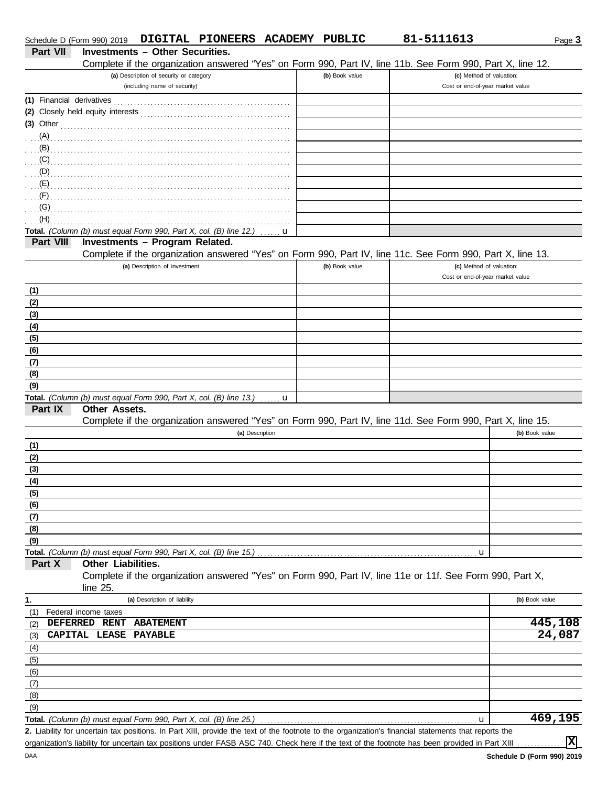| Schedule D (Form 990) 2019 |                                        |                |                                                                         | DIGITAL PIONEERS ACADEMY PUBLIC                                    |            |                | 81-5111613                                                                                                                                           |                                                              | Page 3         |
|----------------------------|----------------------------------------|----------------|-------------------------------------------------------------------------|--------------------------------------------------------------------|------------|----------------|------------------------------------------------------------------------------------------------------------------------------------------------------|--------------------------------------------------------------|----------------|
| <b>Part VII</b>            | <b>Investments - Other Securities.</b> |                |                                                                         |                                                                    |            |                |                                                                                                                                                      |                                                              |                |
|                            |                                        |                |                                                                         |                                                                    |            |                | Complete if the organization answered "Yes" on Form 990, Part IV, line 11b. See Form 990, Part X, line 12.                                           |                                                              |                |
|                            |                                        |                | (a) Description of security or category<br>(including name of security) |                                                                    |            | (b) Book value |                                                                                                                                                      | (c) Method of valuation:<br>Cost or end-of-year market value |                |
| (1) Financial derivatives  |                                        |                |                                                                         |                                                                    |            |                |                                                                                                                                                      |                                                              |                |
|                            |                                        |                |                                                                         |                                                                    |            |                |                                                                                                                                                      |                                                              |                |
| $(3)$ Other                |                                        |                |                                                                         |                                                                    |            |                |                                                                                                                                                      |                                                              |                |
| $(A)$ .                    |                                        |                |                                                                         |                                                                    |            |                |                                                                                                                                                      |                                                              |                |
| (B)                        |                                        |                |                                                                         |                                                                    |            |                |                                                                                                                                                      |                                                              |                |
| (C)                        |                                        |                |                                                                         |                                                                    |            |                |                                                                                                                                                      |                                                              |                |
| (D)                        |                                        |                |                                                                         |                                                                    |            |                |                                                                                                                                                      |                                                              |                |
| (E)                        |                                        |                |                                                                         |                                                                    |            |                |                                                                                                                                                      |                                                              |                |
| (F)                        |                                        |                |                                                                         |                                                                    |            |                |                                                                                                                                                      |                                                              |                |
| (G)                        |                                        |                |                                                                         |                                                                    |            |                |                                                                                                                                                      |                                                              |                |
| (H)                        |                                        |                |                                                                         |                                                                    |            |                |                                                                                                                                                      |                                                              |                |
|                            |                                        |                |                                                                         | Total. (Column (b) must equal Form 990, Part X, col. (B) line 12.) | u          |                |                                                                                                                                                      |                                                              |                |
| Part VIII                  | Investments - Program Related.         |                |                                                                         |                                                                    |            |                |                                                                                                                                                      |                                                              |                |
|                            |                                        |                |                                                                         |                                                                    |            |                | Complete if the organization answered "Yes" on Form 990, Part IV, line 11c. See Form 990, Part X, line 13.                                           |                                                              |                |
|                            |                                        |                | (a) Description of investment                                           |                                                                    |            | (b) Book value |                                                                                                                                                      | (c) Method of valuation:<br>Cost or end-of-year market value |                |
|                            |                                        |                |                                                                         |                                                                    |            |                |                                                                                                                                                      |                                                              |                |
| (1)                        |                                        |                |                                                                         |                                                                    |            |                |                                                                                                                                                      |                                                              |                |
| (2)                        |                                        |                |                                                                         |                                                                    |            |                |                                                                                                                                                      |                                                              |                |
| (3)<br>(4)                 |                                        |                |                                                                         |                                                                    |            |                |                                                                                                                                                      |                                                              |                |
| (5)                        |                                        |                |                                                                         |                                                                    |            |                |                                                                                                                                                      |                                                              |                |
| (6)                        |                                        |                |                                                                         |                                                                    |            |                |                                                                                                                                                      |                                                              |                |
| (7)                        |                                        |                |                                                                         |                                                                    |            |                |                                                                                                                                                      |                                                              |                |
| (8)                        |                                        |                |                                                                         |                                                                    |            |                |                                                                                                                                                      |                                                              |                |
| (9)                        |                                        |                |                                                                         |                                                                    |            |                |                                                                                                                                                      |                                                              |                |
|                            |                                        |                |                                                                         | Total. (Column (b) must equal Form 990, Part X, col. (B) line 13.) | . <b>u</b> |                |                                                                                                                                                      |                                                              |                |
| Part IX                    | <b>Other Assets.</b>                   |                |                                                                         |                                                                    |            |                |                                                                                                                                                      |                                                              |                |
|                            |                                        |                |                                                                         |                                                                    |            |                | Complete if the organization answered "Yes" on Form 990, Part IV, line 11d. See Form 990, Part X, line 15.                                           |                                                              |                |
|                            |                                        |                |                                                                         | (a) Description                                                    |            |                |                                                                                                                                                      | (b) Book value                                               |                |
| (1)                        |                                        |                |                                                                         |                                                                    |            |                |                                                                                                                                                      |                                                              |                |
| (2)                        |                                        |                |                                                                         |                                                                    |            |                |                                                                                                                                                      |                                                              |                |
| (3)                        |                                        |                |                                                                         |                                                                    |            |                |                                                                                                                                                      |                                                              |                |
| (4)                        |                                        |                |                                                                         |                                                                    |            |                |                                                                                                                                                      |                                                              |                |
| (5)                        |                                        |                |                                                                         |                                                                    |            |                |                                                                                                                                                      |                                                              |                |
| (6)                        |                                        |                |                                                                         |                                                                    |            |                |                                                                                                                                                      |                                                              |                |
| (7)                        |                                        |                |                                                                         |                                                                    |            |                |                                                                                                                                                      |                                                              |                |
| (8)                        |                                        |                |                                                                         |                                                                    |            |                |                                                                                                                                                      |                                                              |                |
| (9)                        |                                        |                |                                                                         |                                                                    |            |                |                                                                                                                                                      |                                                              |                |
| Part X                     | Other Liabilities.                     |                |                                                                         | Total. (Column (b) must equal Form 990, Part X, col. (B) line 15.) |            |                |                                                                                                                                                      | u                                                            |                |
|                            |                                        |                |                                                                         |                                                                    |            |                | Complete if the organization answered "Yes" on Form 990, Part IV, line 11e or 11f. See Form 990, Part X,                                             |                                                              |                |
|                            | line $25$ .                            |                |                                                                         |                                                                    |            |                |                                                                                                                                                      |                                                              |                |
| 1.                         |                                        |                | (a) Description of liability                                            |                                                                    |            |                |                                                                                                                                                      | (b) Book value                                               |                |
| (1)                        | Federal income taxes                   |                |                                                                         |                                                                    |            |                |                                                                                                                                                      |                                                              |                |
| (2)                        | DEFERRED RENT                          |                | <b>ABATEMENT</b>                                                        |                                                                    |            |                |                                                                                                                                                      |                                                              | 445,108        |
| (3)                        | CAPITAL LEASE                          | <b>PAYABLE</b> |                                                                         |                                                                    |            |                |                                                                                                                                                      |                                                              | 24,087         |
| (4)                        |                                        |                |                                                                         |                                                                    |            |                |                                                                                                                                                      |                                                              |                |
| (5)                        |                                        |                |                                                                         |                                                                    |            |                |                                                                                                                                                      |                                                              |                |
| (6)                        |                                        |                |                                                                         |                                                                    |            |                |                                                                                                                                                      |                                                              |                |
| (7)                        |                                        |                |                                                                         |                                                                    |            |                |                                                                                                                                                      |                                                              |                |
| (8)                        |                                        |                |                                                                         |                                                                    |            |                |                                                                                                                                                      |                                                              |                |
| (9)                        |                                        |                |                                                                         |                                                                    |            |                |                                                                                                                                                      |                                                              |                |
|                            |                                        |                |                                                                         | Total. (Column (b) must equal Form 990, Part X, col. (B) line 25.) |            |                |                                                                                                                                                      | u                                                            | 469,195        |
|                            |                                        |                |                                                                         |                                                                    |            |                | 2. Liability for uncertain tax positions. In Part XIII, provide the text of the footnote to the organization's financial statements that reports the |                                                              |                |
|                            |                                        |                |                                                                         |                                                                    |            |                | organization's liability for uncertain tax positions under FASB ASC 740. Check here if the text of the footnote has been provided in Part XIII       |                                                              | $ \mathbf{x} $ |

organization's liability for uncertain tax positions under FASB ASC 740. Check here if the text of the footnote has been provided in Part XIII .........

DAA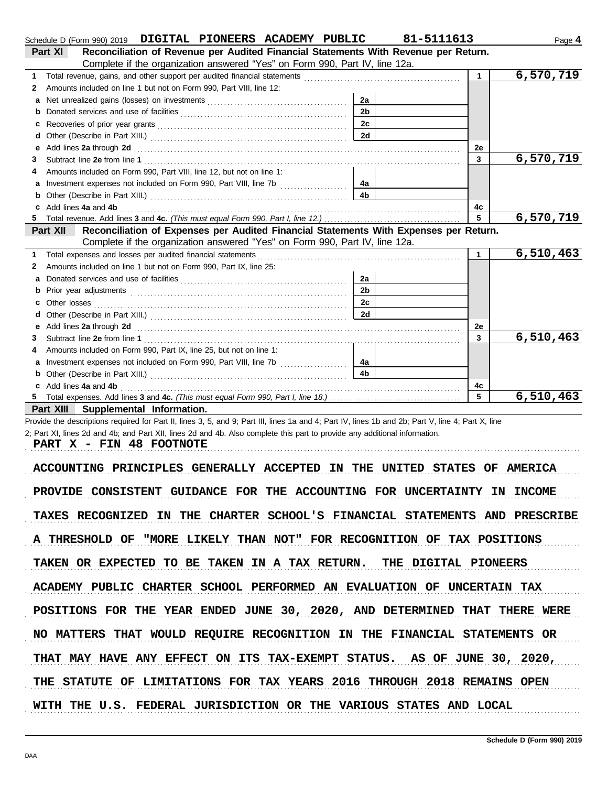|    | Schedule D (Form 990) 2019 DIGITAL PIONEERS ACADEMY PUBLIC                                                                                                                                                                    |                | 81-5111613     | Page 4    |
|----|-------------------------------------------------------------------------------------------------------------------------------------------------------------------------------------------------------------------------------|----------------|----------------|-----------|
|    | Reconciliation of Revenue per Audited Financial Statements With Revenue per Return.<br>Part XI                                                                                                                                |                |                |           |
|    | Complete if the organization answered "Yes" on Form 990, Part IV, line 12a.                                                                                                                                                   |                |                |           |
| 1  |                                                                                                                                                                                                                               |                | $\mathbf{1}$   | 6,570,719 |
| 2  | Amounts included on line 1 but not on Form 990, Part VIII, line 12:                                                                                                                                                           |                |                |           |
| a  |                                                                                                                                                                                                                               | 2a             |                |           |
| b  |                                                                                                                                                                                                                               | 2 <sub>b</sub> |                |           |
| с  |                                                                                                                                                                                                                               | 2 <sub>c</sub> |                |           |
| d  |                                                                                                                                                                                                                               | 2d             |                |           |
| е  | Add lines 2a through 2d [11] Add [12] Add [12] Add lines 2a through 2d [12] Add lines 2a through 2d [12] Add [12] Add [12] Add [12] Add [12] Add [12] Add [12] Add [12] Add [12] Add [12] Add [12] Add [12] Add [12] Add [12] |                | 2e             |           |
| 3  |                                                                                                                                                                                                                               |                | $\overline{3}$ | 6,570,719 |
|    | Amounts included on Form 990, Part VIII, line 12, but not on line 1:                                                                                                                                                          |                |                |           |
| a  |                                                                                                                                                                                                                               | 4a             |                |           |
|    |                                                                                                                                                                                                                               | 4 <sub>b</sub> |                |           |
|    | Add lines 4a and 4b                                                                                                                                                                                                           |                | 4c             |           |
|    |                                                                                                                                                                                                                               |                | 5              | 6,570,719 |
|    | Reconciliation of Expenses per Audited Financial Statements With Expenses per Return.<br>Part XII                                                                                                                             |                |                |           |
|    | Complete if the organization answered "Yes" on Form 990, Part IV, line 12a.                                                                                                                                                   |                |                |           |
| 1. | Total expenses and losses per audited financial statements                                                                                                                                                                    |                | $\mathbf 1$    | 6,510,463 |
| 2  | Amounts included on line 1 but not on Form 990, Part IX, line 25:                                                                                                                                                             |                |                |           |
|    |                                                                                                                                                                                                                               | 2a             |                |           |
| b  |                                                                                                                                                                                                                               | 2 <sub>b</sub> |                |           |
| c  |                                                                                                                                                                                                                               | 2c             |                |           |
| d  |                                                                                                                                                                                                                               | 2d             |                |           |
| е  | Add lines 2a through 2d [11] Add [12] Add [12] Add lines 2a through 2d [12] Add lines 2a through 2d [12] Add [12] Add [12] Add [12] Add [12] Add [12] Add [12] Add [12] Add [12] Add [12] Add [12] Add [12] Add [12] Add [12] |                | 2e             |           |
| 3. |                                                                                                                                                                                                                               |                | 3              | 6,510,463 |
| 4  | Amounts included on Form 990, Part IX, line 25, but not on line 1:                                                                                                                                                            |                |                |           |
| a  | Investment expenses not included on Form 990, Part VIII, line 7b [                                                                                                                                                            | 4a             |                |           |
|    |                                                                                                                                                                                                                               | 4 <sub>h</sub> |                |           |
|    | Add lines 4a and 4b                                                                                                                                                                                                           | 4c             |                |           |
|    |                                                                                                                                                                                                                               | 5              | 6,510,463      |           |
|    | Part XIII Supplemental Information.                                                                                                                                                                                           |                |                |           |
|    | Provide the descriptions required for Part II, lines 3, 5, and 9; Part III, lines 1a and 4; Part IV, lines 1b and 2b; Part V, line 4; Part X, line                                                                            |                |                |           |
|    | 2; Part XI, lines 2d and 4b; and Part XII, lines 2d and 4b. Also complete this part to provide any additional information.                                                                                                    |                |                |           |

PART X - FIN 48 FOOTNOTE

ACCOUNTING PRINCIPLES GENERALLY ACCEPTED IN THE UNITED STATES OF AMERICA PROVIDE CONSISTENT GUIDANCE FOR THE ACCOUNTING FOR UNCERTAINTY IN INCOME TAXES RECOGNIZED IN THE CHARTER SCHOOL'S FINANCIAL STATEMENTS AND PRESCRIBE A THRESHOLD OF "MORE LIKELY THAN NOT" FOR RECOGNITION OF TAX POSITIONS TAKEN OR EXPECTED TO BE TAKEN IN A TAX RETURN. THE DIGITAL PIONEERS ACADEMY PUBLIC CHARTER SCHOOL PERFORMED AN EVALUATION OF UNCERTAIN TAX THAT MAY HAVE ANY EFFECT ON ITS TAX-EXEMPT STATUS. AS OF JUNE 30, 2020, POSITIONS FOR THE YEAR ENDED JUNE 30, 2020, AND DETERMINED THAT THERE WERE NO MATTERS THAT WOULD REQUIRE RECOGNITION IN THE FINANCIAL STATEMENTS OR THE STATUTE OF LIMITATIONS FOR TAX YEARS 2016 THROUGH 2018 REMAINS OPEN WITH THE U.S. FEDERAL JURISDICTION OR THE VARIOUS STATES AND LOCAL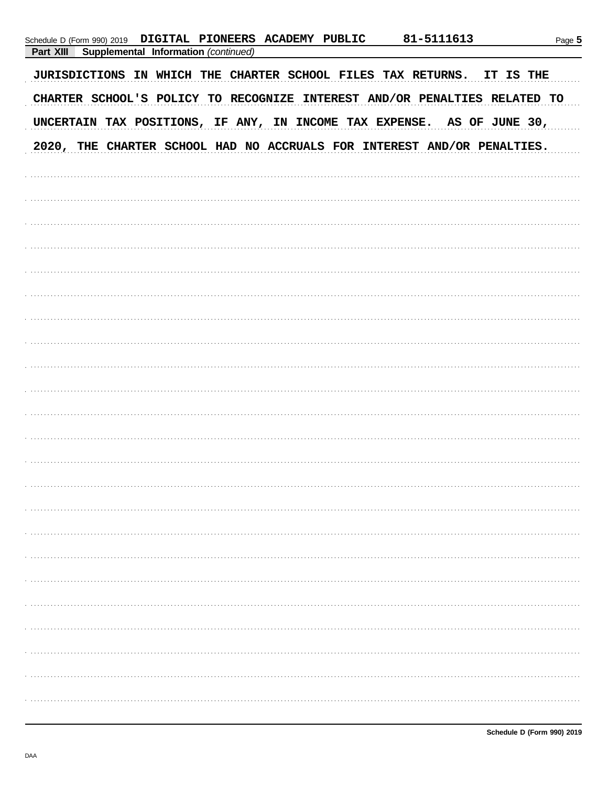| Supplemental Information (continued)<br>Part XIII<br>JURISDICTIONS IN WHICH THE CHARTER SCHOOL FILES TAX RETURNS. IT IS THE<br>CHARTER SCHOOL'S POLICY TO RECOGNIZE INTEREST AND/OR PENALTIES RELATED TO<br>UNCERTAIN TAX POSITIONS, IF ANY, IN INCOME TAX EXPENSE. AS OF JUNE 30, |  |
|------------------------------------------------------------------------------------------------------------------------------------------------------------------------------------------------------------------------------------------------------------------------------------|--|
|                                                                                                                                                                                                                                                                                    |  |
|                                                                                                                                                                                                                                                                                    |  |
|                                                                                                                                                                                                                                                                                    |  |
|                                                                                                                                                                                                                                                                                    |  |
| 2020, THE CHARTER SCHOOL HAD NO ACCRUALS FOR INTEREST AND/OR PENALTIES.                                                                                                                                                                                                            |  |
|                                                                                                                                                                                                                                                                                    |  |
|                                                                                                                                                                                                                                                                                    |  |
|                                                                                                                                                                                                                                                                                    |  |
|                                                                                                                                                                                                                                                                                    |  |
|                                                                                                                                                                                                                                                                                    |  |
|                                                                                                                                                                                                                                                                                    |  |
|                                                                                                                                                                                                                                                                                    |  |
|                                                                                                                                                                                                                                                                                    |  |
|                                                                                                                                                                                                                                                                                    |  |
|                                                                                                                                                                                                                                                                                    |  |
|                                                                                                                                                                                                                                                                                    |  |
|                                                                                                                                                                                                                                                                                    |  |
|                                                                                                                                                                                                                                                                                    |  |
|                                                                                                                                                                                                                                                                                    |  |
|                                                                                                                                                                                                                                                                                    |  |
|                                                                                                                                                                                                                                                                                    |  |
|                                                                                                                                                                                                                                                                                    |  |
|                                                                                                                                                                                                                                                                                    |  |
|                                                                                                                                                                                                                                                                                    |  |
|                                                                                                                                                                                                                                                                                    |  |
|                                                                                                                                                                                                                                                                                    |  |
|                                                                                                                                                                                                                                                                                    |  |
|                                                                                                                                                                                                                                                                                    |  |
|                                                                                                                                                                                                                                                                                    |  |
|                                                                                                                                                                                                                                                                                    |  |
|                                                                                                                                                                                                                                                                                    |  |
|                                                                                                                                                                                                                                                                                    |  |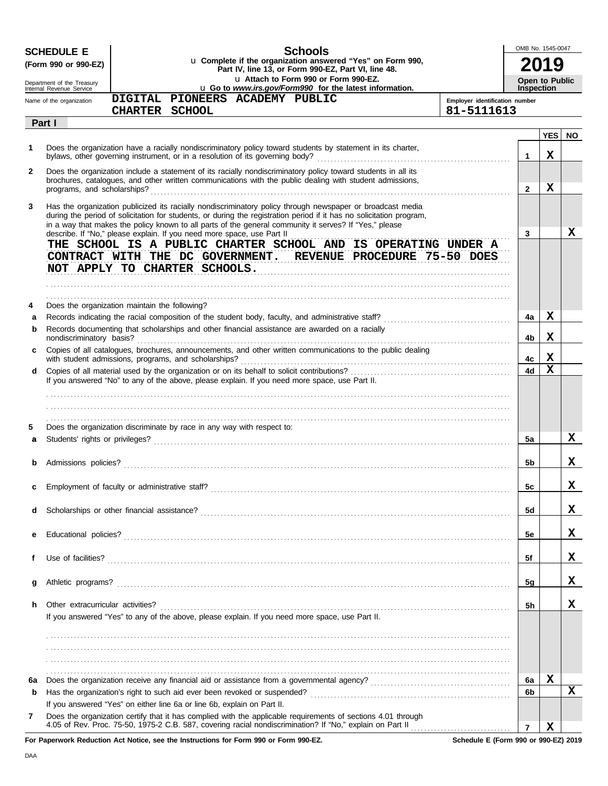|    | <b>SCHEDULE E</b><br>(Form 990 or 990-EZ)                                                                                                                                                                                                                                                                                                                                                                              | <b>Schools</b><br>u Complete if the organization answered "Yes" on Form 990,<br>Part IV, line 13, or Form 990-EZ, Part VI, line 48.                                                                                       |                                | OMB No. 1545-0047                          |            |           |  |  |
|----|------------------------------------------------------------------------------------------------------------------------------------------------------------------------------------------------------------------------------------------------------------------------------------------------------------------------------------------------------------------------------------------------------------------------|---------------------------------------------------------------------------------------------------------------------------------------------------------------------------------------------------------------------------|--------------------------------|--------------------------------------------|------------|-----------|--|--|
|    | Department of the Treasury<br>Internal Revenue Service                                                                                                                                                                                                                                                                                                                                                                 | u Attach to Form 990 or Form 990-EZ.<br>u Go to www.irs.gov/Form990 for the latest information.                                                                                                                           |                                | <b>Open to Public</b><br><b>Inspection</b> |            |           |  |  |
|    | Name of the organization                                                                                                                                                                                                                                                                                                                                                                                               | DIGITAL PIONEERS ACADEMY PUBLIC                                                                                                                                                                                           | Employer identification number |                                            |            |           |  |  |
|    | Part I                                                                                                                                                                                                                                                                                                                                                                                                                 | CHARTER SCHOOL                                                                                                                                                                                                            | 81-5111613                     |                                            |            |           |  |  |
|    |                                                                                                                                                                                                                                                                                                                                                                                                                        |                                                                                                                                                                                                                           |                                |                                            | <b>YES</b> | <b>NO</b> |  |  |
| 1  |                                                                                                                                                                                                                                                                                                                                                                                                                        | Does the organization have a racially nondiscriminatory policy toward students by statement in its charter,                                                                                                               |                                | $\mathbf 1$                                | x          |           |  |  |
| 2  |                                                                                                                                                                                                                                                                                                                                                                                                                        | Does the organization include a statement of its racially nondiscriminatory policy toward students in all its<br>brochures, catalogues, and other written communications with the public dealing with student admissions, |                                | $\mathbf{2}$                               | x          |           |  |  |
| 3  | Has the organization publicized its racially nondiscriminatory policy through newspaper or broadcast media<br>during the period of solicitation for students, or during the registration period if it has no solicitation program,<br>in a way that makes the policy known to all parts of the general community it serves? If "Yes," please<br>describe. If "No," please explain. If you need more space, use Part II |                                                                                                                                                                                                                           |                                |                                            |            |           |  |  |
|    |                                                                                                                                                                                                                                                                                                                                                                                                                        | THE SCHOOL IS A PUBLIC CHARTER SCHOOL AND IS OPERATING UNDER A<br>CONTRACT WITH THE DC GOVERNMENT. REVENUE PROCEDURE 75-50 DOES<br>NOT APPLY TO CHARTER SCHOOLS.                                                          |                                | 3                                          |            | x         |  |  |
| 4  |                                                                                                                                                                                                                                                                                                                                                                                                                        | Does the organization maintain the following?                                                                                                                                                                             |                                |                                            |            |           |  |  |
| a  |                                                                                                                                                                                                                                                                                                                                                                                                                        |                                                                                                                                                                                                                           |                                | 4a                                         | x          |           |  |  |
| b  |                                                                                                                                                                                                                                                                                                                                                                                                                        | Records documenting that scholarships and other financial assistance are awarded on a racially                                                                                                                            |                                |                                            | x          |           |  |  |
|    | nondiscriminatory basis?                                                                                                                                                                                                                                                                                                                                                                                               | Copies of all catalogues, brochures, announcements, and other written communications to the public dealing<br>with student admissions, programs, and scholarships?                                                        |                                | 4b<br>4с                                   | x          |           |  |  |
| d  |                                                                                                                                                                                                                                                                                                                                                                                                                        |                                                                                                                                                                                                                           |                                | 4d                                         | X          |           |  |  |
|    |                                                                                                                                                                                                                                                                                                                                                                                                                        | If you answered "No" to any of the above, please explain. If you need more space, use Part II.                                                                                                                            |                                |                                            |            |           |  |  |
|    |                                                                                                                                                                                                                                                                                                                                                                                                                        |                                                                                                                                                                                                                           |                                |                                            |            |           |  |  |
|    |                                                                                                                                                                                                                                                                                                                                                                                                                        |                                                                                                                                                                                                                           |                                |                                            |            |           |  |  |
| 5  |                                                                                                                                                                                                                                                                                                                                                                                                                        | Does the organization discriminate by race in any way with respect to:                                                                                                                                                    |                                |                                            |            |           |  |  |
| a  |                                                                                                                                                                                                                                                                                                                                                                                                                        |                                                                                                                                                                                                                           |                                | 5a                                         |            | X.        |  |  |
|    |                                                                                                                                                                                                                                                                                                                                                                                                                        |                                                                                                                                                                                                                           |                                | 5b                                         |            | x.        |  |  |
|    |                                                                                                                                                                                                                                                                                                                                                                                                                        |                                                                                                                                                                                                                           |                                |                                            |            |           |  |  |
|    |                                                                                                                                                                                                                                                                                                                                                                                                                        |                                                                                                                                                                                                                           |                                | 5c                                         |            | A         |  |  |
| d  |                                                                                                                                                                                                                                                                                                                                                                                                                        |                                                                                                                                                                                                                           |                                | 5d                                         |            | x         |  |  |
| е  |                                                                                                                                                                                                                                                                                                                                                                                                                        |                                                                                                                                                                                                                           |                                | 5e                                         |            | x         |  |  |
|    |                                                                                                                                                                                                                                                                                                                                                                                                                        |                                                                                                                                                                                                                           |                                |                                            |            |           |  |  |
| f  |                                                                                                                                                                                                                                                                                                                                                                                                                        |                                                                                                                                                                                                                           |                                | 5f                                         |            | x         |  |  |
| g  |                                                                                                                                                                                                                                                                                                                                                                                                                        |                                                                                                                                                                                                                           |                                | 5g                                         |            | x         |  |  |
| h. | Other extracurricular activities?                                                                                                                                                                                                                                                                                                                                                                                      |                                                                                                                                                                                                                           |                                | 5h                                         |            | x.        |  |  |
|    |                                                                                                                                                                                                                                                                                                                                                                                                                        | If you answered "Yes" to any of the above, please explain. If you need more space, use Part II.                                                                                                                           |                                |                                            |            |           |  |  |
|    |                                                                                                                                                                                                                                                                                                                                                                                                                        |                                                                                                                                                                                                                           |                                |                                            |            |           |  |  |
|    |                                                                                                                                                                                                                                                                                                                                                                                                                        |                                                                                                                                                                                                                           |                                |                                            |            |           |  |  |
|    |                                                                                                                                                                                                                                                                                                                                                                                                                        |                                                                                                                                                                                                                           |                                |                                            |            |           |  |  |
| 6а |                                                                                                                                                                                                                                                                                                                                                                                                                        |                                                                                                                                                                                                                           |                                | 6a                                         | х          |           |  |  |
| b  |                                                                                                                                                                                                                                                                                                                                                                                                                        |                                                                                                                                                                                                                           |                                | 6b                                         |            | x         |  |  |
|    |                                                                                                                                                                                                                                                                                                                                                                                                                        | If you answered "Yes" on either line 6a or line 6b, explain on Part II.                                                                                                                                                   |                                |                                            |            |           |  |  |
| 7  |                                                                                                                                                                                                                                                                                                                                                                                                                        | Does the organization certify that it has complied with the applicable requirements of sections 4.01 through                                                                                                              |                                |                                            |            |           |  |  |
|    |                                                                                                                                                                                                                                                                                                                                                                                                                        |                                                                                                                                                                                                                           | $\overline{7}$                 |                                            | X          |           |  |  |

**For Paperwork Reduction Act Notice, see the Instructions for Form 990 or Form 990-EZ.**

**Schedule E (Form 990 or 990-EZ) 2019**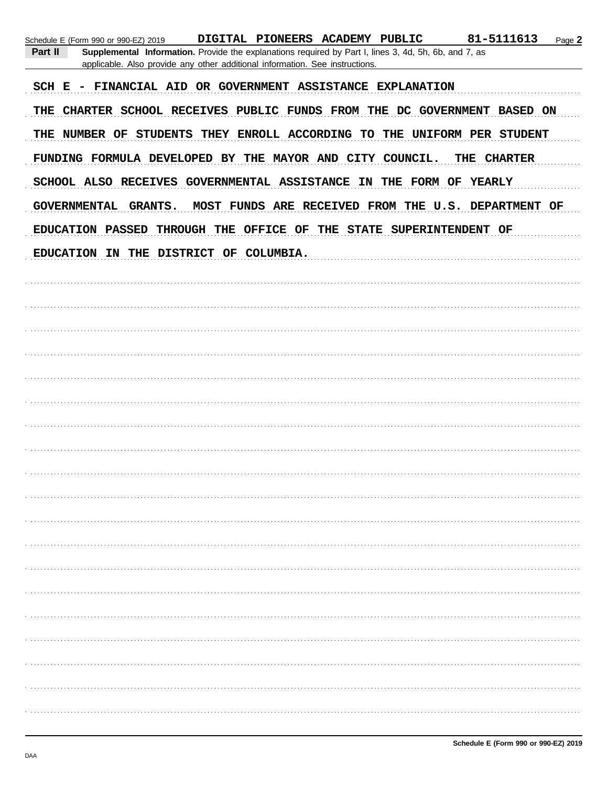| 81-5111613<br>DIGITAL PIONEERS ACADEMY PUBLIC<br>Page 2<br>Schedule E (Form 990 or 990-EZ) 2019<br>Part II<br>Supplemental Information. Provide the explanations required by Part I, lines 3, 4d, 5h, 6b, and 7, as<br>applicable. Also provide any other additional information. See instructions. |
|-----------------------------------------------------------------------------------------------------------------------------------------------------------------------------------------------------------------------------------------------------------------------------------------------------|
| SCH E - FINANCIAL AID OR GOVERNMENT ASSISTANCE EXPLANATION                                                                                                                                                                                                                                          |
| THE CHARTER SCHOOL RECEIVES PUBLIC FUNDS FROM THE DC GOVERNMENT BASED ON                                                                                                                                                                                                                            |
| THE NUMBER OF STUDENTS THEY ENROLL ACCORDING TO THE UNIFORM PER STUDENT                                                                                                                                                                                                                             |
| FUNDING FORMULA DEVELOPED BY THE MAYOR AND CITY COUNCIL.<br><b>CHARTER</b><br>THE                                                                                                                                                                                                                   |
| SCHOOL ALSO RECEIVES GOVERNMENTAL ASSISTANCE IN THE FORM OF YEARLY                                                                                                                                                                                                                                  |
| MOST FUNDS ARE RECEIVED FROM THE U.S. DEPARTMENT OF<br>GOVERNMENTAL GRANTS.                                                                                                                                                                                                                         |
| EDUCATION PASSED THROUGH THE OFFICE OF THE STATE SUPERINTENDENT OF                                                                                                                                                                                                                                  |
| EDUCATION IN THE DISTRICT OF COLUMBIA.                                                                                                                                                                                                                                                              |
|                                                                                                                                                                                                                                                                                                     |
|                                                                                                                                                                                                                                                                                                     |
|                                                                                                                                                                                                                                                                                                     |
|                                                                                                                                                                                                                                                                                                     |
|                                                                                                                                                                                                                                                                                                     |
|                                                                                                                                                                                                                                                                                                     |
|                                                                                                                                                                                                                                                                                                     |
|                                                                                                                                                                                                                                                                                                     |
|                                                                                                                                                                                                                                                                                                     |
|                                                                                                                                                                                                                                                                                                     |
|                                                                                                                                                                                                                                                                                                     |
|                                                                                                                                                                                                                                                                                                     |
|                                                                                                                                                                                                                                                                                                     |
|                                                                                                                                                                                                                                                                                                     |
|                                                                                                                                                                                                                                                                                                     |
|                                                                                                                                                                                                                                                                                                     |
|                                                                                                                                                                                                                                                                                                     |
|                                                                                                                                                                                                                                                                                                     |
|                                                                                                                                                                                                                                                                                                     |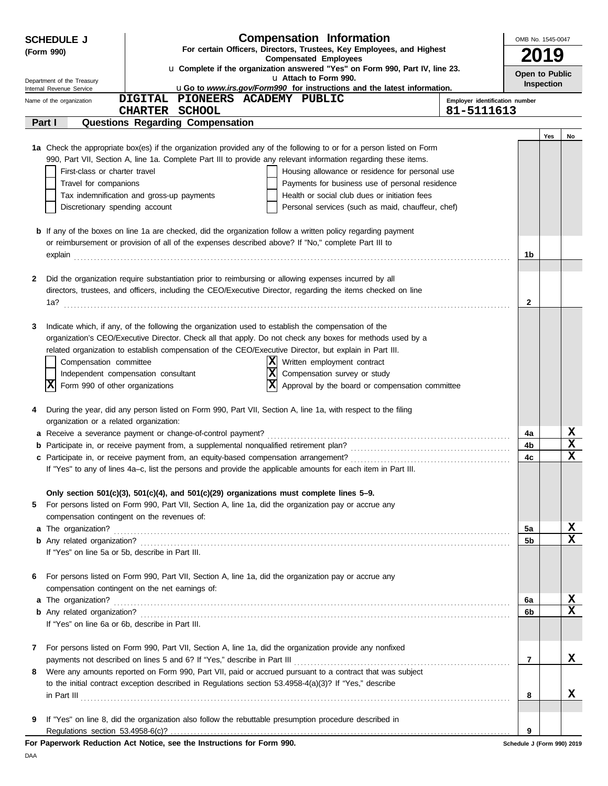| For certain Officers, Directors, Trustees, Key Employees, and Highest<br>(Form 990)<br>2019<br><b>Compensated Employees</b><br>u Complete if the organization answered "Yes" on Form 990, Part IV, line 23.<br>Open to Public<br>u Attach to Form 990.<br>Department of the Treasury<br>Inspection<br>uGo to www.irs.gov/Form990 for instructions and the latest information.<br>Internal Revenue Service<br>DIGITAL PIONEERS ACADEMY PUBLIC<br>Employer identification number<br>Name of the organization<br>81-5111613<br><b>CHARTER</b><br><b>SCHOOL</b><br>Part I<br>Questions Regarding Compensation<br>Yes<br>No<br>1a Check the appropriate box(es) if the organization provided any of the following to or for a person listed on Form<br>990, Part VII, Section A, line 1a. Complete Part III to provide any relevant information regarding these items.<br>First-class or charter travel<br>Housing allowance or residence for personal use<br>Travel for companions<br>Payments for business use of personal residence<br>Tax indemnification and gross-up payments<br>Health or social club dues or initiation fees<br>Discretionary spending account<br>Personal services (such as maid, chauffeur, chef)<br><b>b</b> If any of the boxes on line 1a are checked, did the organization follow a written policy regarding payment<br>or reimbursement or provision of all of the expenses described above? If "No," complete Part III to<br>1b<br>explain continuous contract to the contract of the contract of the contract of the contract of the contract of the contract of the contract of the contract of the contract of the contract of the contract of the contract of<br>Did the organization require substantiation prior to reimbursing or allowing expenses incurred by all<br>2<br>directors, trustees, and officers, including the CEO/Executive Director, regarding the items checked on line<br>2<br>Indicate which, if any, of the following the organization used to establish the compensation of the<br>3<br>organization's CEO/Executive Director. Check all that apply. Do not check any boxes for methods used by a<br>related organization to establish compensation of the CEO/Executive Director, but explain in Part III.<br>Compensation committee<br>X<br>Written employment contract<br>x<br>Compensation survey or study<br>Independent compensation consultant<br>lxl<br> x<br>Approval by the board or compensation committee<br>Form 990 of other organizations<br>During the year, did any person listed on Form 990, Part VII, Section A, line 1a, with respect to the filing<br>4<br>organization or a related organization:<br>X<br>4a<br>$\mathbf x$<br>4b<br>$\mathbf x$<br>4c<br>If "Yes" to any of lines 4a-c, list the persons and provide the applicable amounts for each item in Part III.<br>Only section $501(c)(3)$ , $501(c)(4)$ , and $501(c)(29)$ organizations must complete lines 5-9.<br>For persons listed on Form 990, Part VII, Section A, line 1a, did the organization pay or accrue any<br>5<br>compensation contingent on the revenues of:<br>X<br>5a<br>$\mathbf x$<br><b>5b</b><br>If "Yes" on line 5a or 5b, describe in Part III.<br>For persons listed on Form 990, Part VII, Section A, line 1a, did the organization pay or accrue any<br>6<br>compensation contingent on the net earnings of:<br>a The organization?<br>6a | <b>SCHEDULE J</b> |  |  | <b>Compensation Information</b> |  | OMB No. 1545-0047 |   |
|---------------------------------------------------------------------------------------------------------------------------------------------------------------------------------------------------------------------------------------------------------------------------------------------------------------------------------------------------------------------------------------------------------------------------------------------------------------------------------------------------------------------------------------------------------------------------------------------------------------------------------------------------------------------------------------------------------------------------------------------------------------------------------------------------------------------------------------------------------------------------------------------------------------------------------------------------------------------------------------------------------------------------------------------------------------------------------------------------------------------------------------------------------------------------------------------------------------------------------------------------------------------------------------------------------------------------------------------------------------------------------------------------------------------------------------------------------------------------------------------------------------------------------------------------------------------------------------------------------------------------------------------------------------------------------------------------------------------------------------------------------------------------------------------------------------------------------------------------------------------------------------------------------------------------------------------------------------------------------------------------------------------------------------------------------------------------------------------------------------------------------------------------------------------------------------------------------------------------------------------------------------------------------------------------------------------------------------------------------------------------------------------------------------------------------------------------------------------------------------------------------------------------------------------------------------------------------------------------------------------------------------------------------------------------------------------------------------------------------------------------------------------------------------------------------------------------------------------------------------------------------------------------------------------------------------------------------------------------------------------------------------------------------------------------------------------------------------------------------------------------------------------------------------------------------------------------------------------------------------------------------------------------------------------------------------------------------------------------------------------------------------------------------------|-------------------|--|--|---------------------------------|--|-------------------|---|
|                                                                                                                                                                                                                                                                                                                                                                                                                                                                                                                                                                                                                                                                                                                                                                                                                                                                                                                                                                                                                                                                                                                                                                                                                                                                                                                                                                                                                                                                                                                                                                                                                                                                                                                                                                                                                                                                                                                                                                                                                                                                                                                                                                                                                                                                                                                                                                                                                                                                                                                                                                                                                                                                                                                                                                                                                                                                                                                                                                                                                                                                                                                                                                                                                                                                                                                                                                                                               |                   |  |  |                                 |  |                   |   |
|                                                                                                                                                                                                                                                                                                                                                                                                                                                                                                                                                                                                                                                                                                                                                                                                                                                                                                                                                                                                                                                                                                                                                                                                                                                                                                                                                                                                                                                                                                                                                                                                                                                                                                                                                                                                                                                                                                                                                                                                                                                                                                                                                                                                                                                                                                                                                                                                                                                                                                                                                                                                                                                                                                                                                                                                                                                                                                                                                                                                                                                                                                                                                                                                                                                                                                                                                                                                               |                   |  |  |                                 |  |                   |   |
|                                                                                                                                                                                                                                                                                                                                                                                                                                                                                                                                                                                                                                                                                                                                                                                                                                                                                                                                                                                                                                                                                                                                                                                                                                                                                                                                                                                                                                                                                                                                                                                                                                                                                                                                                                                                                                                                                                                                                                                                                                                                                                                                                                                                                                                                                                                                                                                                                                                                                                                                                                                                                                                                                                                                                                                                                                                                                                                                                                                                                                                                                                                                                                                                                                                                                                                                                                                                               |                   |  |  |                                 |  |                   |   |
|                                                                                                                                                                                                                                                                                                                                                                                                                                                                                                                                                                                                                                                                                                                                                                                                                                                                                                                                                                                                                                                                                                                                                                                                                                                                                                                                                                                                                                                                                                                                                                                                                                                                                                                                                                                                                                                                                                                                                                                                                                                                                                                                                                                                                                                                                                                                                                                                                                                                                                                                                                                                                                                                                                                                                                                                                                                                                                                                                                                                                                                                                                                                                                                                                                                                                                                                                                                                               |                   |  |  |                                 |  |                   |   |
|                                                                                                                                                                                                                                                                                                                                                                                                                                                                                                                                                                                                                                                                                                                                                                                                                                                                                                                                                                                                                                                                                                                                                                                                                                                                                                                                                                                                                                                                                                                                                                                                                                                                                                                                                                                                                                                                                                                                                                                                                                                                                                                                                                                                                                                                                                                                                                                                                                                                                                                                                                                                                                                                                                                                                                                                                                                                                                                                                                                                                                                                                                                                                                                                                                                                                                                                                                                                               |                   |  |  |                                 |  |                   |   |
|                                                                                                                                                                                                                                                                                                                                                                                                                                                                                                                                                                                                                                                                                                                                                                                                                                                                                                                                                                                                                                                                                                                                                                                                                                                                                                                                                                                                                                                                                                                                                                                                                                                                                                                                                                                                                                                                                                                                                                                                                                                                                                                                                                                                                                                                                                                                                                                                                                                                                                                                                                                                                                                                                                                                                                                                                                                                                                                                                                                                                                                                                                                                                                                                                                                                                                                                                                                                               |                   |  |  |                                 |  |                   |   |
|                                                                                                                                                                                                                                                                                                                                                                                                                                                                                                                                                                                                                                                                                                                                                                                                                                                                                                                                                                                                                                                                                                                                                                                                                                                                                                                                                                                                                                                                                                                                                                                                                                                                                                                                                                                                                                                                                                                                                                                                                                                                                                                                                                                                                                                                                                                                                                                                                                                                                                                                                                                                                                                                                                                                                                                                                                                                                                                                                                                                                                                                                                                                                                                                                                                                                                                                                                                                               |                   |  |  |                                 |  |                   |   |
|                                                                                                                                                                                                                                                                                                                                                                                                                                                                                                                                                                                                                                                                                                                                                                                                                                                                                                                                                                                                                                                                                                                                                                                                                                                                                                                                                                                                                                                                                                                                                                                                                                                                                                                                                                                                                                                                                                                                                                                                                                                                                                                                                                                                                                                                                                                                                                                                                                                                                                                                                                                                                                                                                                                                                                                                                                                                                                                                                                                                                                                                                                                                                                                                                                                                                                                                                                                                               |                   |  |  |                                 |  |                   |   |
|                                                                                                                                                                                                                                                                                                                                                                                                                                                                                                                                                                                                                                                                                                                                                                                                                                                                                                                                                                                                                                                                                                                                                                                                                                                                                                                                                                                                                                                                                                                                                                                                                                                                                                                                                                                                                                                                                                                                                                                                                                                                                                                                                                                                                                                                                                                                                                                                                                                                                                                                                                                                                                                                                                                                                                                                                                                                                                                                                                                                                                                                                                                                                                                                                                                                                                                                                                                                               |                   |  |  |                                 |  |                   |   |
|                                                                                                                                                                                                                                                                                                                                                                                                                                                                                                                                                                                                                                                                                                                                                                                                                                                                                                                                                                                                                                                                                                                                                                                                                                                                                                                                                                                                                                                                                                                                                                                                                                                                                                                                                                                                                                                                                                                                                                                                                                                                                                                                                                                                                                                                                                                                                                                                                                                                                                                                                                                                                                                                                                                                                                                                                                                                                                                                                                                                                                                                                                                                                                                                                                                                                                                                                                                                               |                   |  |  |                                 |  |                   |   |
|                                                                                                                                                                                                                                                                                                                                                                                                                                                                                                                                                                                                                                                                                                                                                                                                                                                                                                                                                                                                                                                                                                                                                                                                                                                                                                                                                                                                                                                                                                                                                                                                                                                                                                                                                                                                                                                                                                                                                                                                                                                                                                                                                                                                                                                                                                                                                                                                                                                                                                                                                                                                                                                                                                                                                                                                                                                                                                                                                                                                                                                                                                                                                                                                                                                                                                                                                                                                               |                   |  |  |                                 |  |                   |   |
|                                                                                                                                                                                                                                                                                                                                                                                                                                                                                                                                                                                                                                                                                                                                                                                                                                                                                                                                                                                                                                                                                                                                                                                                                                                                                                                                                                                                                                                                                                                                                                                                                                                                                                                                                                                                                                                                                                                                                                                                                                                                                                                                                                                                                                                                                                                                                                                                                                                                                                                                                                                                                                                                                                                                                                                                                                                                                                                                                                                                                                                                                                                                                                                                                                                                                                                                                                                                               |                   |  |  |                                 |  |                   |   |
|                                                                                                                                                                                                                                                                                                                                                                                                                                                                                                                                                                                                                                                                                                                                                                                                                                                                                                                                                                                                                                                                                                                                                                                                                                                                                                                                                                                                                                                                                                                                                                                                                                                                                                                                                                                                                                                                                                                                                                                                                                                                                                                                                                                                                                                                                                                                                                                                                                                                                                                                                                                                                                                                                                                                                                                                                                                                                                                                                                                                                                                                                                                                                                                                                                                                                                                                                                                                               |                   |  |  |                                 |  |                   |   |
|                                                                                                                                                                                                                                                                                                                                                                                                                                                                                                                                                                                                                                                                                                                                                                                                                                                                                                                                                                                                                                                                                                                                                                                                                                                                                                                                                                                                                                                                                                                                                                                                                                                                                                                                                                                                                                                                                                                                                                                                                                                                                                                                                                                                                                                                                                                                                                                                                                                                                                                                                                                                                                                                                                                                                                                                                                                                                                                                                                                                                                                                                                                                                                                                                                                                                                                                                                                                               |                   |  |  |                                 |  |                   |   |
|                                                                                                                                                                                                                                                                                                                                                                                                                                                                                                                                                                                                                                                                                                                                                                                                                                                                                                                                                                                                                                                                                                                                                                                                                                                                                                                                                                                                                                                                                                                                                                                                                                                                                                                                                                                                                                                                                                                                                                                                                                                                                                                                                                                                                                                                                                                                                                                                                                                                                                                                                                                                                                                                                                                                                                                                                                                                                                                                                                                                                                                                                                                                                                                                                                                                                                                                                                                                               |                   |  |  |                                 |  |                   |   |
|                                                                                                                                                                                                                                                                                                                                                                                                                                                                                                                                                                                                                                                                                                                                                                                                                                                                                                                                                                                                                                                                                                                                                                                                                                                                                                                                                                                                                                                                                                                                                                                                                                                                                                                                                                                                                                                                                                                                                                                                                                                                                                                                                                                                                                                                                                                                                                                                                                                                                                                                                                                                                                                                                                                                                                                                                                                                                                                                                                                                                                                                                                                                                                                                                                                                                                                                                                                                               |                   |  |  |                                 |  |                   |   |
|                                                                                                                                                                                                                                                                                                                                                                                                                                                                                                                                                                                                                                                                                                                                                                                                                                                                                                                                                                                                                                                                                                                                                                                                                                                                                                                                                                                                                                                                                                                                                                                                                                                                                                                                                                                                                                                                                                                                                                                                                                                                                                                                                                                                                                                                                                                                                                                                                                                                                                                                                                                                                                                                                                                                                                                                                                                                                                                                                                                                                                                                                                                                                                                                                                                                                                                                                                                                               |                   |  |  |                                 |  |                   |   |
|                                                                                                                                                                                                                                                                                                                                                                                                                                                                                                                                                                                                                                                                                                                                                                                                                                                                                                                                                                                                                                                                                                                                                                                                                                                                                                                                                                                                                                                                                                                                                                                                                                                                                                                                                                                                                                                                                                                                                                                                                                                                                                                                                                                                                                                                                                                                                                                                                                                                                                                                                                                                                                                                                                                                                                                                                                                                                                                                                                                                                                                                                                                                                                                                                                                                                                                                                                                                               |                   |  |  |                                 |  |                   |   |
|                                                                                                                                                                                                                                                                                                                                                                                                                                                                                                                                                                                                                                                                                                                                                                                                                                                                                                                                                                                                                                                                                                                                                                                                                                                                                                                                                                                                                                                                                                                                                                                                                                                                                                                                                                                                                                                                                                                                                                                                                                                                                                                                                                                                                                                                                                                                                                                                                                                                                                                                                                                                                                                                                                                                                                                                                                                                                                                                                                                                                                                                                                                                                                                                                                                                                                                                                                                                               |                   |  |  |                                 |  |                   |   |
|                                                                                                                                                                                                                                                                                                                                                                                                                                                                                                                                                                                                                                                                                                                                                                                                                                                                                                                                                                                                                                                                                                                                                                                                                                                                                                                                                                                                                                                                                                                                                                                                                                                                                                                                                                                                                                                                                                                                                                                                                                                                                                                                                                                                                                                                                                                                                                                                                                                                                                                                                                                                                                                                                                                                                                                                                                                                                                                                                                                                                                                                                                                                                                                                                                                                                                                                                                                                               |                   |  |  |                                 |  |                   |   |
|                                                                                                                                                                                                                                                                                                                                                                                                                                                                                                                                                                                                                                                                                                                                                                                                                                                                                                                                                                                                                                                                                                                                                                                                                                                                                                                                                                                                                                                                                                                                                                                                                                                                                                                                                                                                                                                                                                                                                                                                                                                                                                                                                                                                                                                                                                                                                                                                                                                                                                                                                                                                                                                                                                                                                                                                                                                                                                                                                                                                                                                                                                                                                                                                                                                                                                                                                                                                               |                   |  |  |                                 |  |                   |   |
|                                                                                                                                                                                                                                                                                                                                                                                                                                                                                                                                                                                                                                                                                                                                                                                                                                                                                                                                                                                                                                                                                                                                                                                                                                                                                                                                                                                                                                                                                                                                                                                                                                                                                                                                                                                                                                                                                                                                                                                                                                                                                                                                                                                                                                                                                                                                                                                                                                                                                                                                                                                                                                                                                                                                                                                                                                                                                                                                                                                                                                                                                                                                                                                                                                                                                                                                                                                                               |                   |  |  |                                 |  |                   |   |
|                                                                                                                                                                                                                                                                                                                                                                                                                                                                                                                                                                                                                                                                                                                                                                                                                                                                                                                                                                                                                                                                                                                                                                                                                                                                                                                                                                                                                                                                                                                                                                                                                                                                                                                                                                                                                                                                                                                                                                                                                                                                                                                                                                                                                                                                                                                                                                                                                                                                                                                                                                                                                                                                                                                                                                                                                                                                                                                                                                                                                                                                                                                                                                                                                                                                                                                                                                                                               |                   |  |  |                                 |  |                   |   |
|                                                                                                                                                                                                                                                                                                                                                                                                                                                                                                                                                                                                                                                                                                                                                                                                                                                                                                                                                                                                                                                                                                                                                                                                                                                                                                                                                                                                                                                                                                                                                                                                                                                                                                                                                                                                                                                                                                                                                                                                                                                                                                                                                                                                                                                                                                                                                                                                                                                                                                                                                                                                                                                                                                                                                                                                                                                                                                                                                                                                                                                                                                                                                                                                                                                                                                                                                                                                               |                   |  |  |                                 |  |                   |   |
|                                                                                                                                                                                                                                                                                                                                                                                                                                                                                                                                                                                                                                                                                                                                                                                                                                                                                                                                                                                                                                                                                                                                                                                                                                                                                                                                                                                                                                                                                                                                                                                                                                                                                                                                                                                                                                                                                                                                                                                                                                                                                                                                                                                                                                                                                                                                                                                                                                                                                                                                                                                                                                                                                                                                                                                                                                                                                                                                                                                                                                                                                                                                                                                                                                                                                                                                                                                                               |                   |  |  |                                 |  |                   |   |
|                                                                                                                                                                                                                                                                                                                                                                                                                                                                                                                                                                                                                                                                                                                                                                                                                                                                                                                                                                                                                                                                                                                                                                                                                                                                                                                                                                                                                                                                                                                                                                                                                                                                                                                                                                                                                                                                                                                                                                                                                                                                                                                                                                                                                                                                                                                                                                                                                                                                                                                                                                                                                                                                                                                                                                                                                                                                                                                                                                                                                                                                                                                                                                                                                                                                                                                                                                                                               |                   |  |  |                                 |  |                   |   |
|                                                                                                                                                                                                                                                                                                                                                                                                                                                                                                                                                                                                                                                                                                                                                                                                                                                                                                                                                                                                                                                                                                                                                                                                                                                                                                                                                                                                                                                                                                                                                                                                                                                                                                                                                                                                                                                                                                                                                                                                                                                                                                                                                                                                                                                                                                                                                                                                                                                                                                                                                                                                                                                                                                                                                                                                                                                                                                                                                                                                                                                                                                                                                                                                                                                                                                                                                                                                               |                   |  |  |                                 |  |                   |   |
|                                                                                                                                                                                                                                                                                                                                                                                                                                                                                                                                                                                                                                                                                                                                                                                                                                                                                                                                                                                                                                                                                                                                                                                                                                                                                                                                                                                                                                                                                                                                                                                                                                                                                                                                                                                                                                                                                                                                                                                                                                                                                                                                                                                                                                                                                                                                                                                                                                                                                                                                                                                                                                                                                                                                                                                                                                                                                                                                                                                                                                                                                                                                                                                                                                                                                                                                                                                                               |                   |  |  |                                 |  |                   |   |
|                                                                                                                                                                                                                                                                                                                                                                                                                                                                                                                                                                                                                                                                                                                                                                                                                                                                                                                                                                                                                                                                                                                                                                                                                                                                                                                                                                                                                                                                                                                                                                                                                                                                                                                                                                                                                                                                                                                                                                                                                                                                                                                                                                                                                                                                                                                                                                                                                                                                                                                                                                                                                                                                                                                                                                                                                                                                                                                                                                                                                                                                                                                                                                                                                                                                                                                                                                                                               |                   |  |  |                                 |  |                   |   |
|                                                                                                                                                                                                                                                                                                                                                                                                                                                                                                                                                                                                                                                                                                                                                                                                                                                                                                                                                                                                                                                                                                                                                                                                                                                                                                                                                                                                                                                                                                                                                                                                                                                                                                                                                                                                                                                                                                                                                                                                                                                                                                                                                                                                                                                                                                                                                                                                                                                                                                                                                                                                                                                                                                                                                                                                                                                                                                                                                                                                                                                                                                                                                                                                                                                                                                                                                                                                               |                   |  |  |                                 |  |                   |   |
|                                                                                                                                                                                                                                                                                                                                                                                                                                                                                                                                                                                                                                                                                                                                                                                                                                                                                                                                                                                                                                                                                                                                                                                                                                                                                                                                                                                                                                                                                                                                                                                                                                                                                                                                                                                                                                                                                                                                                                                                                                                                                                                                                                                                                                                                                                                                                                                                                                                                                                                                                                                                                                                                                                                                                                                                                                                                                                                                                                                                                                                                                                                                                                                                                                                                                                                                                                                                               |                   |  |  |                                 |  |                   |   |
|                                                                                                                                                                                                                                                                                                                                                                                                                                                                                                                                                                                                                                                                                                                                                                                                                                                                                                                                                                                                                                                                                                                                                                                                                                                                                                                                                                                                                                                                                                                                                                                                                                                                                                                                                                                                                                                                                                                                                                                                                                                                                                                                                                                                                                                                                                                                                                                                                                                                                                                                                                                                                                                                                                                                                                                                                                                                                                                                                                                                                                                                                                                                                                                                                                                                                                                                                                                                               |                   |  |  |                                 |  |                   |   |
|                                                                                                                                                                                                                                                                                                                                                                                                                                                                                                                                                                                                                                                                                                                                                                                                                                                                                                                                                                                                                                                                                                                                                                                                                                                                                                                                                                                                                                                                                                                                                                                                                                                                                                                                                                                                                                                                                                                                                                                                                                                                                                                                                                                                                                                                                                                                                                                                                                                                                                                                                                                                                                                                                                                                                                                                                                                                                                                                                                                                                                                                                                                                                                                                                                                                                                                                                                                                               |                   |  |  |                                 |  |                   |   |
|                                                                                                                                                                                                                                                                                                                                                                                                                                                                                                                                                                                                                                                                                                                                                                                                                                                                                                                                                                                                                                                                                                                                                                                                                                                                                                                                                                                                                                                                                                                                                                                                                                                                                                                                                                                                                                                                                                                                                                                                                                                                                                                                                                                                                                                                                                                                                                                                                                                                                                                                                                                                                                                                                                                                                                                                                                                                                                                                                                                                                                                                                                                                                                                                                                                                                                                                                                                                               |                   |  |  |                                 |  |                   |   |
|                                                                                                                                                                                                                                                                                                                                                                                                                                                                                                                                                                                                                                                                                                                                                                                                                                                                                                                                                                                                                                                                                                                                                                                                                                                                                                                                                                                                                                                                                                                                                                                                                                                                                                                                                                                                                                                                                                                                                                                                                                                                                                                                                                                                                                                                                                                                                                                                                                                                                                                                                                                                                                                                                                                                                                                                                                                                                                                                                                                                                                                                                                                                                                                                                                                                                                                                                                                                               |                   |  |  |                                 |  |                   |   |
|                                                                                                                                                                                                                                                                                                                                                                                                                                                                                                                                                                                                                                                                                                                                                                                                                                                                                                                                                                                                                                                                                                                                                                                                                                                                                                                                                                                                                                                                                                                                                                                                                                                                                                                                                                                                                                                                                                                                                                                                                                                                                                                                                                                                                                                                                                                                                                                                                                                                                                                                                                                                                                                                                                                                                                                                                                                                                                                                                                                                                                                                                                                                                                                                                                                                                                                                                                                                               |                   |  |  |                                 |  |                   |   |
|                                                                                                                                                                                                                                                                                                                                                                                                                                                                                                                                                                                                                                                                                                                                                                                                                                                                                                                                                                                                                                                                                                                                                                                                                                                                                                                                                                                                                                                                                                                                                                                                                                                                                                                                                                                                                                                                                                                                                                                                                                                                                                                                                                                                                                                                                                                                                                                                                                                                                                                                                                                                                                                                                                                                                                                                                                                                                                                                                                                                                                                                                                                                                                                                                                                                                                                                                                                                               |                   |  |  |                                 |  |                   |   |
|                                                                                                                                                                                                                                                                                                                                                                                                                                                                                                                                                                                                                                                                                                                                                                                                                                                                                                                                                                                                                                                                                                                                                                                                                                                                                                                                                                                                                                                                                                                                                                                                                                                                                                                                                                                                                                                                                                                                                                                                                                                                                                                                                                                                                                                                                                                                                                                                                                                                                                                                                                                                                                                                                                                                                                                                                                                                                                                                                                                                                                                                                                                                                                                                                                                                                                                                                                                                               |                   |  |  |                                 |  |                   |   |
|                                                                                                                                                                                                                                                                                                                                                                                                                                                                                                                                                                                                                                                                                                                                                                                                                                                                                                                                                                                                                                                                                                                                                                                                                                                                                                                                                                                                                                                                                                                                                                                                                                                                                                                                                                                                                                                                                                                                                                                                                                                                                                                                                                                                                                                                                                                                                                                                                                                                                                                                                                                                                                                                                                                                                                                                                                                                                                                                                                                                                                                                                                                                                                                                                                                                                                                                                                                                               |                   |  |  |                                 |  |                   |   |
|                                                                                                                                                                                                                                                                                                                                                                                                                                                                                                                                                                                                                                                                                                                                                                                                                                                                                                                                                                                                                                                                                                                                                                                                                                                                                                                                                                                                                                                                                                                                                                                                                                                                                                                                                                                                                                                                                                                                                                                                                                                                                                                                                                                                                                                                                                                                                                                                                                                                                                                                                                                                                                                                                                                                                                                                                                                                                                                                                                                                                                                                                                                                                                                                                                                                                                                                                                                                               |                   |  |  |                                 |  |                   | X |
| $\mathbf x$<br>6b                                                                                                                                                                                                                                                                                                                                                                                                                                                                                                                                                                                                                                                                                                                                                                                                                                                                                                                                                                                                                                                                                                                                                                                                                                                                                                                                                                                                                                                                                                                                                                                                                                                                                                                                                                                                                                                                                                                                                                                                                                                                                                                                                                                                                                                                                                                                                                                                                                                                                                                                                                                                                                                                                                                                                                                                                                                                                                                                                                                                                                                                                                                                                                                                                                                                                                                                                                                             |                   |  |  |                                 |  |                   |   |
| If "Yes" on line 6a or 6b, describe in Part III.                                                                                                                                                                                                                                                                                                                                                                                                                                                                                                                                                                                                                                                                                                                                                                                                                                                                                                                                                                                                                                                                                                                                                                                                                                                                                                                                                                                                                                                                                                                                                                                                                                                                                                                                                                                                                                                                                                                                                                                                                                                                                                                                                                                                                                                                                                                                                                                                                                                                                                                                                                                                                                                                                                                                                                                                                                                                                                                                                                                                                                                                                                                                                                                                                                                                                                                                                              |                   |  |  |                                 |  |                   |   |
|                                                                                                                                                                                                                                                                                                                                                                                                                                                                                                                                                                                                                                                                                                                                                                                                                                                                                                                                                                                                                                                                                                                                                                                                                                                                                                                                                                                                                                                                                                                                                                                                                                                                                                                                                                                                                                                                                                                                                                                                                                                                                                                                                                                                                                                                                                                                                                                                                                                                                                                                                                                                                                                                                                                                                                                                                                                                                                                                                                                                                                                                                                                                                                                                                                                                                                                                                                                                               |                   |  |  |                                 |  |                   |   |
| For persons listed on Form 990, Part VII, Section A, line 1a, did the organization provide any nonfixed<br>7<br>X<br>7                                                                                                                                                                                                                                                                                                                                                                                                                                                                                                                                                                                                                                                                                                                                                                                                                                                                                                                                                                                                                                                                                                                                                                                                                                                                                                                                                                                                                                                                                                                                                                                                                                                                                                                                                                                                                                                                                                                                                                                                                                                                                                                                                                                                                                                                                                                                                                                                                                                                                                                                                                                                                                                                                                                                                                                                                                                                                                                                                                                                                                                                                                                                                                                                                                                                                        |                   |  |  |                                 |  |                   |   |
| Were any amounts reported on Form 990, Part VII, paid or accrued pursuant to a contract that was subject<br>8                                                                                                                                                                                                                                                                                                                                                                                                                                                                                                                                                                                                                                                                                                                                                                                                                                                                                                                                                                                                                                                                                                                                                                                                                                                                                                                                                                                                                                                                                                                                                                                                                                                                                                                                                                                                                                                                                                                                                                                                                                                                                                                                                                                                                                                                                                                                                                                                                                                                                                                                                                                                                                                                                                                                                                                                                                                                                                                                                                                                                                                                                                                                                                                                                                                                                                 |                   |  |  |                                 |  |                   |   |
| to the initial contract exception described in Regulations section 53.4958-4(a)(3)? If "Yes," describe                                                                                                                                                                                                                                                                                                                                                                                                                                                                                                                                                                                                                                                                                                                                                                                                                                                                                                                                                                                                                                                                                                                                                                                                                                                                                                                                                                                                                                                                                                                                                                                                                                                                                                                                                                                                                                                                                                                                                                                                                                                                                                                                                                                                                                                                                                                                                                                                                                                                                                                                                                                                                                                                                                                                                                                                                                                                                                                                                                                                                                                                                                                                                                                                                                                                                                        |                   |  |  |                                 |  |                   |   |
| х<br>$\ $ n Part III $\ $<br>8                                                                                                                                                                                                                                                                                                                                                                                                                                                                                                                                                                                                                                                                                                                                                                                                                                                                                                                                                                                                                                                                                                                                                                                                                                                                                                                                                                                                                                                                                                                                                                                                                                                                                                                                                                                                                                                                                                                                                                                                                                                                                                                                                                                                                                                                                                                                                                                                                                                                                                                                                                                                                                                                                                                                                                                                                                                                                                                                                                                                                                                                                                                                                                                                                                                                                                                                                                                |                   |  |  |                                 |  |                   |   |
|                                                                                                                                                                                                                                                                                                                                                                                                                                                                                                                                                                                                                                                                                                                                                                                                                                                                                                                                                                                                                                                                                                                                                                                                                                                                                                                                                                                                                                                                                                                                                                                                                                                                                                                                                                                                                                                                                                                                                                                                                                                                                                                                                                                                                                                                                                                                                                                                                                                                                                                                                                                                                                                                                                                                                                                                                                                                                                                                                                                                                                                                                                                                                                                                                                                                                                                                                                                                               |                   |  |  |                                 |  |                   |   |
| If "Yes" on line 8, did the organization also follow the rebuttable presumption procedure described in<br>9                                                                                                                                                                                                                                                                                                                                                                                                                                                                                                                                                                                                                                                                                                                                                                                                                                                                                                                                                                                                                                                                                                                                                                                                                                                                                                                                                                                                                                                                                                                                                                                                                                                                                                                                                                                                                                                                                                                                                                                                                                                                                                                                                                                                                                                                                                                                                                                                                                                                                                                                                                                                                                                                                                                                                                                                                                                                                                                                                                                                                                                                                                                                                                                                                                                                                                   |                   |  |  |                                 |  |                   |   |
| 9<br>For Paperwork Reduction Act Notice, see the Instructions for Form 990.<br>Schedule J (Form 990) 2019                                                                                                                                                                                                                                                                                                                                                                                                                                                                                                                                                                                                                                                                                                                                                                                                                                                                                                                                                                                                                                                                                                                                                                                                                                                                                                                                                                                                                                                                                                                                                                                                                                                                                                                                                                                                                                                                                                                                                                                                                                                                                                                                                                                                                                                                                                                                                                                                                                                                                                                                                                                                                                                                                                                                                                                                                                                                                                                                                                                                                                                                                                                                                                                                                                                                                                     |                   |  |  |                                 |  |                   |   |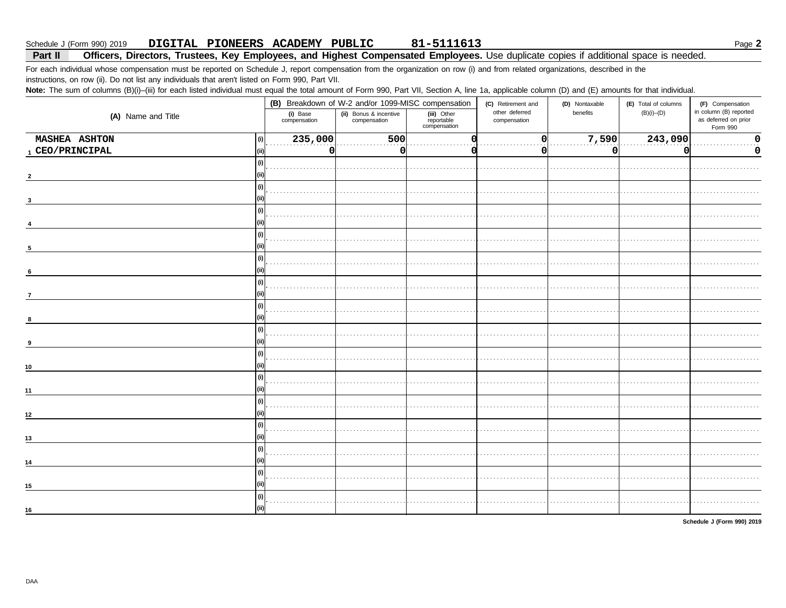#### Part II Officers, Directors, Trustees, Key Employees, and Highest Compensated Employees. Use duplicate copies if additional space is needed.

For each individual whose compensation must be reported on Schedule J, report compensation from the organization on row (i) and from related organizations, described in the instructions, on row (ii). Do not list any individuals that aren't listed on Form 990, Part VII.

Note: The sum of columns (B)(i)-(iii) for each listed individual must equal the total amount of Form 990, Part VII, Section A, line 1a, applicable column (D) and (E) amounts for that individual.

|                          |      | (B) Breakdown of W-2 and/or 1099-MISC compensation                                               |     |             | (C) Retirement and             | (D) Nontaxable | (E) Total of columns | (F) Compensation                                           |  |
|--------------------------|------|--------------------------------------------------------------------------------------------------|-----|-------------|--------------------------------|----------------|----------------------|------------------------------------------------------------|--|
| (A) Name and Title       |      | (i) Base<br>(ii) Bonus & incentive<br>compensation<br>reportable<br>compensation<br>compensation |     | (iii) Other | other deferred<br>compensation | benefits       | $(B)(i)$ - $(D)$     | in column (B) reported<br>as deferred on prior<br>Form 990 |  |
| <b>MASHEA ASHTON</b>     | (i)  | 235,000                                                                                          | 500 |             | 0                              | 7,590          | $\boxed{243,090}$    | 0<br>$\cdots$                                              |  |
| $_{\rm 1}$ CEO/PRINCIPAL | (ii) | 0l                                                                                               | 0   |             | O                              | 0              | 0                    | 0                                                          |  |
|                          | (i)  |                                                                                                  |     |             |                                |                |                      |                                                            |  |
|                          |      |                                                                                                  |     |             |                                |                |                      |                                                            |  |
|                          | (i)  |                                                                                                  |     |             |                                |                |                      |                                                            |  |
|                          |      |                                                                                                  |     |             |                                |                |                      |                                                            |  |
|                          | (i)  |                                                                                                  |     |             |                                |                |                      |                                                            |  |
|                          |      |                                                                                                  |     |             |                                |                |                      |                                                            |  |
|                          | (i)  |                                                                                                  |     |             |                                |                |                      |                                                            |  |
| 5                        |      |                                                                                                  |     |             |                                |                |                      |                                                            |  |
|                          | (i)  |                                                                                                  |     |             |                                |                |                      |                                                            |  |
| 6                        |      |                                                                                                  |     |             |                                |                |                      |                                                            |  |
|                          | (i)  |                                                                                                  |     |             |                                |                |                      |                                                            |  |
| $\overline{7}$           |      |                                                                                                  |     |             |                                |                |                      |                                                            |  |
|                          | (i)  |                                                                                                  |     |             |                                |                |                      |                                                            |  |
| 8                        |      |                                                                                                  |     |             |                                |                |                      |                                                            |  |
|                          | (i)  |                                                                                                  |     |             |                                |                |                      |                                                            |  |
| 9                        |      |                                                                                                  |     |             |                                |                |                      |                                                            |  |
|                          | (i)  |                                                                                                  |     |             |                                |                |                      |                                                            |  |
| 10                       |      |                                                                                                  |     |             |                                |                |                      |                                                            |  |
|                          | (i)  |                                                                                                  |     |             |                                |                |                      |                                                            |  |
| 11                       |      |                                                                                                  |     |             |                                |                |                      |                                                            |  |
|                          | (i)  |                                                                                                  |     |             |                                |                |                      |                                                            |  |
| $12$                     |      |                                                                                                  |     |             |                                |                |                      |                                                            |  |
|                          | (i)  |                                                                                                  |     |             |                                |                |                      |                                                            |  |
| 13                       |      |                                                                                                  |     |             |                                |                |                      |                                                            |  |
|                          | (i)  |                                                                                                  |     |             |                                |                |                      |                                                            |  |
| 14                       |      |                                                                                                  |     |             |                                |                |                      |                                                            |  |
|                          | (i)  |                                                                                                  |     |             |                                |                |                      |                                                            |  |
| 15                       |      |                                                                                                  |     |             |                                |                |                      |                                                            |  |
|                          | (i)  |                                                                                                  |     |             |                                |                |                      |                                                            |  |
| 16                       |      |                                                                                                  |     |             |                                |                |                      |                                                            |  |
|                          |      |                                                                                                  |     |             |                                |                |                      |                                                            |  |

Schedule J (Form 990) 2019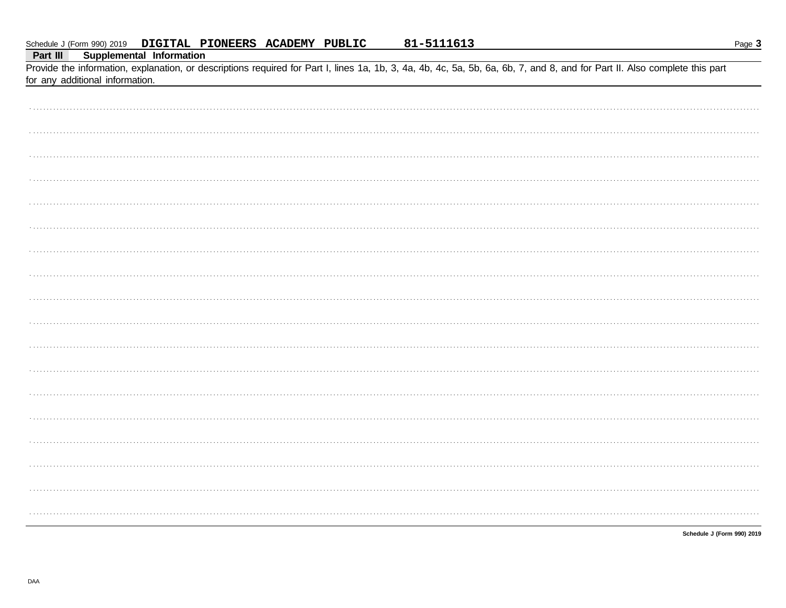Supplemental Information Part III

Provide the information, explanation, or descriptions required for Part I, lines 1a, 1b, 3, 4a, 4b, 4c, 5a, 5b, 6a, 6b, 7, and 8, and for Part II. Also complete this part for any additional information.

| . |  |
|---|--|
|   |  |
|   |  |
|   |  |
|   |  |
|   |  |
|   |  |
|   |  |
|   |  |
|   |  |
|   |  |
|   |  |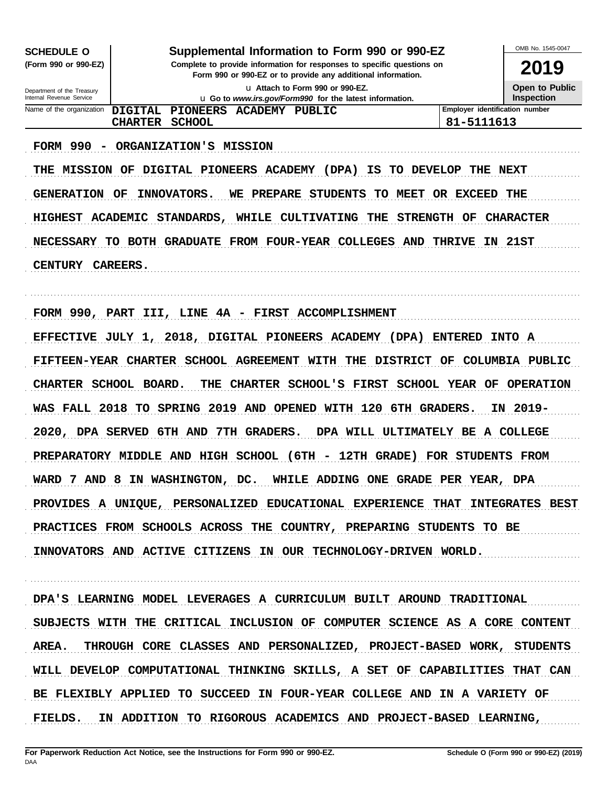| <b>SCHEDULE O</b>                                      |                                                                                                                                                                                          | OMB No. 1545-0047                          |  |  |  |  |
|--------------------------------------------------------|------------------------------------------------------------------------------------------------------------------------------------------------------------------------------------------|--------------------------------------------|--|--|--|--|
| (Form 990 or 990-EZ)                                   | Supplemental Information to Form 990 or 990-EZ<br>Complete to provide information for responses to specific questions on<br>Form 990 or 990-EZ or to provide any additional information. |                                            |  |  |  |  |
| Department of the Treasury<br>Internal Revenue Service |                                                                                                                                                                                          | <b>Open to Public</b><br><b>Inspection</b> |  |  |  |  |
| Name of the organization                               | Employer identification number<br>DTGTTAL.<br>PIONEERS ACADEMY PUBLIC<br>81-5111613<br><b>SCHOOL</b><br><b>CHARTER</b>                                                                   |                                            |  |  |  |  |
|                                                        |                                                                                                                                                                                          |                                            |  |  |  |  |

FORM 990 - ORGANIZATION'S MISSION THE MISSION OF DIGITAL PIONEERS ACADEMY (DPA) IS TO DEVELOP THE NEXT GENERATION OF INNOVATORS. WE PREPARE STUDENTS TO MEET OR EXCEED THE HIGHEST ACADEMIC STANDARDS, WHILE CULTIVATING THE STRENGTH OF CHARACTER NECESSARY TO BOTH GRADUATE FROM FOUR-YEAR COLLEGES AND THRIVE IN 21ST CENTURY CAREERS.

FORM 990, PART III, LINE 4A - FIRST ACCOMPLISHMENT

EFFECTIVE JULY 1, 2018, DIGITAL PIONEERS ACADEMY (DPA) ENTERED INTO A FIFTEEN-YEAR CHARTER SCHOOL AGREEMENT WITH THE DISTRICT OF COLUMBIA PUBLIC CHARTER SCHOOL BOARD. THE CHARTER SCHOOL'S FIRST SCHOOL YEAR OF OPERATION WAS FALL 2018 TO SPRING 2019 AND OPENED WITH 120 6TH GRADERS. IN 2019-2020, DPA SERVED 6TH AND 7TH GRADERS. DPA WILL ULTIMATELY BE A COLLEGE PREPARATORY MIDDLE AND HIGH SCHOOL (6TH - 12TH GRADE) FOR STUDENTS FROM WARD 7 AND 8 IN WASHINGTON, DC. WHILE ADDING ONE GRADE PER YEAR, DPA PROVIDES A UNIQUE, PERSONALIZED EDUCATIONAL EXPERIENCE THAT INTEGRATES BEST PRACTICES FROM SCHOOLS ACROSS THE COUNTRY, PREPARING STUDENTS TO BE INNOVATORS AND ACTIVE CITIZENS IN OUR TECHNOLOGY-DRIVEN WORLD.

DPA'S LEARNING MODEL LEVERAGES A CURRICULUM BUILT AROUND TRADITIONAL SUBJECTS WITH THE CRITICAL INCLUSION OF COMPUTER SCIENCE AS A CORE CONTENT AREA. THROUGH CORE CLASSES AND PERSONALIZED, PROJECT-BASED WORK, STUDENTS WILL DEVELOP COMPUTATIONAL THINKING SKILLS, A SET OF CAPABILITIES THAT CAN BE FLEXIBLY APPLIED TO SUCCEED IN FOUR-YEAR COLLEGE AND IN A VARIETY OF FIELDS. IN ADDITION TO RIGOROUS ACADEMICS AND PROJECT-BASED LEARNING,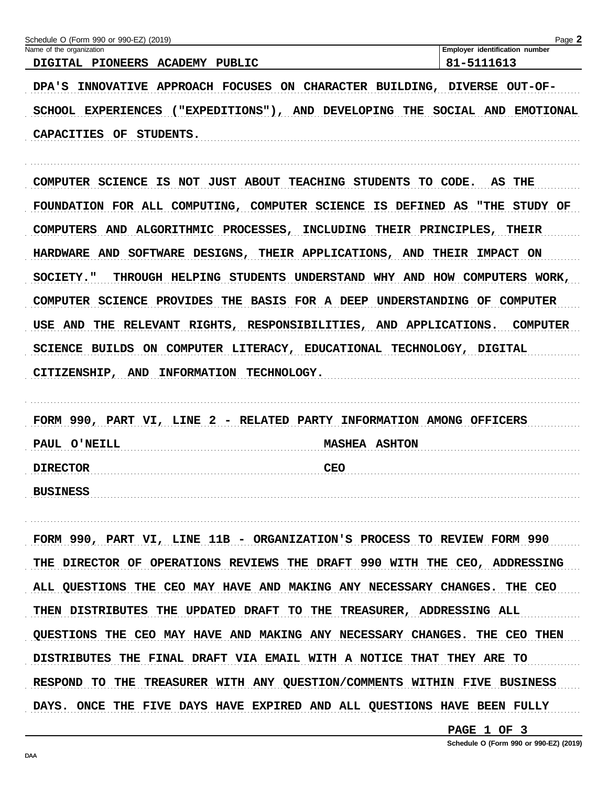| Name of the organization                                                    | Page 2<br>Employer identification number |
|-----------------------------------------------------------------------------|------------------------------------------|
| DIGITAL PIONEERS ACADEMY<br>PUBLIC                                          | 81-5111613                               |
| INNOVATIVE APPROACH FOCUSES<br>ON CHARACTER BUILDING,<br><b>DPA'S</b>       | DIVERSE OUT-OF-                          |
| $($ "EXPEDITIONS" $)$ ,<br>AND DEVELOPING<br><b>EXPERIENCES</b><br>SCHOOL   | THE<br>SOCIAL AND<br><b>EMOTIONAL</b>    |
| <b>CAPACITIES</b><br>OF<br>STUDENTS.                                        |                                          |
| SCIENCE IS NOT JUST ABOUT<br><b>TEACHING</b><br><b>STUDENTS</b><br>COMPUTER | CODE.<br>TO.<br>AS THE                   |

COMPUTERS AND ALGORITHMIC PROCESSES, INCLUDING THEIR PRINCIPLES, THEIR HARDWARE AND SOFTWARE DESIGNS, THEIR APPLICATIONS, AND THEIR IMPACT ON THROUGH HELPING STUDENTS UNDERSTAND WHY AND HOW COMPUTERS WORK, **SOCIETY."** COMPUTER SCIENCE PROVIDES THE BASIS FOR A DEEP UNDERSTANDING OF COMPUTER USE AND THE RELEVANT RIGHTS, RESPONSIBILITIES, AND APPLICATIONS. COMPUTER SCIENCE BUILDS ON COMPUTER LITERACY, EDUCATIONAL TECHNOLOGY, DIGITAL CITIZENSHIP, AND INFORMATION TECHNOLOGY.

| FORM 990, PART VI, LINE 2 - RELATED PARTY INFORMATION AMONG OFFICERS |                                                                                                                                                                                                                                             |
|----------------------------------------------------------------------|---------------------------------------------------------------------------------------------------------------------------------------------------------------------------------------------------------------------------------------------|
| PAUL O'NEILL                                                         | <b>MASHEA ASHTON</b>                                                                                                                                                                                                                        |
| DIRECTOR                                                             | CEO<br><u>CIOR (1999), produced a contracto de la contracto de la contracto de la contracto de la contracto de la contracto de la contracto de la contracto de la contracto de la contracto de la contracto de la contracto de la contr</u> |
| <b>BUSINESS</b>                                                      |                                                                                                                                                                                                                                             |

FORM 990, PART VI, LINE 11B - ORGANIZATION'S PROCESS TO REVIEW FORM 990 THE DIRECTOR OF OPERATIONS REVIEWS THE DRAFT 990 WITH THE CEO, ADDRESSING ALL QUESTIONS THE CEO MAY HAVE AND MAKING ANY NECESSARY CHANGES. THE CEO THEN DISTRIBUTES THE UPDATED DRAFT TO THE TREASURER, ADDRESSING ALL QUESTIONS THE CEO MAY HAVE AND MAKING ANY NECESSARY CHANGES. THE CEO THEN DISTRIBUTES THE FINAL DRAFT VIA EMAIL WITH A NOTICE THAT THEY ARE TO RESPOND TO THE TREASURER WITH ANY QUESTION/COMMENTS WITHIN FIVE BUSINESS DAYS. ONCE THE FIVE DAYS HAVE EXPIRED AND ALL QUESTIONS HAVE BEEN FULLY

PAGE 1 OF 3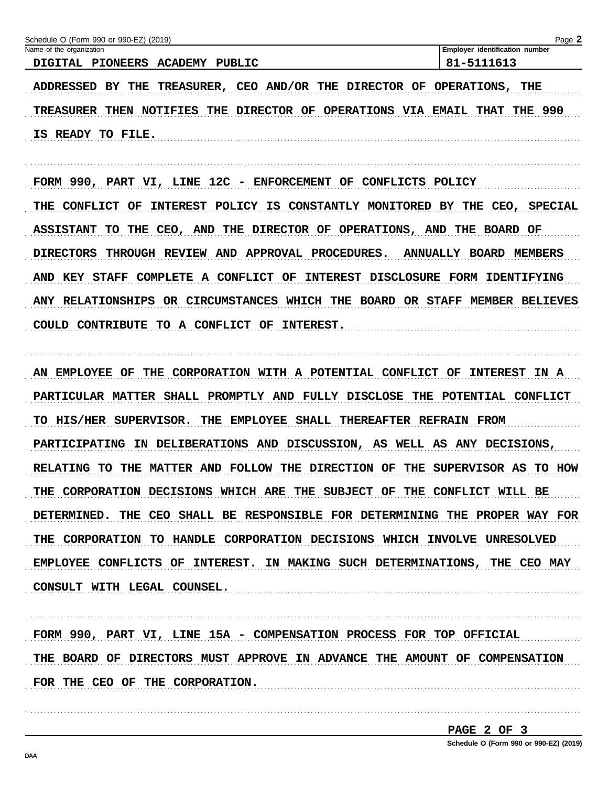| Schedule O (Form 990 or 990-EZ) (2019)<br>Name of the organization | Page 2<br>Employer identification number |
|--------------------------------------------------------------------|------------------------------------------|
| DIGITAL PIONEERS ACADEMY<br>PUBLIC                                 | 81-5111613                               |
| ADDRESSED BY THE TREASURER, CEO AND/OR THE DIRECTOR OF OPERATIONS, | THE                                      |
| NOTIFIES THE DIRECTOR OF OPERATIONS VIA<br><b>TREASURER THEN</b>   | <b>EMAIL THAT THE 990</b>                |

FORM 990, PART VI, LINE 12C - ENFORCEMENT OF CONFLICTS POLICY THE CONFLICT OF INTEREST POLICY IS CONSTANTLY MONITORED BY THE CEO, SPECIAL ASSISTANT TO THE CEO, AND THE DIRECTOR OF OPERATIONS, AND THE BOARD OF DIRECTORS THROUGH REVIEW AND APPROVAL PROCEDURES. ANNUALLY BOARD MEMBERS AND KEY STAFF COMPLETE A CONFLICT OF INTEREST DISCLOSURE FORM IDENTIFYING ANY RELATIONSHIPS OR CIRCUMSTANCES WHICH THE BOARD OR STAFF MEMBER BELIEVES COULD CONTRIBUTE TO A CONFLICT OF INTEREST.

AN EMPLOYEE OF THE CORPORATION WITH A POTENTIAL CONFLICT OF INTEREST IN A PARTICULAR MATTER SHALL PROMPTLY AND FULLY DISCLOSE THE POTENTIAL CONFLICT TO HIS/HER SUPERVISOR. THE EMPLOYEE SHALL THEREAFTER REFRAIN FROM PARTICIPATING IN DELIBERATIONS AND DISCUSSION, AS WELL AS ANY DECISIONS, RELATING TO THE MATTER AND FOLLOW THE DIRECTION OF THE SUPERVISOR AS TO HOW THE CORPORATION DECISIONS WHICH ARE THE SUBJECT OF THE CONFLICT WILL BE DETERMINED. THE CEO SHALL BE RESPONSIBLE FOR DETERMINING THE PROPER WAY FOR THE CORPORATION TO HANDLE CORPORATION DECISIONS WHICH INVOLVE UNRESOLVED EMPLOYEE CONFLICTS OF INTEREST. IN MAKING SUCH DETERMINATIONS, THE CEO MAY CONSULT WITH LEGAL COUNSEL.

FORM 990, PART VI, LINE 15A - COMPENSATION PROCESS FOR TOP OFFICIAL THE BOARD OF DIRECTORS MUST APPROVE IN ADVANCE THE AMOUNT OF COMPENSATION FOR THE CEO OF THE CORPORATION.

PAGE 2 OF 3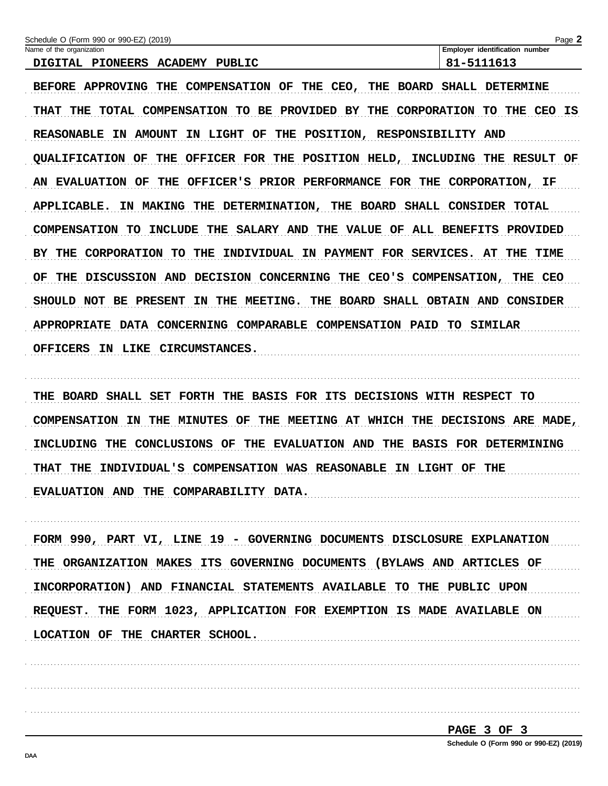| Schedule O (Form 990 or 990-EZ) (2019)                                                                  | Page 2                                  |
|---------------------------------------------------------------------------------------------------------|-----------------------------------------|
| Name of the organization                                                                                | Employer identification number          |
| DIGITAL PIONEERS<br><b>ACADEMY</b><br>PUBLIC                                                            | 81-5111613                              |
| <b>BEFORE</b><br><b>COMPENSATION</b><br>THE<br>CEO,<br><b>APPROVING</b><br>THE<br>OF<br>THE BOARD       | SHALL<br><b>DETERMINE</b>               |
| <b>TOTAL</b><br>COMPENSATION<br>BE.<br>PROVIDED BY<br>CORPORATION<br>THE<br>TO.<br>THE<br><b>THAT</b>   | TO.<br>THE<br><b>CEO</b><br>ΙS          |
| <b>REASONABLE</b><br><b>AMOUNT</b><br>THE<br>POSITION, RESPONSIBILITY<br>ΙN<br>IN<br><b>LIGHT</b><br>OF | <b>AND</b>                              |
| <b>OUALIFICATION</b><br>THE<br>OFFICER FOR<br>POSITION HELD,<br>OF<br>THE                               | INCLUDING<br><b>RESULT</b><br>THE<br>OF |
| PRIOR PERFORMANCE<br><b>EVALUATION</b><br>OF<br>THE<br>OFFICER'S<br>FOR THE<br>ΑN                       | CORPORATION, IF                         |
| APPLICABLE.<br><b>MAKING</b><br><b>BOARD</b><br>SHALL<br>THE<br><b>DETERMINATION,</b><br>THE<br>ΙN      | CONSIDER<br><b>TOTAL</b>                |
| SALARY AND<br>THE<br><b>VALUE</b><br><b>COMPENSATION</b><br>TО<br>INCLUDE<br>THE<br>OF.                 | ALL BENEFITS<br><b>PROVIDED</b>         |
| THE<br>FOR SERVICES.<br>BY.<br>THE<br>CORPORATION<br>TO<br>INDIVIDUAL<br>IN PAYMENT                     | THE<br>TIME<br>AT                       |
| DISCUSSION AND<br><b>DECISION</b><br>CONCERNING<br>CEO'S COMPENSATION,<br>OF<br>THE.<br>THE             | THE<br>CEO                              |
| <b>BOARD</b><br><b>SHOULD</b><br>NOT<br>BE.<br><b>PRESENT</b><br>THE<br><b>MEETING.</b><br>THE<br>IΝ    | SHALL OBTAIN AND<br><b>CONSIDER</b>     |
| COMPARABLE<br><b>COMPENSATION</b><br><b>APPROPRIATE</b><br>CONCERNING<br>DATA<br><b>PAID</b>            | TО<br><b>SIMILAR</b>                    |

OFFICERS IN LIKE CIRCUMSTANCES.

THE BOARD SHALL SET FORTH THE BASIS FOR ITS DECISIONS WITH RESPECT TO COMPENSATION IN THE MINUTES OF THE MEETING AT WHICH THE DECISIONS ARE MADE, INCLUDING THE CONCLUSIONS OF THE EVALUATION AND THE BASIS FOR DETERMINING THAT THE INDIVIDUAL'S COMPENSATION WAS REASONABLE IN LIGHT OF THE EVALUATION AND THE COMPARABILITY DATA.

FORM 990, PART VI, LINE 19 - GOVERNING DOCUMENTS DISCLOSURE EXPLANATION THE ORGANIZATION MAKES ITS GOVERNING DOCUMENTS (BYLAWS AND ARTICLES OF INCORPORATION) AND FINANCIAL STATEMENTS AVAILABLE TO THE PUBLIC UPON REQUEST. THE FORM 1023, APPLICATION FOR EXEMPTION IS MADE AVAILABLE ON LOCATION OF THE CHARTER SCHOOL.

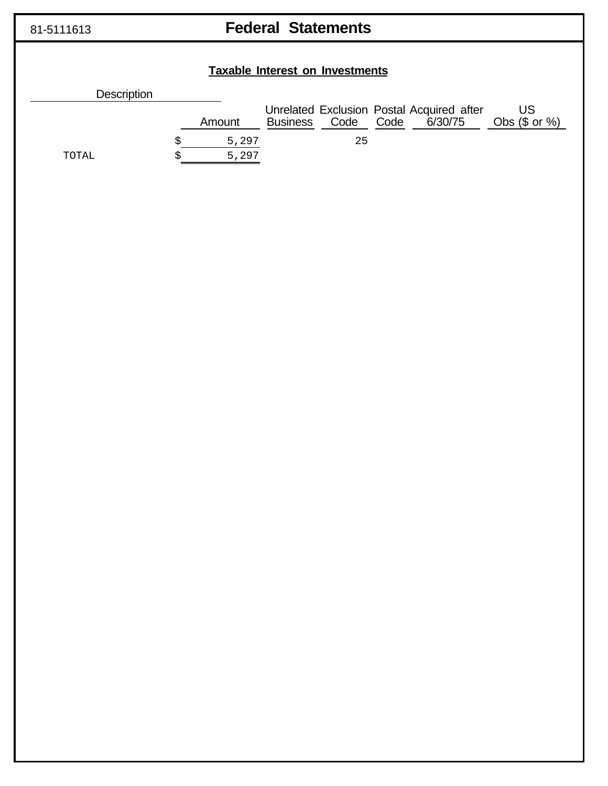# 81-5111613 **Federal Statements**

|                    | <b>Taxable Interest on Investments</b> |                 |      |      |                                                      |                        |
|--------------------|----------------------------------------|-----------------|------|------|------------------------------------------------------|------------------------|
| <b>Description</b> |                                        |                 |      |      |                                                      |                        |
|                    | Amount                                 | <b>Business</b> | Code | Code | Unrelated Exclusion Postal Acquired after<br>6/30/75 | US<br>Obs $(\$$ or $%$ |
| TOTAL              | 5,297<br>5,297                         |                 | 25   |      |                                                      |                        |
|                    |                                        |                 |      |      |                                                      |                        |